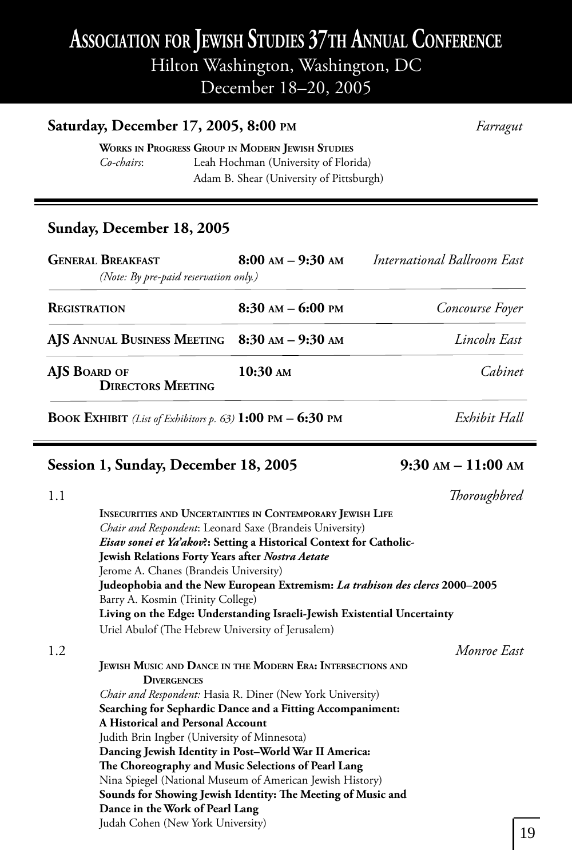## **ASSOCIATION FOR JEWISH STUDIES 37TH ANNUAL CONFERENCE** Hilton Washington, Washington, DC

December 18–20, 2005

### **Saturday, December 17, 2005, 8:00 PM** *Farragut*

**WORKS IN PROGRESS GROUP IN MODERN JEWISH STUDIES** *Co-chairs*: Leah Hochman (University of Florida) Adam B. Shear (University of Pittsburgh)

### **Sunday, December 18, 2005**

٦

| <b>GENERAL BREAKFAST</b><br>(Note: By pre-paid reservation only.)                  | $8:00$ AM $-$ 9:30 AM | International Ballroom East |
|------------------------------------------------------------------------------------|-----------------------|-----------------------------|
| <b>REGISTRATION</b>                                                                | $8:30$ AM $-$ 6:00 PM | Concourse Foyer             |
| AJS ANNUAL BUSINESS MEETING 8:30 AM - 9:30 AM                                      |                       | Lincoln East                |
| AJS BOARD OF<br><b>DIRECTORS MEETING</b>                                           | 10:30 AM              | Cahinet                     |
| <b>BOOK EXHIBIT</b> (List of Exhibitors p. 63) $1:00 \text{ PM} - 6:30 \text{ PM}$ |                       | Exhibit Hall                |

### **Session 1, Sunday, December 18, 2005 9:30 AM – 11:00 AM**

| 1.1 | Thoroughbred                                                                        |
|-----|-------------------------------------------------------------------------------------|
|     | <b>INSECURITIES AND UNCERTAINTIES IN CONTEMPORARY JEWISH LIFE</b>                   |
|     | Chair and Respondent: Leonard Saxe (Brandeis University)                            |
|     | Eisav sonei et Ya'akov?: Setting a Historical Context for Catholic-                 |
|     | <b>Jewish Relations Forty Years after Nostra Aetate</b>                             |
|     | Jerome A. Chanes (Brandeis University)                                              |
|     | Judeophobia and the New European Extremism: <i>La trabison des clercs</i> 2000–2005 |
|     | Barry A. Kosmin (Trinity College)                                                   |
|     | Living on the Edge: Understanding Israeli-Jewish Existential Uncertainty            |
|     | Uriel Abulof (The Hebrew University of Jerusalem)                                   |
| 1.2 | Monroe East                                                                         |
|     | JEWISH MUSIC AND DANCE IN THE MODERN ERA: INTERSECTIONS AND                         |
|     | <b>DIVERGENCES</b>                                                                  |
|     | <i>Chair and Respondent:</i> Hasia R. Diner (New York University)                   |
|     | Searching for Sephardic Dance and a Fitting Accompaniment:                          |
|     | <b>A Historical and Personal Account</b>                                            |
|     | Judith Brin Ingber (University of Minnesota)                                        |
|     | Dancing Jewish Identity in Post-World War II America:                               |
|     | The Choreography and Music Selections of Pearl Lang                                 |
|     | Nina Spiegel (National Museum of American Jewish History)                           |
|     | Sounds for Showing Jewish Identity: The Meeting of Music and                        |
|     | Dance in the Work of Pearl Lang                                                     |
|     | Judah Cohen (New York University)                                                   |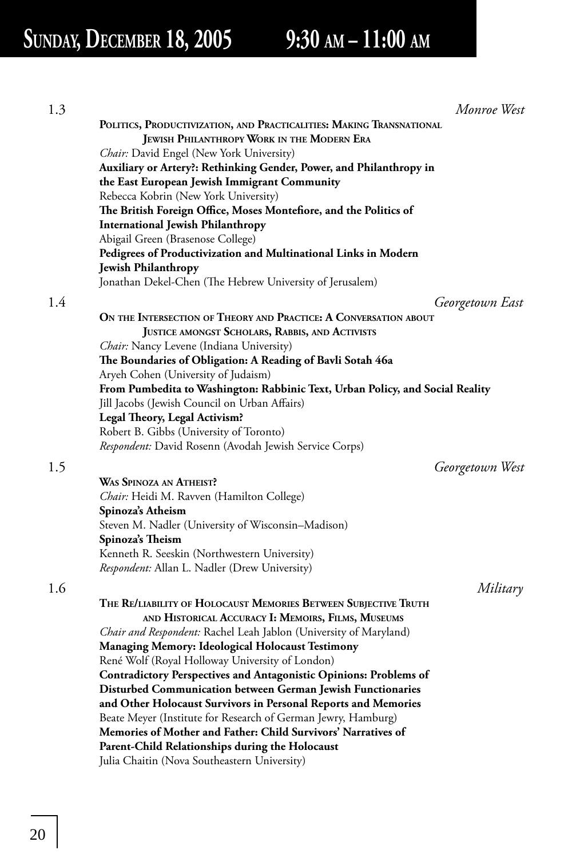## **SUNDAY, DECEMBER 18, 2005 9:30 AM – 11:00 AM**

| 1.3 |                                                                               | Monroe West |
|-----|-------------------------------------------------------------------------------|-------------|
|     | POLITICS, PRODUCTIVIZATION, AND PRACTICALITIES: MAKING TRANSNATIONAL          |             |
|     | <b>JEWISH PHILANTHROPY WORK IN THE MODERN ERA</b>                             |             |
|     | <i>Chair:</i> David Engel (New York University)                               |             |
|     | Auxiliary or Artery?: Rethinking Gender, Power, and Philanthropy in           |             |
|     | the East European Jewish Immigrant Community                                  |             |
|     | Rebecca Kobrin (New York University)                                          |             |
|     | The British Foreign Office, Moses Montefiore, and the Politics of             |             |
|     | <b>International Jewish Philanthropy</b>                                      |             |
|     | Abigail Green (Brasenose College)                                             |             |
|     | Pedigrees of Productivization and Multinational Links in Modern               |             |
|     | <b>Jewish Philanthropy</b>                                                    |             |
|     | Jonathan Dekel-Chen (The Hebrew University of Jerusalem)                      |             |
|     |                                                                               |             |
| 1.4 | Georgetown East                                                               |             |
|     | ON THE INTERSECTION OF THEORY AND PRACTICE: A CONVERSATION ABOUT              |             |
|     | JUSTICE AMONGST SCHOLARS, RABBIS, AND ACTIVISTS                               |             |
|     | <i>Chair:</i> Nancy Levene (Indiana University)                               |             |
|     | The Boundaries of Obligation: A Reading of Bavli Sotah 46a                    |             |
|     | Aryeh Cohen (University of Judaism)                                           |             |
|     | From Pumbedita to Washington: Rabbinic Text, Urban Policy, and Social Reality |             |
|     | Jill Jacobs (Jewish Council on Urban Affairs)                                 |             |
|     | Legal Theory, Legal Activism?                                                 |             |
|     | Robert B. Gibbs (University of Toronto)                                       |             |
|     | Respondent: David Rosenn (Avodah Jewish Service Corps)                        |             |
| 1.5 | Georgetown West                                                               |             |
|     | <b>WAS SPINOZA AN ATHEIST?</b>                                                |             |
|     | Chair: Heidi M. Ravven (Hamilton College)                                     |             |
|     | Spinoza's Atheism                                                             |             |
|     | Steven M. Nadler (University of Wisconsin-Madison)                            |             |
|     | Spinoza's Theism                                                              |             |
|     | Kenneth R. Seeskin (Northwestern University)                                  |             |
|     | <i>Respondent: Allan L. Nadler (Drew University)</i>                          |             |
|     |                                                                               |             |
| 1.6 |                                                                               | Military    |
|     | THE RE/LIABILITY OF HOLOCAUST MEMORIES BETWEEN SUBJECTIVE TRUTH               |             |
|     | AND HISTORICAL ACCURACY I: MEMOIRS, FILMS, MUSEUMS                            |             |
|     | Chair and Respondent: Rachel Leah Jablon (University of Maryland)             |             |
|     | <b>Managing Memory: Ideological Holocaust Testimony</b>                       |             |
|     | René Wolf (Royal Holloway University of London)                               |             |
|     | <b>Contradictory Perspectives and Antagonistic Opinions: Problems of</b>      |             |
|     | Disturbed Communication between German Jewish Functionaries                   |             |
|     | and Other Holocaust Survivors in Personal Reports and Memories                |             |
|     | Beate Meyer (Institute for Research of German Jewry, Hamburg)                 |             |
|     | Memories of Mother and Father: Child Survivors' Narratives of                 |             |
|     | Parent-Child Relationships during the Holocaust                               |             |
|     | Julia Chaitin (Nova Southeastern University)                                  |             |
|     |                                                                               |             |

## 20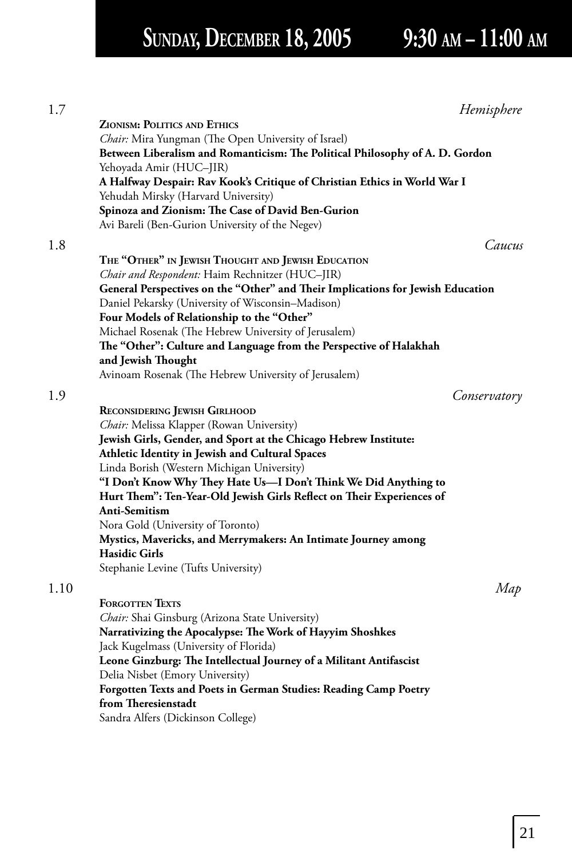## **SUNDAY, DECEMBER 18, 2005 9:30 AM – 11:00 AM**

| 1.7  | Hemisphere                                                                                              |
|------|---------------------------------------------------------------------------------------------------------|
|      | <b>ZIONISM: POLITICS AND ETHICS</b>                                                                     |
|      | <i>Chair:</i> Mira Yungman (The Open University of Israel)                                              |
|      | Between Liberalism and Romanticism: The Political Philosophy of A. D. Gordon<br>Yehoyada Amir (HUC–JIR) |
|      | A Halfway Despair: Rav Kook's Critique of Christian Ethics in World War I                               |
|      | Yehudah Mirsky (Harvard University)                                                                     |
|      | Spinoza and Zionism: The Case of David Ben-Gurion                                                       |
|      | Avi Bareli (Ben-Gurion University of the Negev)                                                         |
|      | Caucus                                                                                                  |
| 1.8  |                                                                                                         |
|      | THE "OTHER" IN JEWISH THOUGHT AND JEWISH EDUCATION                                                      |
|      | Chair and Respondent: Haim Rechnitzer (HUC-JIR)                                                         |
|      | General Perspectives on the "Other" and Their Implications for Jewish Education                         |
|      | Daniel Pekarsky (University of Wisconsin-Madison)<br>Four Models of Relationship to the "Other"         |
|      | Michael Rosenak (The Hebrew University of Jerusalem)                                                    |
|      | The "Other": Culture and Language from the Perspective of Halakhah                                      |
|      | and Jewish Thought                                                                                      |
|      | Avinoam Rosenak (The Hebrew University of Jerusalem)                                                    |
|      |                                                                                                         |
| 1.9  | Conservatory                                                                                            |
|      | RECONSIDERING JEWISH GIRLHOOD                                                                           |
|      | Chair: Melissa Klapper (Rowan University)                                                               |
|      | Jewish Girls, Gender, and Sport at the Chicago Hebrew Institute:                                        |
|      | Athletic Identity in Jewish and Cultural Spaces                                                         |
|      | Linda Borish (Western Michigan University)                                                              |
|      | "I Don't Know Why They Hate Us-I Don't Think We Did Anything to                                         |
|      | Hurt Them": Ten-Year-Old Jewish Girls Reflect on Their Experiences of                                   |
|      | Anti-Semitism                                                                                           |
|      | Nora Gold (University of Toronto)                                                                       |
|      | Mystics, Mavericks, and Merrymakers: An Intimate Journey among                                          |
|      | <b>Hasidic Girls</b>                                                                                    |
|      | Stephanie Levine (Tufts University)                                                                     |
| 1.10 | Map                                                                                                     |
|      | <b>FORGOTTEN TEXTS</b>                                                                                  |
|      | Chair: Shai Ginsburg (Arizona State University)                                                         |
|      | Narrativizing the Apocalypse: The Work of Hayyim Shoshkes                                               |
|      | Jack Kugelmass (University of Florida)                                                                  |
|      | Leone Ginzburg: The Intellectual Journey of a Militant Antifascist                                      |
|      | Delia Nisbet (Emory University)                                                                         |
|      | <b>Forgotten Texts and Poets in German Studies: Reading Camp Poetry</b>                                 |
|      | from Theresienstadt                                                                                     |
|      | Sandra Alfers (Dickinson College)                                                                       |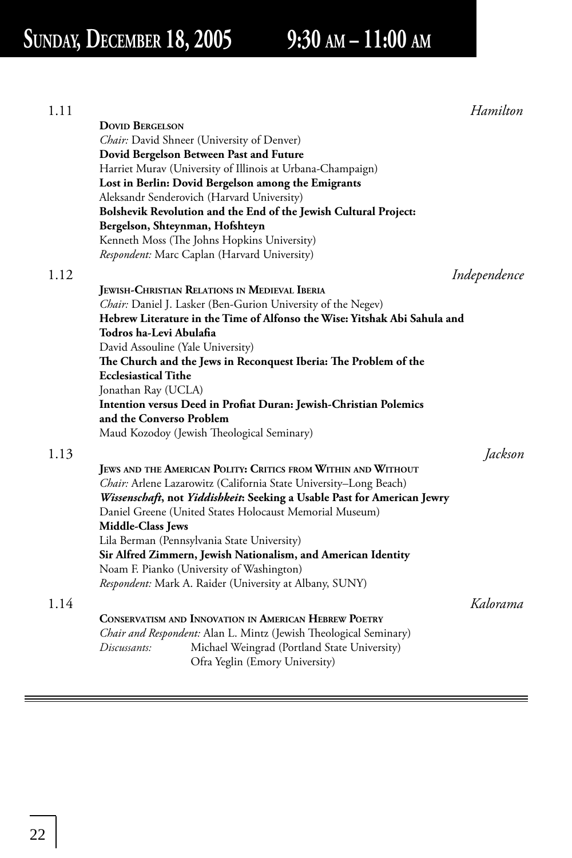| 1.11 |                                                                           | Hamilton     |
|------|---------------------------------------------------------------------------|--------------|
|      | <b>DOVID BERGELSON</b>                                                    |              |
|      | Chair: David Shneer (University of Denver)                                |              |
|      | Dovid Bergelson Between Past and Future                                   |              |
|      | Harriet Murav (University of Illinois at Urbana-Champaign)                |              |
|      | Lost in Berlin: Dovid Bergelson among the Emigrants                       |              |
|      | Aleksandr Senderovich (Harvard University)                                |              |
|      | Bolshevik Revolution and the End of the Jewish Cultural Project:          |              |
|      | Bergelson, Shteynman, Hofshteyn                                           |              |
|      | Kenneth Moss (The Johns Hopkins University)                               |              |
|      | <i>Respondent:</i> Marc Caplan (Harvard University)                       |              |
| 1.12 |                                                                           | Independence |
|      | <b>JEWISH-CHRISTIAN RELATIONS IN MEDIEVAL IBERIA</b>                      |              |
|      | Chair: Daniel J. Lasker (Ben-Gurion University of the Negev)              |              |
|      | Hebrew Literature in the Time of Alfonso the Wise: Yitshak Abi Sahula and |              |
|      | Todros ha-Levi Abulafia                                                   |              |
|      | David Assouline (Yale University)                                         |              |
|      | The Church and the Jews in Reconquest Iberia: The Problem of the          |              |
|      | <b>Ecclesiastical Tithe</b>                                               |              |
|      | Jonathan Ray (UCLA)                                                       |              |
|      | Intention versus Deed in Profiat Duran: Jewish-Christian Polemics         |              |
|      | and the Converso Problem                                                  |              |
|      | Maud Kozodoy (Jewish Theological Seminary)                                |              |
| 1.13 |                                                                           | Jackson      |
|      | JEWS AND THE AMERICAN POLITY: CRITICS FROM WITHIN AND WITHOUT             |              |
|      | <i>Chair:</i> Arlene Lazarowitz (California State University–Long Beach)  |              |
|      | Wissenschaft, not Yiddishkeit: Seeking a Usable Past for American Jewry   |              |
|      | Daniel Greene (United States Holocaust Memorial Museum)                   |              |
|      | <b>Middle-Class Jews</b>                                                  |              |
|      | Lila Berman (Pennsylvania State University)                               |              |
|      | Sir Alfred Zimmern, Jewish Nationalism, and American Identity             |              |
|      | Noam F. Pianko (University of Washington)                                 |              |
|      | <i>Respondent:</i> Mark A. Raider (University at Albany, SUNY)            |              |
|      |                                                                           |              |
| 1.14 |                                                                           | Kalorama     |
|      | CONSERVATISM AND INNOVATION IN AMERICAN HEBREW POETRY                     |              |
|      | Chair and Respondent: Alan L. Mintz (Jewish Theological Seminary)         |              |
|      | Discussants:<br>Michael Weingrad (Portland State University)              |              |
|      | Ofra Yeglin (Emory University)                                            |              |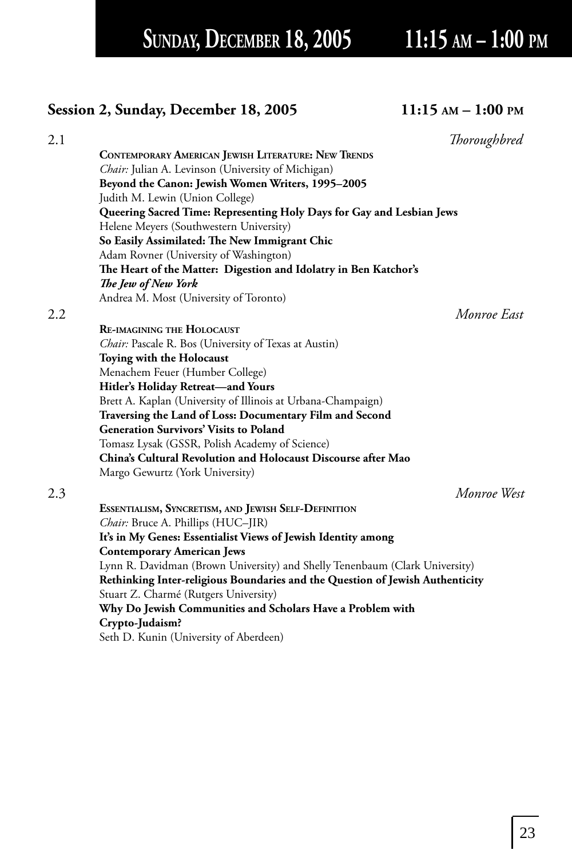SUNDAY, DECEMBER 18, 2005 11:15 AM - 1:00 PM

### **Session 2, Sunday, December 18, 2005 11:15 AM – 1:00 PM**

| 2.1 |                                                                               | Thoroughbred |
|-----|-------------------------------------------------------------------------------|--------------|
|     | CONTEMPORARY AMERICAN JEWISH LITERATURE: NEW TRENDS                           |              |
|     | Chair: Julian A. Levinson (University of Michigan)                            |              |
|     | Beyond the Canon: Jewish Women Writers, 1995-2005                             |              |
|     | Judith M. Lewin (Union College)                                               |              |
|     | Queering Sacred Time: Representing Holy Days for Gay and Lesbian Jews         |              |
|     | Helene Meyers (Southwestern University)                                       |              |
|     | So Easily Assimilated: The New Immigrant Chic                                 |              |
|     | Adam Rovner (University of Washington)                                        |              |
|     | The Heart of the Matter: Digestion and Idolatry in Ben Katchor's              |              |
|     | The Jew of New York                                                           |              |
|     | Andrea M. Most (University of Toronto)                                        |              |
| 2.2 |                                                                               | Monroe East  |
|     | <b>RE-IMAGINING THE HOLOCAUST</b>                                             |              |
|     | Chair: Pascale R. Bos (University of Texas at Austin)                         |              |
|     | Toying with the Holocaust                                                     |              |
|     | Menachem Feuer (Humber College)                                               |              |
|     | Hitler's Holiday Retreat-and Yours                                            |              |
|     | Brett A. Kaplan (University of Illinois at Urbana-Champaign)                  |              |
|     | Traversing the Land of Loss: Documentary Film and Second                      |              |
|     | <b>Generation Survivors' Visits to Poland</b>                                 |              |
|     | Tomasz Lysak (GSSR, Polish Academy of Science)                                |              |
|     | China's Cultural Revolution and Holocaust Discourse after Mao                 |              |
|     | Margo Gewurtz (York University)                                               |              |
| 2.3 |                                                                               | Monroe West  |
|     | ESSENTIALISM, SYNCRETISM, AND JEWISH SELF-DEFINITION                          |              |
|     | Chair: Bruce A. Phillips (HUC-JIR)                                            |              |
|     | It's in My Genes: Essentialist Views of Jewish Identity among                 |              |
|     | <b>Contemporary American Jews</b>                                             |              |
|     | Lynn R. Davidman (Brown University) and Shelly Tenenbaum (Clark University)   |              |
|     | Rethinking Inter-religious Boundaries and the Question of Jewish Authenticity |              |
|     | Stuart Z. Charmé (Rutgers University)                                         |              |
|     | Why Do Jewish Communities and Scholars Have a Problem with                    |              |
|     | Crypto-Judaism?                                                               |              |
|     | Seth D. Kunin (University of Aberdeen)                                        |              |
|     |                                                                               |              |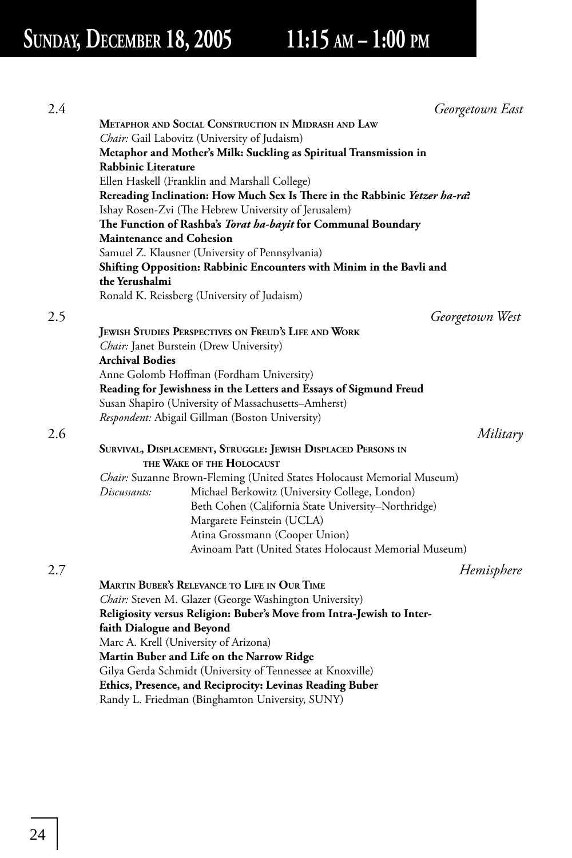| 2.4 |                                 | Georgetown East                                                            |          |
|-----|---------------------------------|----------------------------------------------------------------------------|----------|
|     |                                 | <b>METAPHOR AND SOCIAL CONSTRUCTION IN MIDRASH AND LAW</b>                 |          |
|     |                                 | Chair: Gail Labovitz (University of Judaism)                               |          |
|     |                                 | Metaphor and Mother's Milk: Suckling as Spiritual Transmission in          |          |
|     | Rabbinic Literature             |                                                                            |          |
|     |                                 | Ellen Haskell (Franklin and Marshall College)                              |          |
|     |                                 | Rereading Inclination: How Much Sex Is There in the Rabbinic Yetzer ha-ra? |          |
|     |                                 | Ishay Rosen-Zvi (The Hebrew University of Jerusalem)                       |          |
|     |                                 | The Function of Rashba's Torat ha-bayit for Communal Boundary              |          |
|     | <b>Maintenance and Cohesion</b> |                                                                            |          |
|     |                                 | Samuel Z. Klausner (University of Pennsylvania)                            |          |
|     |                                 | Shifting Opposition: Rabbinic Encounters with Minim in the Bavli and       |          |
|     | the Yerushalmi                  |                                                                            |          |
|     |                                 | Ronald K. Reissberg (University of Judaism)                                |          |
|     |                                 |                                                                            |          |
| 2.5 |                                 | Georgetown West                                                            |          |
|     |                                 | JEWISH STUDIES PERSPECTIVES ON FREUD'S LIFE AND WORK                       |          |
|     |                                 | Chair: Janet Burstein (Drew University)                                    |          |
|     | <b>Archival Bodies</b>          |                                                                            |          |
|     |                                 | Anne Golomb Hoffman (Fordham University)                                   |          |
|     |                                 | Reading for Jewishness in the Letters and Essays of Sigmund Freud          |          |
|     |                                 | Susan Shapiro (University of Massachusetts–Amherst)                        |          |
|     |                                 | Respondent: Abigail Gillman (Boston University)                            |          |
| 2.6 |                                 |                                                                            | Military |
|     |                                 | SURVIVAL, DISPLACEMENT, STRUGGLE: JEWISH DISPLACED PERSONS IN              |          |
|     |                                 | THE WAKE OF THE HOLOCAUST                                                  |          |
|     |                                 | Chair: Suzanne Brown-Fleming (United States Holocaust Memorial Museum)     |          |
|     | Discussants:                    | Michael Berkowitz (University College, London)                             |          |
|     |                                 | Beth Cohen (California State University-Northridge)                        |          |
|     |                                 | Margarete Feinstein (UCLA)                                                 |          |
|     |                                 | Atina Grossmann (Cooper Union)                                             |          |
|     |                                 | Avinoam Patt (United States Holocaust Memorial Museum)                     |          |
| 2.7 |                                 | Hemisphere                                                                 |          |
|     |                                 | <b>MARTIN BUBER'S RELEVANCE TO LIFE IN OUR TIME</b>                        |          |
|     |                                 | Chair: Steven M. Glazer (George Washington University)                     |          |
|     |                                 | Religiosity versus Religion: Buber's Move from Intra-Jewish to Inter-      |          |
|     | faith Dialogue and Beyond       |                                                                            |          |
|     |                                 | Marc A. Krell (University of Arizona)                                      |          |
|     |                                 | Martin Buber and Life on the Narrow Ridge                                  |          |
|     |                                 | Gilya Gerda Schmidt (University of Tennessee at Knoxville)                 |          |
|     |                                 | Ethics, Presence, and Reciprocity: Levinas Reading Buber                   |          |
|     |                                 | Randy L. Friedman (Binghamton University, SUNY)                            |          |
|     |                                 |                                                                            |          |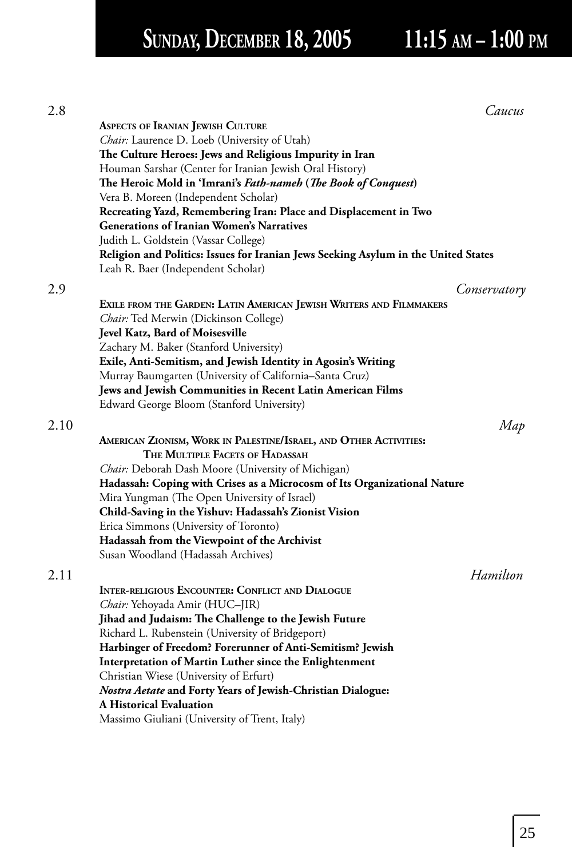# SUNDAY, DECEMBER 18, 2005 11:15 AM - 1:00 PM

| 2.8  |                                                                                                         | Caucus       |
|------|---------------------------------------------------------------------------------------------------------|--------------|
|      | <b>ASPECTS OF IRANIAN JEWISH CULTURE</b>                                                                |              |
|      | Chair: Laurence D. Loeb (University of Utah)                                                            |              |
|      | The Culture Heroes: Jews and Religious Impurity in Iran                                                 |              |
|      | Houman Sarshar (Center for Iranian Jewish Oral History)                                                 |              |
|      | The Heroic Mold in 'Imrani's Fath-nameh (The Book of Conquest)                                          |              |
|      | Vera B. Moreen (Independent Scholar)                                                                    |              |
|      | Recreating Yazd, Remembering Iran: Place and Displacement in Two                                        |              |
|      | <b>Generations of Iranian Women's Narratives</b>                                                        |              |
|      | Judith L. Goldstein (Vassar College)                                                                    |              |
|      | Religion and Politics: Issues for Iranian Jews Seeking Asylum in the United States                      |              |
|      | Leah R. Baer (Independent Scholar)                                                                      |              |
| 2.9  |                                                                                                         | Conservatory |
|      | EXILE FROM THE GARDEN: LATIN AMERICAN JEWISH WRITERS AND FILMMAKERS                                     |              |
|      |                                                                                                         |              |
|      | Chair: Ted Merwin (Dickinson College)<br>Jevel Katz, Bard of Moisesville                                |              |
|      |                                                                                                         |              |
|      | Zachary M. Baker (Stanford University)<br>Exile, Anti-Semitism, and Jewish Identity in Agosin's Writing |              |
|      | Murray Baumgarten (University of California-Santa Cruz)                                                 |              |
|      | Jews and Jewish Communities in Recent Latin American Films                                              |              |
|      | Edward George Bloom (Stanford University)                                                               |              |
|      |                                                                                                         |              |
| 2.10 |                                                                                                         | Map          |
|      | AMERICAN ZIONISM, WORK IN PALESTINE/ISRAEL, AND OTHER ACTIVITIES:                                       |              |
|      | THE MULTIPLE FACETS OF HADASSAH                                                                         |              |
|      | Chair: Deborah Dash Moore (University of Michigan)                                                      |              |
|      | Hadassah: Coping with Crises as a Microcosm of Its Organizational Nature                                |              |
|      | Mira Yungman (The Open University of Israel)                                                            |              |
|      | Child-Saving in the Yishuv: Hadassah's Zionist Vision                                                   |              |
|      | Erica Simmons (University of Toronto)                                                                   |              |
|      | Hadassah from the Viewpoint of the Archivist                                                            |              |
|      | Susan Woodland (Hadassah Archives)                                                                      |              |
| 2.11 |                                                                                                         | Hamilton     |
|      | <b>INTER-RELIGIOUS ENCOUNTER: CONFLICT AND DIALOGUE</b>                                                 |              |
|      | Chair: Yehoyada Amir (HUC-JIR)                                                                          |              |
|      | Jihad and Judaism: The Challenge to the Jewish Future                                                   |              |
|      | Richard L. Rubenstein (University of Bridgeport)                                                        |              |
|      | Harbinger of Freedom? Forerunner of Anti-Semitism? Jewish                                               |              |
|      | Interpretation of Martin Luther since the Enlightenment                                                 |              |
|      | Christian Wiese (University of Erfurt)                                                                  |              |
|      | Nostra Aetate and Forty Years of Jewish-Christian Dialogue:                                             |              |
|      | A Historical Evaluation                                                                                 |              |
|      | Massimo Giuliani (University of Trent, Italy)                                                           |              |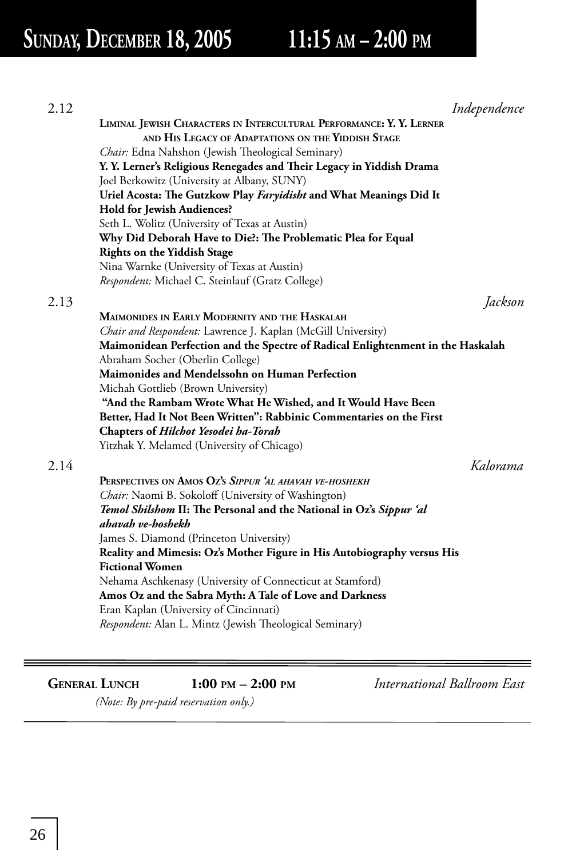## **SUNDAY, DECEMBER 18, 2005 11:15 AM – 2:00 PM**

| 2.12 |                                                                                 | Independence |
|------|---------------------------------------------------------------------------------|--------------|
|      | LIMINAL JEWISH CHARACTERS IN INTERCULTURAL PERFORMANCE: Y. Y. LERNER            |              |
|      | AND HIS LEGACY OF ADAPTATIONS ON THE YIDDISH STAGE                              |              |
|      | <i>Chair:</i> Edna Nahshon (Jewish Theological Seminary)                        |              |
|      | Y. Y. Lerner's Religious Renegades and Their Legacy in Yiddish Drama            |              |
|      | Joel Berkowitz (University at Albany, SUNY)                                     |              |
|      | Uriel Acosta: The Gutzkow Play Faryidisht and What Meanings Did It              |              |
|      | <b>Hold for Jewish Audiences?</b>                                               |              |
|      | Seth L. Wolitz (University of Texas at Austin)                                  |              |
|      | Why Did Deborah Have to Die?: The Problematic Plea for Equal                    |              |
|      | <b>Rights on the Yiddish Stage</b>                                              |              |
|      | Nina Warnke (University of Texas at Austin)                                     |              |
|      | Respondent: Michael C. Steinlauf (Gratz College)                                |              |
| 2.13 |                                                                                 | Jackson      |
|      | MAIMONIDES IN EARLY MODERNITY AND THE HASKALAH                                  |              |
|      | Chair and Respondent: Lawrence J. Kaplan (McGill University)                    |              |
|      | Maimonidean Perfection and the Spectre of Radical Enlightenment in the Haskalah |              |
|      | Abraham Socher (Oberlin College)                                                |              |
|      | Maimonides and Mendelssohn on Human Perfection                                  |              |
|      | Michah Gottlieb (Brown University)                                              |              |
|      | "And the Rambam Wrote What He Wished, and It Would Have Been                    |              |
|      | Better, Had It Not Been Written": Rabbinic Commentaries on the First            |              |
|      | Chapters of Hilchot Yesodei ha-Torah                                            |              |
|      | Yitzhak Y. Melamed (University of Chicago)                                      |              |
| 2.14 |                                                                                 | Kalorama     |
|      | PERSPECTIVES ON AMOS OZ'S SIPPUR 'AL AHAVAH VE-HOSHEKH                          |              |
|      | Chair: Naomi B. Sokoloff (University of Washington)                             |              |
|      | Temol Shilshom II: The Personal and the National in Oz's Sippur 'al             |              |
|      | ahavah ve-hoshekh                                                               |              |
|      | James S. Diamond (Princeton University)                                         |              |
|      | Reality and Mimesis: Oz's Mother Figure in His Autobiography versus His         |              |
|      | <b>Fictional Women</b>                                                          |              |
|      | Nehama Aschkenasy (University of Connecticut at Stamford)                       |              |
|      | Amos Oz and the Sabra Myth: A Tale of Love and Darkness                         |              |
|      | Eran Kaplan (University of Cincinnati)                                          |              |
|      | Respondent: Alan L. Mintz (Jewish Theological Seminary)                         |              |
|      |                                                                                 |              |
|      |                                                                                 |              |
|      |                                                                                 |              |

**GENERAL LUNCH 1:00 PM – 2:00 PM** *International Ballroom East*

 *(Note: By pre-paid reservation only.)*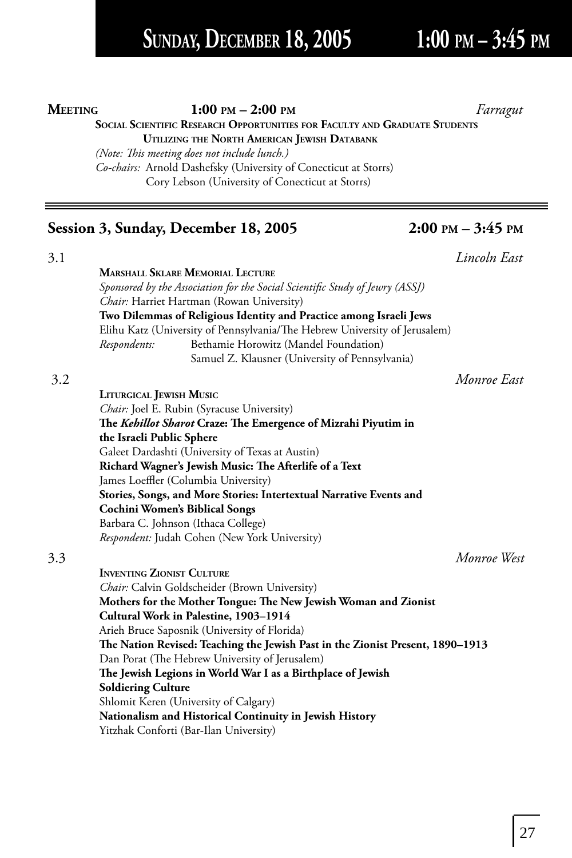## **SUNDAY, DECEMBER 18, 2005 1:00 PM – 3:45 PM**

### **MEETING** 1:00 PM – 2:00 PM

### **SOCIAL SCIENTIFIC RESEARCH OPPORTUNITIES FOR FACULTY AND GRADUATE STUDENTS UTILIZING THE NORTH AMERICAN JEWISH DATABANK**

*(Note: This meeting does not include lunch.) Co-chairs:*Arnold Dashefsky (University of Conecticut at Storrs) Cory Lebson (University of Conecticut at Storrs)

### **Session 3, Sunday, December 18, 2005 2:00 PM – 3:45 PM**

3.1 *Lincoln East* **MARSHALL SKLARE MEMORIAL LECTURE** *Sponsored by the Association for the Social Scientific Study of Jewry (ASSJ) Chair:* Harriet Hartman (Rowan University) **Two Dilemmas of Religious Identity and Practice among Israeli Jews** Elihu Katz (University of Pennsylvania/The Hebrew University of Jerusalem) *Respondents:* Bethamie Horowitz (Mandel Foundation) Samuel Z. Klausner (University of Pennsylvania) 3.2 *Monroe East* **LITURGICAL JEWISH MUSIC** *Chair:* Joel E. Rubin (Syracuse University) The *Kehillot Sharot* Craze: The Emergence of Mizrahi Piyutim in

**the Israeli Public Sphere** Galeet Dardashti (University of Texas at Austin) **Richard Wagner's Jewish Music: The Afterlife of a Text** James Loeffler (Columbia University) **Stories, Songs, and More Stories: Intertextual Narrative Events and Cochini Women's Biblical Songs** Barbara C. Johnson (Ithaca College) *Respondent:* Judah Cohen (New York University)

3.3 *Monroe West* **INVENTING ZIONIST CULTURE** *Chair:* Calvin Goldscheider (Brown University) **Mothers for the Mother Tongue: The New Jewish Woman and Zionist Cultural Work in Palestine, 1903–1914** Arieh Bruce Saposnik (University of Florida) The Nation Revised: Teaching the Jewish Past in the Zionist Present, 1890-1913 Dan Porat (The Hebrew University of Jerusalem) The Jewish Legions in World War I as a Birthplace of Jewish **Soldiering Culture** Shlomit Keren (University of Calgary) **Nationalism and Historical Continuity in Jewish History** Yitzhak Conforti (Bar-Ilan University)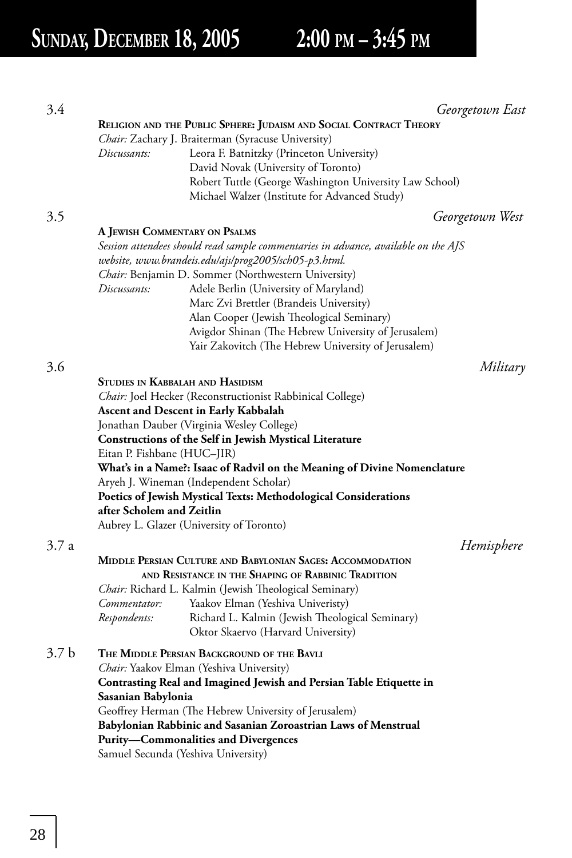| 3.4              |                               |                                                                                    | Georgetown East |
|------------------|-------------------------------|------------------------------------------------------------------------------------|-----------------|
|                  |                               | RELIGION AND THE PUBLIC SPHERE: JUDAISM AND SOCIAL CONTRACT THEORY                 |                 |
|                  |                               | <i>Chair: Zachary J. Braiterman (Syracuse University)</i>                          |                 |
|                  | Discussants:                  | Leora F. Batnitzky (Princeton University)                                          |                 |
|                  |                               | David Novak (University of Toronto)                                                |                 |
|                  |                               | Robert Tuttle (George Washington University Law School)                            |                 |
|                  |                               | Michael Walzer (Institute for Advanced Study)                                      |                 |
| 3.5              |                               |                                                                                    | Georgetown West |
|                  | A JEWISH COMMENTARY ON PSALMS |                                                                                    |                 |
|                  |                               | Session attendees should read sample commentaries in advance, available on the AJS |                 |
|                  |                               | website, www.brandeis.edu/ajs/prog2005/sch05-p3.html.                              |                 |
|                  |                               | <i>Chair:</i> Benjamin D. Sommer (Northwestern University)                         |                 |
|                  | Discussants:                  | Adele Berlin (University of Maryland)                                              |                 |
|                  |                               | Marc Zvi Brettler (Brandeis University)                                            |                 |
|                  |                               | Alan Cooper (Jewish Theological Seminary)                                          |                 |
|                  |                               | Avigdor Shinan (The Hebrew University of Jerusalem)                                |                 |
|                  |                               | Yair Zakovitch (The Hebrew University of Jerusalem)                                |                 |
|                  |                               |                                                                                    |                 |
| 3.6              |                               |                                                                                    | Military        |
|                  |                               | <b>STUDIES IN KABBALAH AND HASIDISM</b>                                            |                 |
|                  |                               | Chair: Joel Hecker (Reconstructionist Rabbinical College)                          |                 |
|                  |                               | <b>Ascent and Descent in Early Kabbalah</b>                                        |                 |
|                  |                               | Jonathan Dauber (Virginia Wesley College)                                          |                 |
|                  |                               | Constructions of the Self in Jewish Mystical Literature                            |                 |
|                  | Eitan P. Fishbane (HUC–JIR)   |                                                                                    |                 |
|                  |                               | What's in a Name?: Isaac of Radvil on the Meaning of Divine Nomenclature           |                 |
|                  |                               | Aryeh J. Wineman (Independent Scholar)                                             |                 |
|                  |                               | Poetics of Jewish Mystical Texts: Methodological Considerations                    |                 |
|                  | after Scholem and Zeitlin     |                                                                                    |                 |
|                  |                               | Aubrey L. Glazer (University of Toronto)                                           |                 |
| 3.7 a            |                               |                                                                                    | Hemisphere      |
|                  |                               | MIDDLE PERSIAN CULTURE AND BABYLONIAN SAGES: ACCOMMODATION                         |                 |
|                  |                               | AND RESISTANCE IN THE SHAPING OF RABBINIC TRADITION                                |                 |
|                  |                               | Chair: Richard L. Kalmin (Jewish Theological Seminary)                             |                 |
|                  | Commentator:                  | Yaakov Elman (Yeshiva Univeristy)                                                  |                 |
|                  | Respondents:                  | Richard L. Kalmin (Jewish Theological Seminary)                                    |                 |
|                  |                               | Oktor Skaervo (Harvard University)                                                 |                 |
| 3.7 <sub>b</sub> |                               | THE MIDDLE PERSIAN BACKGROUND OF THE BAVLI                                         |                 |
|                  |                               | Chair: Yaakov Elman (Yeshiva University)                                           |                 |
|                  |                               | Contrasting Real and Imagined Jewish and Persian Table Etiquette in                |                 |
|                  | Sasanian Babylonia            |                                                                                    |                 |
|                  |                               | Geoffrey Herman (The Hebrew University of Jerusalem)                               |                 |
|                  |                               | Babylonian Rabbinic and Sasanian Zoroastrian Laws of Menstrual                     |                 |
|                  |                               | <b>Purity-Commonalities and Divergences</b>                                        |                 |
|                  |                               | Samuel Secunda (Yeshiva University)                                                |                 |
|                  |                               |                                                                                    |                 |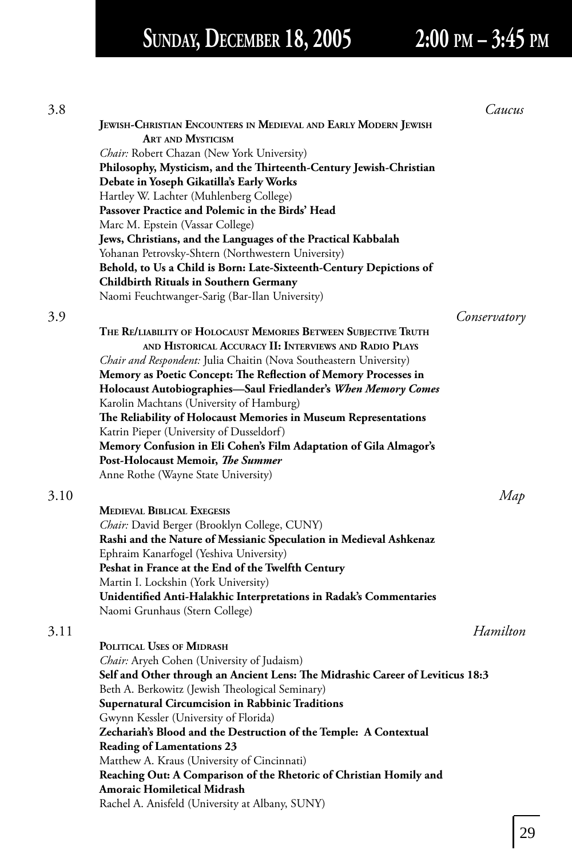# **SUNDAY, DECEMBER 18, 2005 2:00 PM – 3:45 PM**

| 3.8  |                                                                                                          | Caucus       |
|------|----------------------------------------------------------------------------------------------------------|--------------|
|      | JEWISH-CHRISTIAN ENCOUNTERS IN MEDIEVAL AND EARLY MODERN JEWISH                                          |              |
|      | <b>ART AND MYSTICISM</b>                                                                                 |              |
|      | Chair: Robert Chazan (New York University)                                                               |              |
|      | Philosophy, Mysticism, and the Thirteenth-Century Jewish-Christian                                       |              |
|      | Debate in Yoseph Gikatilla's Early Works                                                                 |              |
|      | Hartley W. Lachter (Muhlenberg College)                                                                  |              |
|      | Passover Practice and Polemic in the Birds' Head                                                         |              |
|      | Marc M. Epstein (Vassar College)                                                                         |              |
|      | Jews, Christians, and the Languages of the Practical Kabbalah                                            |              |
|      | Yohanan Petrovsky-Shtern (Northwestern University)                                                       |              |
|      | Behold, to Us a Child is Born: Late-Sixteenth-Century Depictions of                                      |              |
|      | <b>Childbirth Rituals in Southern Germany</b>                                                            |              |
|      | Naomi Feuchtwanger-Sarig (Bar-Ilan University)                                                           |              |
| 3.9  |                                                                                                          | Conservatory |
|      | THE RE/LIABILITY OF HOLOCAUST MEMORIES BETWEEN SUBJECTIVE TRUTH                                          |              |
|      | AND HISTORICAL ACCURACY II: INTERVIEWS AND RADIO PLAYS                                                   |              |
|      | Chair and Respondent: Julia Chaitin (Nova Southeastern University)                                       |              |
|      | Memory as Poetic Concept: The Reflection of Memory Processes in                                          |              |
|      | Holocaust Autobiographies—Saul Friedlander's When Memory Comes                                           |              |
|      | Karolin Machtans (University of Hamburg)                                                                 |              |
|      | The Reliability of Holocaust Memories in Museum Representations                                          |              |
|      | Katrin Pieper (University of Dusseldorf)                                                                 |              |
|      | Memory Confusion in Eli Cohen's Film Adaptation of Gila Almagor's                                        |              |
|      | Post-Holocaust Memoir, The Summer                                                                        |              |
|      | Anne Rothe (Wayne State University)                                                                      |              |
| 3.10 |                                                                                                          | Map          |
|      | <b>MEDIEVAL BIBLICAL EXEGESIS</b>                                                                        |              |
|      | Chair: David Berger (Brooklyn College, CUNY)                                                             |              |
|      | Rashi and the Nature of Messianic Speculation in Medieval Ashkenaz                                       |              |
|      | Ephraim Kanarfogel (Yeshiva University)                                                                  |              |
|      | Peshat in France at the End of the Twelfth Century                                                       |              |
|      | Martin I. Lockshin (York University)                                                                     |              |
|      | Unidentified Anti-Halakhic Interpretations in Radak's Commentaries                                       |              |
|      | Naomi Grunhaus (Stern College)                                                                           |              |
|      |                                                                                                          |              |
| 3.11 |                                                                                                          | Hamilton     |
|      | POLITICAL USES OF MIDRASH                                                                                |              |
|      | Chair: Aryeh Cohen (University of Judaism)                                                               |              |
|      | Self and Other through an Ancient Lens: The Midrashic Career of Leviticus 18:3                           |              |
|      | Beth A. Berkowitz (Jewish Theological Seminary)                                                          |              |
|      | Supernatural Circumcision in Rabbinic Traditions                                                         |              |
|      | Gwynn Kessler (University of Florida)                                                                    |              |
|      | Zechariah's Blood and the Destruction of the Temple: A Contextual                                        |              |
|      | <b>Reading of Lamentations 23</b>                                                                        |              |
|      | Matthew A. Kraus (University of Cincinnati)                                                              |              |
|      | Reaching Out: A Comparison of the Rhetoric of Christian Homily and<br><b>Amoraic Homiletical Midrash</b> |              |
|      | Rachel A. Anisfeld (University at Albany, SUNY)                                                          |              |
|      |                                                                                                          |              |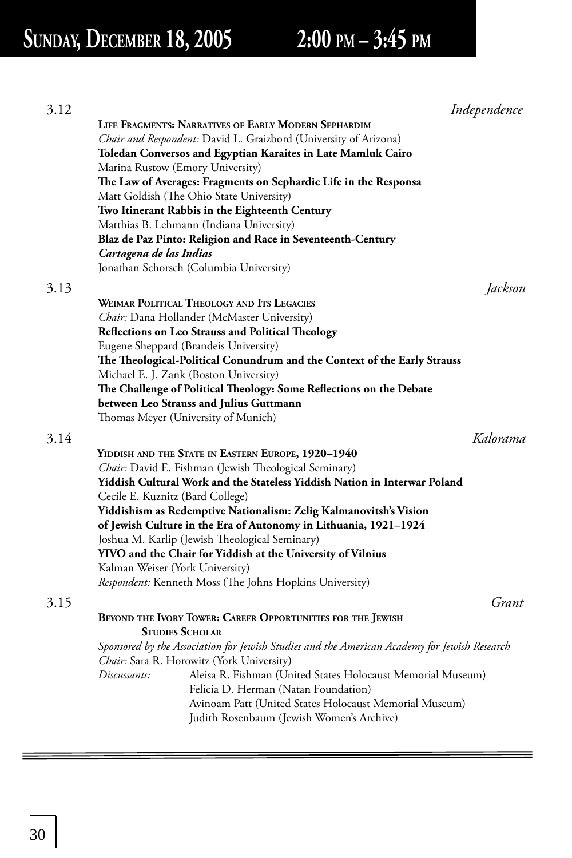## **SUNDAY, DECEMBER 18, 2005 2:00 PM – 3:45 PM**

| 3.12 |                                                                                              | Independence |
|------|----------------------------------------------------------------------------------------------|--------------|
|      | LIFE FRAGMENTS: NARRATIVES OF EARLY MODERN SEPHARDIM                                         |              |
|      | Chair and Respondent: David L. Graizbord (University of Arizona)                             |              |
|      | Toledan Conversos and Egyptian Karaites in Late Mamluk Cairo                                 |              |
|      | Marina Rustow (Emory University)                                                             |              |
|      | The Law of Averages: Fragments on Sephardic Life in the Responsa                             |              |
|      | Matt Goldish (The Ohio State University)                                                     |              |
|      | Two Itinerant Rabbis in the Eighteenth Century                                               |              |
|      | Matthias B. Lehmann (Indiana University)                                                     |              |
|      | Blaz de Paz Pinto: Religion and Race in Seventeenth-Century                                  |              |
|      | Cartagena de las Indias                                                                      |              |
|      | Jonathan Schorsch (Columbia University)                                                      |              |
| 3.13 |                                                                                              | Jackson      |
|      | <b>WEIMAR POLITICAL THEOLOGY AND ITS LEGACIES</b>                                            |              |
|      | Chair: Dana Hollander (McMaster University)                                                  |              |
|      | Reflections on Leo Strauss and Political Theology                                            |              |
|      | Eugene Sheppard (Brandeis University)                                                        |              |
|      | The Theological-Political Conundrum and the Context of the Early Strauss                     |              |
|      | Michael E. J. Zank (Boston University)                                                       |              |
|      | The Challenge of Political Theology: Some Reflections on the Debate                          |              |
|      | between Leo Strauss and Julius Guttmann                                                      |              |
|      | Thomas Meyer (University of Munich)                                                          |              |
| 3.14 |                                                                                              | Kalorama     |
|      | YIDDISH AND THE STATE IN EASTERN EUROPE, 1920–1940                                           |              |
|      | Chair: David E. Fishman (Jewish Theological Seminary)                                        |              |
|      | Yiddish Cultural Work and the Stateless Yiddish Nation in Interwar Poland                    |              |
|      | Cecile E. Kuznitz (Bard College)                                                             |              |
|      | Yiddishism as Redemptive Nationalism: Zelig Kalmanovitsh's Vision                            |              |
|      | of Jewish Culture in the Era of Autonomy in Lithuania, 1921–1924                             |              |
|      | Joshua M. Karlip (Jewish Theological Seminary)                                               |              |
|      | YIVO and the Chair for Yiddish at the University of Vilnius                                  |              |
|      | Kalman Weiser (York University)                                                              |              |
|      | Respondent: Kenneth Moss (The Johns Hopkins University)                                      |              |
| 3.15 |                                                                                              | Grant        |
|      | BEYOND THE IVORY TOWER: CAREER OPPORTUNITIES FOR THE JEWISH                                  |              |
|      | <b>STUDIES SCHOLAR</b>                                                                       |              |
|      | Sponsored by the Association for Jewish Studies and the American Academy for Jewish Research |              |
|      | Chair: Sara R. Horowitz (York University)                                                    |              |
|      | Aleisa R. Fishman (United States Holocaust Memorial Museum)<br>Discussants:                  |              |
|      | Felicia D. Herman (Natan Foundation)                                                         |              |
|      | Avinoam Patt (United States Holocaust Memorial Museum)                                       |              |
|      | Judith Rosenbaum (Jewish Women's Archive)                                                    |              |
|      |                                                                                              |              |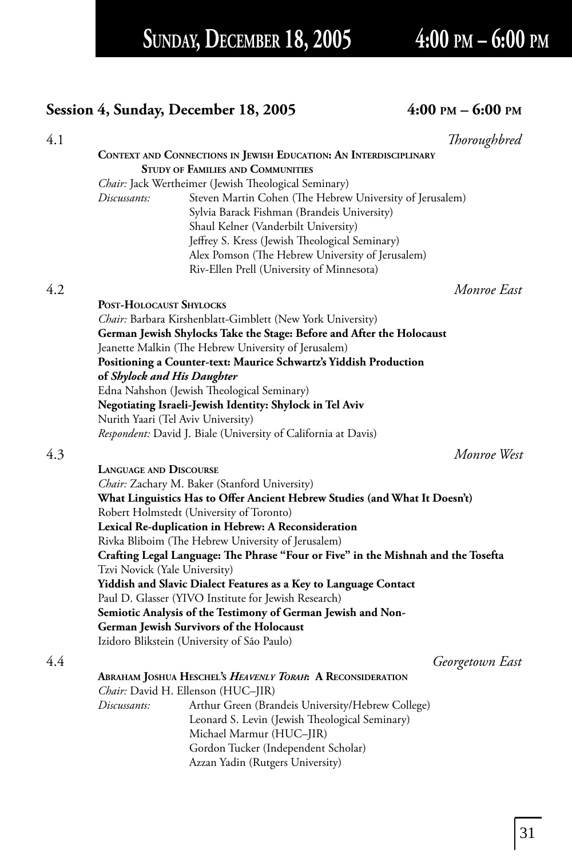**SUNDAY, DECEMBER 18, 2005 4:00 PM – 6:00 PM**

### **Session 4, Sunday, December 18, 2005 4:00 PM – 6:00 PM**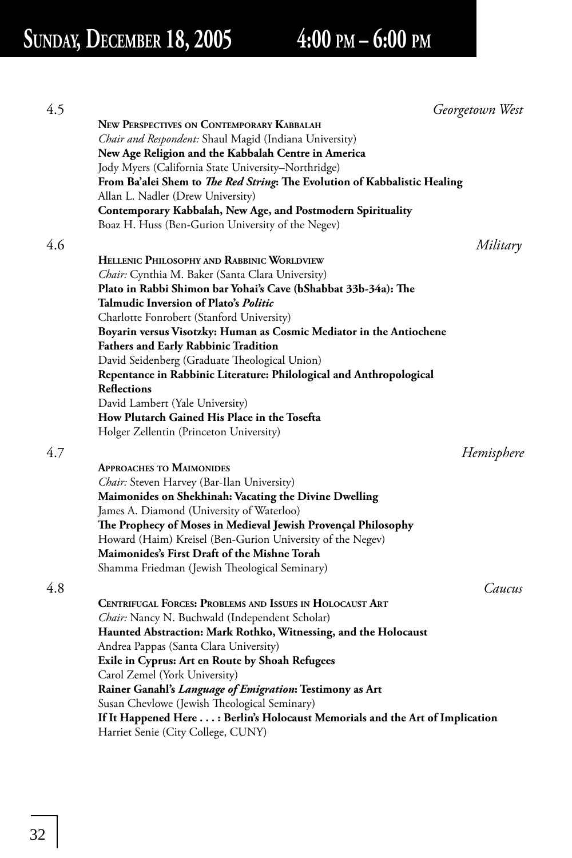| 4.5 | Georgetown West                                                                                                       |
|-----|-----------------------------------------------------------------------------------------------------------------------|
|     | <b>NEW PERSPECTIVES ON CONTEMPORARY KABBALAH</b>                                                                      |
|     | Chair and Respondent: Shaul Magid (Indiana University)                                                                |
|     | New Age Religion and the Kabbalah Centre in America                                                                   |
|     | Jody Myers (California State University–Northridge)                                                                   |
|     | From Ba'alei Shem to The Red String: The Evolution of Kabbalistic Healing                                             |
|     | Allan L. Nadler (Drew University)                                                                                     |
|     | Contemporary Kabbalah, New Age, and Postmodern Spirituality                                                           |
|     | Boaz H. Huss (Ben-Gurion University of the Negev)                                                                     |
| 4.6 | Military                                                                                                              |
|     |                                                                                                                       |
|     | HELLENIC PHILOSOPHY AND RABBINIC WORLDVIEW                                                                            |
|     | Chair: Cynthia M. Baker (Santa Clara University)                                                                      |
|     | Plato in Rabbi Shimon bar Yohai's Cave (bShabbat 33b-34a): The<br><b>Talmudic Inversion of Plato's <i>Politic</i></b> |
|     |                                                                                                                       |
|     | Charlotte Fonrobert (Stanford University)                                                                             |
|     | Boyarin versus Visotzky: Human as Cosmic Mediator in the Antiochene                                                   |
|     | <b>Fathers and Early Rabbinic Tradition</b>                                                                           |
|     | David Seidenberg (Graduate Theological Union)                                                                         |
|     | Repentance in Rabbinic Literature: Philological and Anthropological<br><b>Reflections</b>                             |
|     | David Lambert (Yale University)                                                                                       |
|     | How Plutarch Gained His Place in the Tosefta                                                                          |
|     | Holger Zellentin (Princeton University)                                                                               |
|     |                                                                                                                       |
| 4.7 | Hemisphere                                                                                                            |
|     | APPROACHES TO MAIMONIDES                                                                                              |
|     | Chair: Steven Harvey (Bar-Ilan University)                                                                            |
|     | Maimonides on Shekhinah: Vacating the Divine Dwelling                                                                 |
|     | James A. Diamond (University of Waterloo)                                                                             |
|     | The Prophecy of Moses in Medieval Jewish Provençal Philosophy                                                         |
|     | Howard (Haim) Kreisel (Ben-Gurion University of the Negev)                                                            |
|     | Maimonides's First Draft of the Mishne Torah                                                                          |
|     | Shamma Friedman (Jewish Theological Seminary)                                                                         |
| 4.8 | Caucus                                                                                                                |
|     | CENTRIFUGAL FORCES: PROBLEMS AND ISSUES IN HOLOCAUST ART                                                              |
|     | Chair: Nancy N. Buchwald (Independent Scholar)                                                                        |
|     | Haunted Abstraction: Mark Rothko, Witnessing, and the Holocaust                                                       |
|     | Andrea Pappas (Santa Clara University)                                                                                |
|     | Exile in Cyprus: Art en Route by Shoah Refugees                                                                       |
|     | Carol Zemel (York University)                                                                                         |
|     | Rainer Ganahl's Language of Emigration: Testimony as Art                                                              |
|     | Susan Chevlowe (Jewish Theological Seminary)                                                                          |
|     | If It Happened Here : Berlin's Holocaust Memorials and the Art of Implication                                         |
|     | Harriet Senie (City College, CUNY)                                                                                    |
|     |                                                                                                                       |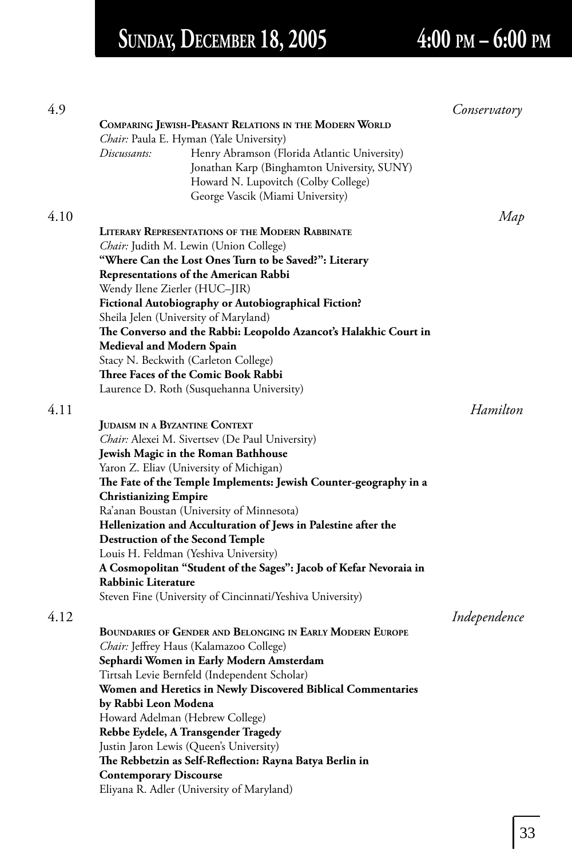# **SUNDAY, DECEMBER 18, 2005 4:00 PM – 6:00 PM**

| 4.9  |                                                                                          | Conservatory |
|------|------------------------------------------------------------------------------------------|--------------|
|      | COMPARING JEWISH-PEASANT RELATIONS IN THE MODERN WORLD                                   |              |
|      | Chair: Paula E. Hyman (Yale University)                                                  |              |
|      | Henry Abramson (Florida Atlantic University)<br>Discussants:                             |              |
|      | Jonathan Karp (Binghamton University, SUNY)                                              |              |
|      | Howard N. Lupovitch (Colby College)                                                      |              |
|      | George Vascik (Miami University)                                                         |              |
| 4.10 |                                                                                          | Map          |
|      | <b>LITERARY REPRESENTATIONS OF THE MODERN RABBINATE</b>                                  |              |
|      | Chair: Judith M. Lewin (Union College)                                                   |              |
|      | "Where Can the Lost Ones Turn to be Saved?": Literary                                    |              |
|      | <b>Representations of the American Rabbi</b>                                             |              |
|      | Wendy Ilene Zierler (HUC–JIR)                                                            |              |
|      | Fictional Autobiography or Autobiographical Fiction?                                     |              |
|      | Sheila Jelen (University of Maryland)                                                    |              |
|      | The Converso and the Rabbi: Leopoldo Azancot's Halakhic Court in                         |              |
|      | <b>Medieval and Modern Spain</b>                                                         |              |
|      | Stacy N. Beckwith (Carleton College)                                                     |              |
|      | Three Faces of the Comic Book Rabbi                                                      |              |
|      | Laurence D. Roth (Susquehanna University)                                                |              |
| 4.11 |                                                                                          | Hamilton     |
|      | JUDAISM IN A BYZANTINE CONTEXT                                                           |              |
|      | Chair: Alexei M. Sivertsev (De Paul University)                                          |              |
|      | Jewish Magic in the Roman Bathhouse                                                      |              |
|      | Yaron Z. Eliav (University of Michigan)                                                  |              |
|      | The Fate of the Temple Implements: Jewish Counter-geography in a                         |              |
|      | <b>Christianizing Empire</b>                                                             |              |
|      | Ra'anan Boustan (University of Minnesota)                                                |              |
|      | Hellenization and Acculturation of Jews in Palestine after the                           |              |
|      | <b>Destruction of the Second Temple</b>                                                  |              |
|      | Louis H. Feldman (Yeshiva University)                                                    |              |
|      | A Cosmopolitan "Student of the Sages": Jacob of Kefar Nevoraia in                        |              |
|      | Rabbinic Literature                                                                      |              |
|      | Steven Fine (University of Cincinnati/Yeshiva University)                                |              |
| 4.12 |                                                                                          |              |
|      | BOUNDARIES OF GENDER AND BELONGING IN EARLY MODERN EUROPE                                | Independence |
|      |                                                                                          |              |
|      | Chair: Jeffrey Haus (Kalamazoo College)                                                  |              |
|      | Sephardi Women in Early Modern Amsterdam<br>Tirtsah Levie Bernfeld (Independent Scholar) |              |
|      | Women and Heretics in Newly Discovered Biblical Commentaries                             |              |
|      | by Rabbi Leon Modena                                                                     |              |
|      | Howard Adelman (Hebrew College)                                                          |              |
|      | Rebbe Eydele, A Transgender Tragedy                                                      |              |
|      | Justin Jaron Lewis (Queen's University)                                                  |              |
|      | The Rebbetzin as Self-Reflection: Rayna Batya Berlin in                                  |              |
|      | <b>Contemporary Discourse</b>                                                            |              |
|      | Eliyana R. Adler (University of Maryland)                                                |              |
|      |                                                                                          |              |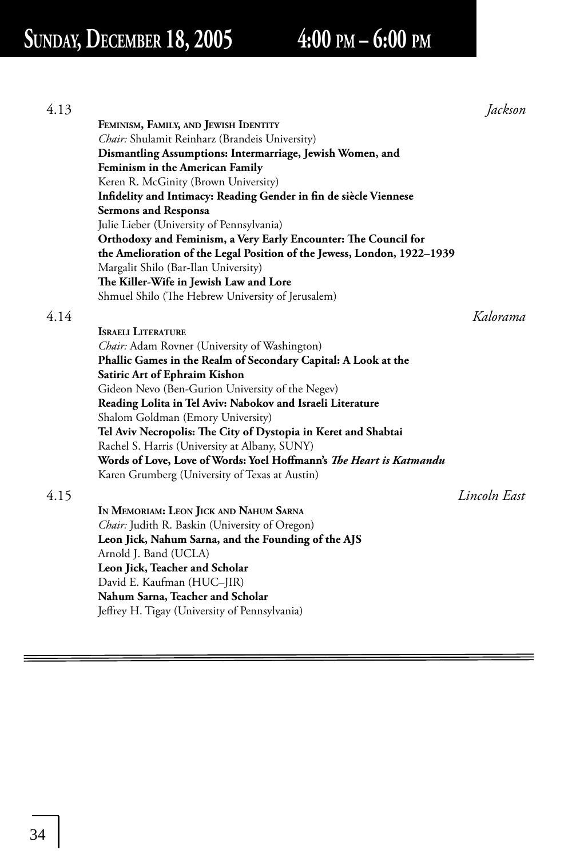## **SUNDAY, DECEMBER 18, 2005 4:00 PM – 6:00 PM**

| 4.13 |                                                                                                                 | Jackson      |
|------|-----------------------------------------------------------------------------------------------------------------|--------------|
|      | FEMINISM, FAMILY, AND JEWISH IDENTITY                                                                           |              |
|      | Chair: Shulamit Reinharz (Brandeis University)                                                                  |              |
|      | Dismantling Assumptions: Intermarriage, Jewish Women, and                                                       |              |
|      | Feminism in the American Family                                                                                 |              |
|      | Keren R. McGinity (Brown University)                                                                            |              |
|      | Infidelity and Intimacy: Reading Gender in fin de siècle Viennese                                               |              |
|      | <b>Sermons and Responsa</b>                                                                                     |              |
|      | Julie Lieber (University of Pennsylvania)                                                                       |              |
|      | Orthodoxy and Feminism, a Very Early Encounter: The Council for                                                 |              |
|      | the Amelioration of the Legal Position of the Jewess, London, 1922-1939                                         |              |
|      | Margalit Shilo (Bar-Ilan University)                                                                            |              |
|      | The Killer-Wife in Jewish Law and Lore                                                                          |              |
|      | Shmuel Shilo (The Hebrew University of Jerusalem)                                                               |              |
| 4.14 |                                                                                                                 | Kalorama     |
|      | <b>ISRAELI LITERATURE</b>                                                                                       |              |
|      |                                                                                                                 |              |
|      | Chair: Adam Rovner (University of Washington)<br>Phallic Games in the Realm of Secondary Capital: A Look at the |              |
|      | Satiric Art of Ephraim Kishon                                                                                   |              |
|      |                                                                                                                 |              |
|      | Gideon Nevo (Ben-Gurion University of the Negev)                                                                |              |
|      | Reading Lolita in Tel Aviv: Nabokov and Israeli Literature<br>Shalom Goldman (Emory University)                 |              |
|      | Tel Aviv Necropolis: The City of Dystopia in Keret and Shabtai                                                  |              |
|      | Rachel S. Harris (University at Albany, SUNY)                                                                   |              |
|      | Words of Love, Love of Words: Yoel Hoffmann's The Heart is Katmandu                                             |              |
|      | Karen Grumberg (University of Texas at Austin)                                                                  |              |
|      |                                                                                                                 |              |
| 4.15 |                                                                                                                 | Lincoln East |
|      | IN MEMORIAM: LEON JICK AND NAHUM SARNA                                                                          |              |
|      | Chair: Judith R. Baskin (University of Oregon)                                                                  |              |
|      | Leon Jick, Nahum Sarna, and the Founding of the AJS                                                             |              |
|      | Arnold J. Band (UCLA)                                                                                           |              |
|      | Leon Jick, Teacher and Scholar                                                                                  |              |
|      | David E. Kaufman (HUC-JIR)                                                                                      |              |
|      | Nahum Sarna, Teacher and Scholar                                                                                |              |
|      | Jeffrey H. Tigay (University of Pennsylvania)                                                                   |              |
|      |                                                                                                                 |              |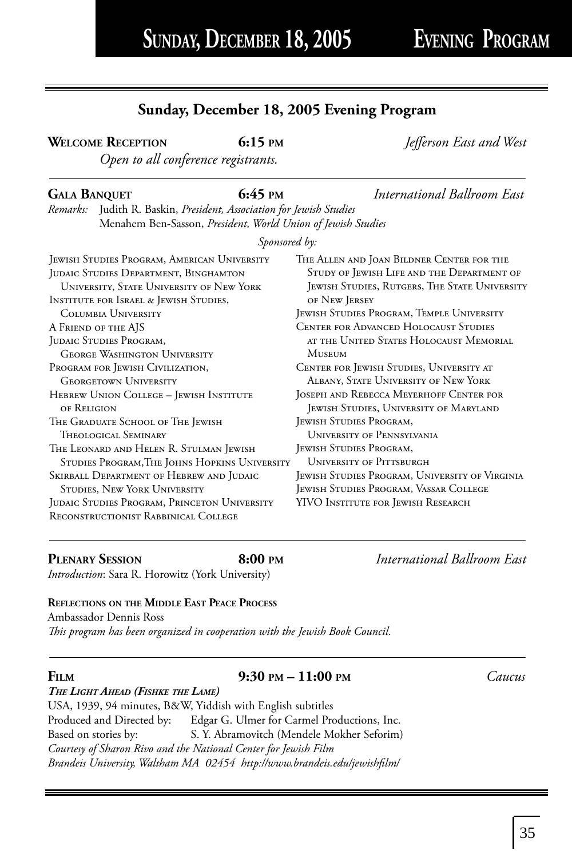### **Sunday, December 18, 2005 Evening Program**

**WELCOME RECEPTION** 6:15 PM *Jefferson East and West* 

*Open to all conference registrants.* 

### **GALA BANQUET 6:45 PM** *International Ballroom East*

*Remarks:* Judith R. Baskin, *President, Association for Jewish Studies* Menahem Ben-Sasson, *President, World Union of Jewish Studies*

### *Sponsored by:*

| <b>JEWISH STUDIES PROGRAM, AMERICAN UNIVERSITY</b>                                   | THE ALLEN AND JOAN BILDNER CENTER FOR THE            |
|--------------------------------------------------------------------------------------|------------------------------------------------------|
| JUDAIC STUDIES DEPARTMENT, BINGHAMTON                                                | STUDY OF JEWISH LIFE AND THE DEPARTMENT OF           |
| UNIVERSITY, STATE UNIVERSITY OF NEW YORK                                             | <b>JEWISH STUDIES, RUTGERS, THE STATE UNIVERSITY</b> |
| <b>INSTITUTE FOR ISRAEL &amp; JEWISH STUDIES,</b>                                    | OF NEW JERSEY                                        |
| COLUMBIA UNIVERSITY                                                                  | JEWISH STUDIES PROGRAM, TEMPLE UNIVERSITY            |
| A FRIEND OF THE AJS                                                                  | <b>CENTER FOR ADVANCED HOLOCAUST STUDIES</b>         |
| JUDAIC STUDIES PROGRAM,                                                              | AT THE UNITED STATES HOLOCAUST MEMORIAL              |
| <b>GEORGE WASHINGTON UNIVERSITY</b>                                                  | <b>MUSEUM</b>                                        |
| PROGRAM FOR JEWISH CIVILIZATION,                                                     | CENTER FOR JEWISH STUDIES, UNIVERSITY AT             |
| <b>GEORGETOWN UNIVERSITY</b>                                                         | ALBANY, STATE UNIVERSITY OF NEW YORK                 |
| HEBREW UNION COLLEGE - JEWISH INSTITUTE                                              | JOSEPH AND REBECCA MEYERHOFF CENTER FOR              |
| OF RELIGION                                                                          | <b>JEWISH STUDIES, UNIVERSITY OF MARYLAND</b>        |
| THE GRADUATE SCHOOL OF THE JEWISH                                                    | JEWISH STUDIES PROGRAM,                              |
| Theological Seminary                                                                 | UNIVERSITY OF PENNSYLVANIA                           |
| THE LEONARD AND HELEN R. STULMAN JEWISH                                              | JEWISH STUDIES PROGRAM,                              |
| STUDIES PROGRAM, THE JOHNS HOPKINS UNIVERSITY                                        | <b>UNIVERSITY OF PITTSBURGH</b>                      |
| SKIRBALL DEPARTMENT OF HEBREW AND JUDAIC                                             | JEWISH STUDIES PROGRAM, UNIVERSITY OF VIRGINIA       |
| <b>STUDIES, NEW YORK UNIVERSITY</b>                                                  | JEWISH STUDIES PROGRAM, VASSAR COLLEGE               |
| JUDAIC STUDIES PROGRAM, PRINCETON UNIVERSITY<br>RECONSTRUCTIONIST RABBINICAL COLLEGE | YIVO INSTITUTE FOR JEWISH RESEARCH                   |

**PLENARY SESSION 8:00 PM** *International Ballroom East Introduction*: Sara R. Horowitz (York University)

### **REFLECTIONS ON THE MIDDLE EAST PEACE PROCESS**

Ambassador Dennis Ross This program has been organized in cooperation with the Jewish Book Council.

### **FILM 9:30 PM – 11:00 PM** *Caucus*

*THE LIGHT AHEAD (FISHKE THE LAME)* USA, 1939, 94 minutes, B&W, Yiddish with English subtitles Produced and Directed by: Edgar G. Ulmer for Carmel Productions, Inc. Based on stories by: S. Y. Abramovitch (Mendele Mokher Seforim) *Courtesy of Sharon Rivo and the National Center for Jewish Film Brandeis University, Waltham MA 02454 http://www.brandeis.edu/jewishfi lm/*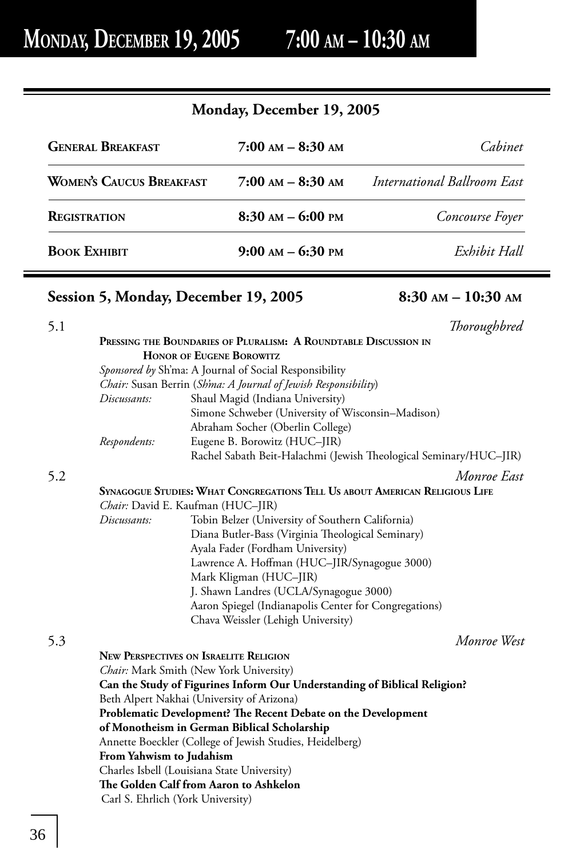### **Monday, December 19, 2005**

| <b>GENERAL BREAKFAST</b>        | $7:00$ AM $-$ 8:30 AM | Cahinet                     |  |
|---------------------------------|-----------------------|-----------------------------|--|
| <b>WOMEN'S CAUCUS BREAKFAST</b> | $7:00$ AM $-$ 8:30 AM | International Ballroom East |  |
| <b>REGISTRATION</b>             | $8:30$ AM $-$ 6:00 PM | Concourse Foyer             |  |
| <b>BOOK EXHIBIT</b>             | $9:00$ AM $-$ 6:30 PM | Exhibit Hall                |  |

### **Session 5, Monday, December 19, 2005 8:30 AM – 10:30 AM**

| 5.1 |                          |                                                                             | Thoroughbred |
|-----|--------------------------|-----------------------------------------------------------------------------|--------------|
|     |                          | PRESSING THE BOUNDARIES OF PLURALISM: A ROUNDTABLE DISCUSSION IN            |              |
|     |                          | <b>HONOR OF EUGENE BOROWITZ</b>                                             |              |
|     |                          | Sponsored by Sh'ma: A Journal of Social Responsibility                      |              |
|     |                          | Chair: Susan Berrin (Sh'ma: A Journal of Jewish Responsibility)             |              |
|     | Discussants:             | Shaul Magid (Indiana University)                                            |              |
|     |                          | Simone Schweber (University of Wisconsin–Madison)                           |              |
|     |                          | Abraham Socher (Oberlin College)                                            |              |
|     | Respondents:             | Eugene B. Borowitz (HUC-JIR)                                                |              |
|     |                          | Rachel Sabath Beit-Halachmi (Jewish Theological Seminary/HUC-JIR)           |              |
| 5.2 |                          |                                                                             | Monroe East  |
|     |                          | SYNAGOGUE STUDIES: WHAT CONGREGATIONS TELL US ABOUT AMERICAN RELIGIOUS LIFE |              |
|     |                          | Chair: David E. Kaufman (HUC-JIR)                                           |              |
|     | Discussants:             | Tobin Belzer (University of Southern California)                            |              |
|     |                          | Diana Butler-Bass (Virginia Theological Seminary)                           |              |
|     |                          | Ayala Fader (Fordham University)                                            |              |
|     |                          | Lawrence A. Hoffman (HUC-JIR/Synagogue 3000)                                |              |
|     |                          | Mark Kligman (HUC-JIR)                                                      |              |
|     |                          | J. Shawn Landres (UCLA/Synagogue 3000)                                      |              |
|     |                          | Aaron Spiegel (Indianapolis Center for Congregations)                       |              |
|     |                          | Chava Weissler (Lehigh University)                                          |              |
| 5.3 |                          |                                                                             | Monroe West  |
|     |                          | <b>NEW PERSPECTIVES ON ISRAELITE RELIGION</b>                               |              |
|     |                          | Chair: Mark Smith (New York University)                                     |              |
|     |                          | Can the Study of Figurines Inform Our Understanding of Biblical Religion?   |              |
|     |                          | Beth Alpert Nakhai (University of Arizona)                                  |              |
|     |                          | Problematic Development? The Recent Debate on the Development               |              |
|     |                          | of Monotheism in German Biblical Scholarship                                |              |
|     |                          | Annette Boeckler (College of Jewish Studies, Heidelberg)                    |              |
|     | From Yahwism to Judahism |                                                                             |              |
|     |                          | Charles Isbell (Louisiana State University)                                 |              |
|     |                          | The Golden Calf from Aaron to Ashkelon                                      |              |
|     |                          | Carl S. Ehrlich (York University)                                           |              |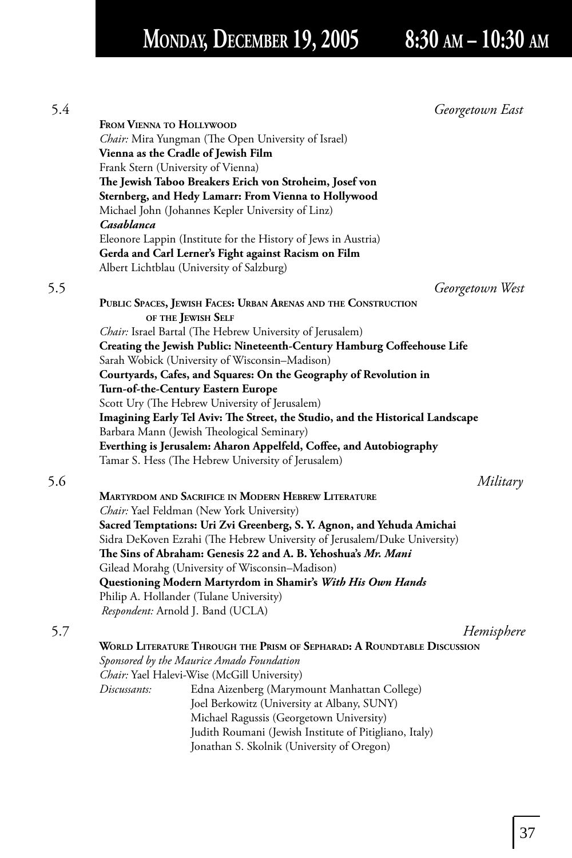## **MONDAY, DECEMBER 19, 2005 8:30 AM – 10:30 AM**

 5.4 *Georgetown East* **FROM VIENNA TO HOLLYWOOD** *Chair:* Mira Yungman (The Open University of Israel) **Vienna as the Cradle of Jewish Film** Frank Stern (University of Vienna) The Jewish Taboo Breakers Erich von Stroheim, Josef von **Sternberg, and Hedy Lamarr: From Vienna to Hollywood** Michael John (Johannes Kepler University of Linz) *Casablanca* Eleonore Lappin (Institute for the History of Jews in Austria) **Gerda and Carl Lerner's Fight against Racism on Film** Albert Lichtblau (University of Salzburg) 5.5 *Georgetown West* **PUBLIC SPACES, JEWISH FACES: URBAN ARENAS AND THE CONSTRUCTION OF THE JEWISH SELF** *Chair:* Israel Bartal (The Hebrew University of Jerusalem) **Creating the Jewish Public: Nineteenth-Century Hamburg Coffeehouse Life**  Sarah Wobick (University of Wisconsin–Madison) **Courtyards, Cafes, and Squares: On the Geography of Revolution in Turn-of-the-Century Eastern Europe** Scott Ury (The Hebrew University of Jerusalem) **Imagining Early Tel Aviv: The Street, the Studio, and the Historical Landscape** Barbara Mann (Jewish Theological Seminary) Everthing is Jerusalem: Aharon Appelfeld, Coffee, and Autobiography Tamar S. Hess (The Hebrew University of Jerusalem) 5.6 *Military* **MARTYRDOM AND SACRIFICE IN MODERN HEBREW LITERATURE** *Chair:* Yael Feldman (New York University) **Sacred Temptations: Uri Zvi Greenberg, S. Y. Agnon, and Yehuda Amichai** Sidra DeKoven Ezrahi (The Hebrew University of Jerusalem/Duke University) The Sins of Abraham: Genesis 22 and A. B. Yehoshua's *Mr. Mani*  Gilead Morahg (University of Wisconsin–Madison) **Questioning Modern Martyrdom in Shamir's** *With His Own Hands* Philip A. Hollander (Tulane University) *Respondent:* Arnold J. Band (UCLA) 5.7 *Hemisphere* **WORLD LITERATURE THROUGH THE PRISM OF SEPHARAD: A ROUNDTABLE DISCUSSION** *Sponsored by the Maurice Amado Foundation Chair:* Yael Halevi-Wise (McGill University) *Discussants:* Edna Aizenberg (Marymount Manhattan College) Joel Berkowitz (University at Albany, SUNY) Michael Ragussis (Georgetown University) Judith Roumani (Jewish Institute of Pitigliano, Italy) Jonathan S. Skolnik (University of Oregon)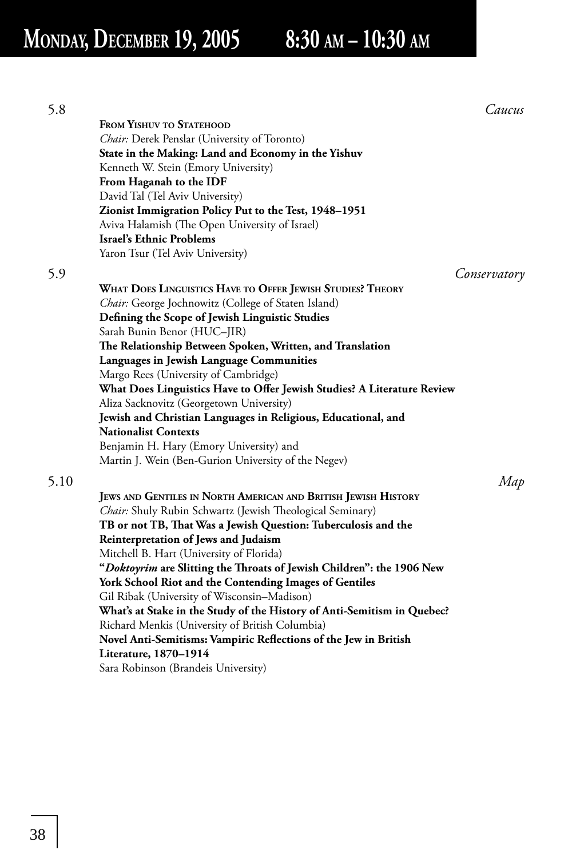## **MONDAY, DECEMBER 19, 2005 8:30 AM – 10:30 AM**

| 5.8  |                                                                         | Caucus       |
|------|-------------------------------------------------------------------------|--------------|
|      | FROM YISHUV TO STATEHOOD                                                |              |
|      | Chair: Derek Penslar (University of Toronto)                            |              |
|      | State in the Making: Land and Economy in the Yishuv                     |              |
|      | Kenneth W. Stein (Emory University)                                     |              |
|      | From Haganah to the IDF                                                 |              |
|      | David Tal (Tel Aviv University)                                         |              |
|      | Zionist Immigration Policy Put to the Test, 1948-1951                   |              |
|      | Aviva Halamish (The Open University of Israel)                          |              |
|      | Israel's Ethnic Problems                                                |              |
|      | Yaron Tsur (Tel Aviv University)                                        |              |
| 5.9  |                                                                         | Conservatory |
|      | WHAT DOES LINGUISTICS HAVE TO OFFER JEWISH STUDIES? THEORY              |              |
|      | Chair: George Jochnowitz (College of Staten Island)                     |              |
|      | Defining the Scope of Jewish Linguistic Studies                         |              |
|      | Sarah Bunin Benor (HUC-JIR)                                             |              |
|      | The Relationship Between Spoken, Written, and Translation               |              |
|      | Languages in Jewish Language Communities                                |              |
|      | Margo Rees (University of Cambridge)                                    |              |
|      | What Does Linguistics Have to Offer Jewish Studies? A Literature Review |              |
|      | Aliza Sacknovitz (Georgetown University)                                |              |
|      | Jewish and Christian Languages in Religious, Educational, and           |              |
|      | <b>Nationalist Contexts</b>                                             |              |
|      | Benjamin H. Hary (Emory University) and                                 |              |
|      | Martin J. Wein (Ben-Gurion University of the Negev)                     |              |
|      |                                                                         |              |
| 5.10 |                                                                         | Map          |
|      | JEWS AND GENTILES IN NORTH AMERICAN AND BRITISH JEWISH HISTORY          |              |
|      | Chair: Shuly Rubin Schwartz (Jewish Theological Seminary)               |              |
|      | TB or not TB, That Was a Jewish Question: Tuberculosis and the          |              |
|      | Reinterpretation of Jews and Judaism                                    |              |
|      | Mitchell B. Hart (University of Florida)                                |              |
|      | "Doktoyrim are Slitting the Throats of Jewish Children": the 1906 New   |              |
|      | York School Riot and the Contending Images of Gentiles                  |              |
|      | Gil Ribak (University of Wisconsin-Madison)                             |              |
|      | What's at Stake in the Study of the History of Anti-Semitism in Quebec? |              |
|      | Richard Menkis (University of British Columbia)                         |              |
|      | Novel Anti-Semitisms: Vampiric Reflections of the Jew in British        |              |
|      | Literature, 1870-1914                                                   |              |
|      | Sara Robinson (Brandeis University)                                     |              |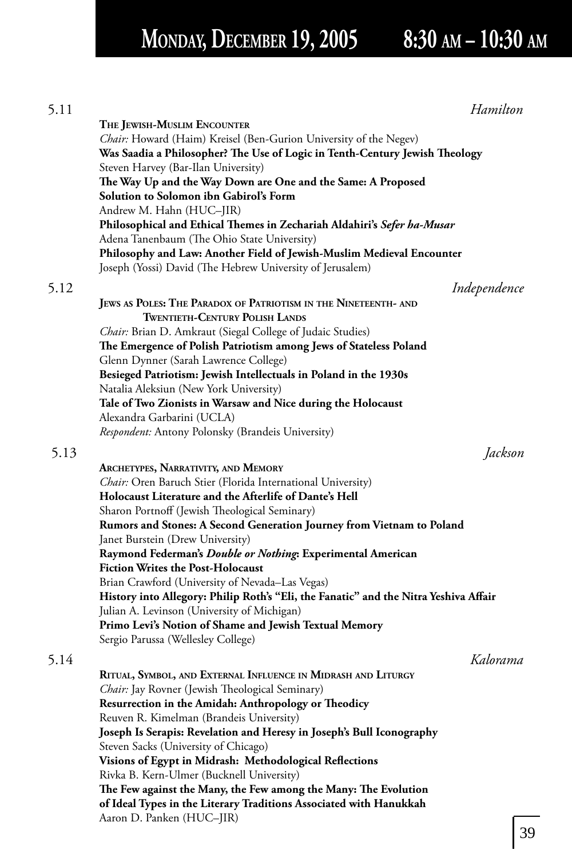# **MONDAY, DECEMBER 19, 2005 8:30 AM – 10:30 AM**

| 5.11 |                                                                                                            | Hamilton     |    |
|------|------------------------------------------------------------------------------------------------------------|--------------|----|
|      | THE JEWISH-MUSLIM ENCOUNTER                                                                                |              |    |
|      | Chair: Howard (Haim) Kreisel (Ben-Gurion University of the Negev)                                          |              |    |
|      | Was Saadia a Philosopher? The Use of Logic in Tenth-Century Jewish Theology                                |              |    |
|      | Steven Harvey (Bar-Ilan University)                                                                        |              |    |
|      | The Way Up and the Way Down are One and the Same: A Proposed                                               |              |    |
|      | Solution to Solomon ibn Gabirol's Form                                                                     |              |    |
|      | Andrew M. Hahn (HUC-JIR)                                                                                   |              |    |
|      | Philosophical and Ethical Themes in Zechariah Aldahiri's Sefer ha-Musar                                    |              |    |
|      | Adena Tanenbaum (The Ohio State University)                                                                |              |    |
|      | Philosophy and Law: Another Field of Jewish-Muslim Medieval Encounter                                      |              |    |
|      | Joseph (Yossi) David (The Hebrew University of Jerusalem)                                                  |              |    |
| 5.12 |                                                                                                            | Independence |    |
|      | JEWS AS POLES: THE PARADOX OF PATRIOTISM IN THE NINETEENTH- AND                                            |              |    |
|      | <b>TWENTIETH-CENTURY POLISH LANDS</b>                                                                      |              |    |
|      |                                                                                                            |              |    |
|      | Chair: Brian D. Amkraut (Siegal College of Judaic Studies)                                                 |              |    |
|      | The Emergence of Polish Patriotism among Jews of Stateless Poland<br>Glenn Dynner (Sarah Lawrence College) |              |    |
|      |                                                                                                            |              |    |
|      | Besieged Patriotism: Jewish Intellectuals in Poland in the 1930s                                           |              |    |
|      | Natalia Aleksiun (New York University)<br>Tale of Two Zionists in Warsaw and Nice during the Holocaust     |              |    |
|      | Alexandra Garbarini (UCLA)                                                                                 |              |    |
|      | Respondent: Antony Polonsky (Brandeis University)                                                          |              |    |
|      |                                                                                                            |              |    |
| 5.13 |                                                                                                            | Jackson      |    |
|      | ARCHETYPES, NARRATIVITY, AND MEMORY                                                                        |              |    |
|      | Chair: Oren Baruch Stier (Florida International University)                                                |              |    |
|      | Holocaust Literature and the Afterlife of Dante's Hell                                                     |              |    |
|      | Sharon Portnoff (Jewish Theological Seminary)                                                              |              |    |
|      | Rumors and Stones: A Second Generation Journey from Vietnam to Poland                                      |              |    |
|      | Janet Burstein (Drew University)                                                                           |              |    |
|      | Raymond Federman's Double or Nothing: Experimental American                                                |              |    |
|      | Fiction Writes the Post-Holocaust                                                                          |              |    |
|      | Brian Crawford (University of Nevada-Las Vegas)                                                            |              |    |
|      | History into Allegory: Philip Roth's "Eli, the Fanatic" and the Nitra Yeshiva Affair                       |              |    |
|      | Julian A. Levinson (University of Michigan)                                                                |              |    |
|      | Primo Levi's Notion of Shame and Jewish Textual Memory                                                     |              |    |
|      | Sergio Parussa (Wellesley College)                                                                         |              |    |
| 5.14 |                                                                                                            | Kalorama     |    |
|      | RITUAL, SYMBOL, AND EXTERNAL INFLUENCE IN MIDRASH AND LITURGY                                              |              |    |
|      | Chair: Jay Rovner (Jewish Theological Seminary)                                                            |              |    |
|      | Resurrection in the Amidah: Anthropology or Theodicy                                                       |              |    |
|      | Reuven R. Kimelman (Brandeis University)                                                                   |              |    |
|      | Joseph Is Serapis: Revelation and Heresy in Joseph's Bull Iconography                                      |              |    |
|      | Steven Sacks (University of Chicago)                                                                       |              |    |
|      | Visions of Egypt in Midrash: Methodological Reflections                                                    |              |    |
|      | Rivka B. Kern-Ulmer (Bucknell University)                                                                  |              |    |
|      | The Few against the Many, the Few among the Many: The Evolution                                            |              |    |
|      | of Ideal Types in the Literary Traditions Associated with Hanukkah                                         |              |    |
|      | Aaron D. Panken (HUC–JIR)                                                                                  |              |    |
|      |                                                                                                            |              | 39 |
|      |                                                                                                            |              |    |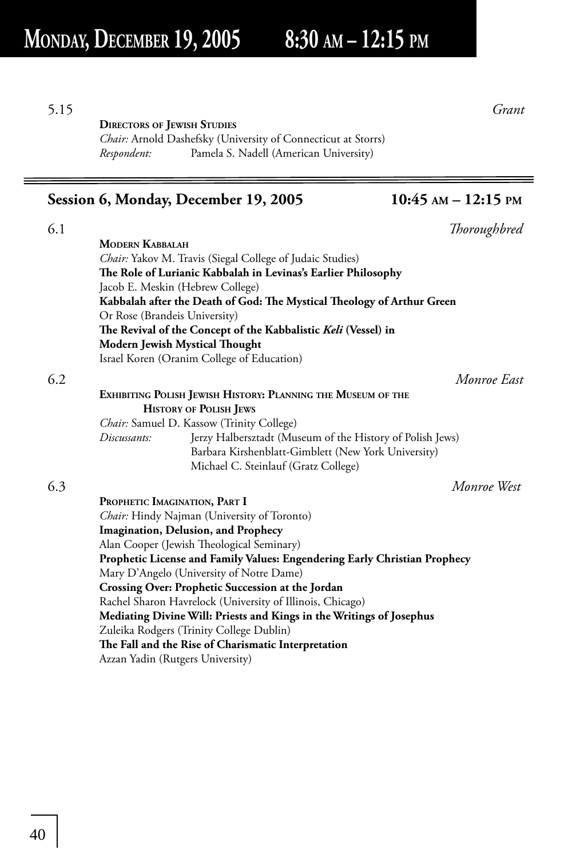5.15 *Grant*

### **DIRECTORS OF JEWISH STUDIES**

*Chair:* Arnold Dashefsky (University of Connecticut at Storrs) *Respondent:* Pamela S. Nadell (American University)

### **Session 6, Monday, December 19, 2005 10:45 AM – 12:15 PM**

| 6.1 |                                                                           | Thoroughbred |
|-----|---------------------------------------------------------------------------|--------------|
|     | <b>MODERN KABBALAH</b>                                                    |              |
|     | <i>Chair:</i> Yakov M. Travis (Siegal College of Judaic Studies)          |              |
|     | The Role of Lurianic Kabbalah in Levinas's Earlier Philosophy             |              |
|     | Jacob E. Meskin (Hebrew College)                                          |              |
|     | Kabbalah after the Death of God: The Mystical Theology of Arthur Green    |              |
|     | Or Rose (Brandeis University)                                             |              |
|     | The Revival of the Concept of the Kabbalistic Keli (Vessel) in            |              |
|     | Modern Jewish Mystical Thought                                            |              |
|     | Israel Koren (Oranim College of Education)                                |              |
| 6.2 |                                                                           | Monroe East  |
|     | EXHIBITING POLISH JEWISH HISTORY: PLANNING THE MUSEUM OF THE              |              |
|     | <b>HISTORY OF POLISH JEWS</b>                                             |              |
|     | Chair: Samuel D. Kassow (Trinity College)                                 |              |
|     | Jerzy Halbersztadt (Museum of the History of Polish Jews)<br>Discussants: |              |
|     | Barbara Kirshenblatt-Gimblett (New York University)                       |              |
|     | Michael C. Steinlauf (Gratz College)                                      |              |
| 6.3 |                                                                           | Monroe West  |
|     | PROPHETIC IMAGINATION, PART I                                             |              |
|     | Chair: Hindy Najman (University of Toronto)                               |              |
|     | Imagination, Delusion, and Prophecy                                       |              |
|     | Alan Cooper (Jewish Theological Seminary)                                 |              |

**Prophetic License and Family Values: Engendering Early Christian Prophecy**

**Mediating Divine Will: Priests and Kings in the Writings of Josephus**

 Mary D'Angelo (University of Notre Dame) **Crossing Over: Prophetic Succession at the Jordan** Rachel Sharon Havrelock (University of Illinois, Chicago)

Zuleika Rodgers (Trinity College Dublin)

Azzan Yadin (Rutgers University)

The Fall and the Rise of Charismatic Interpretation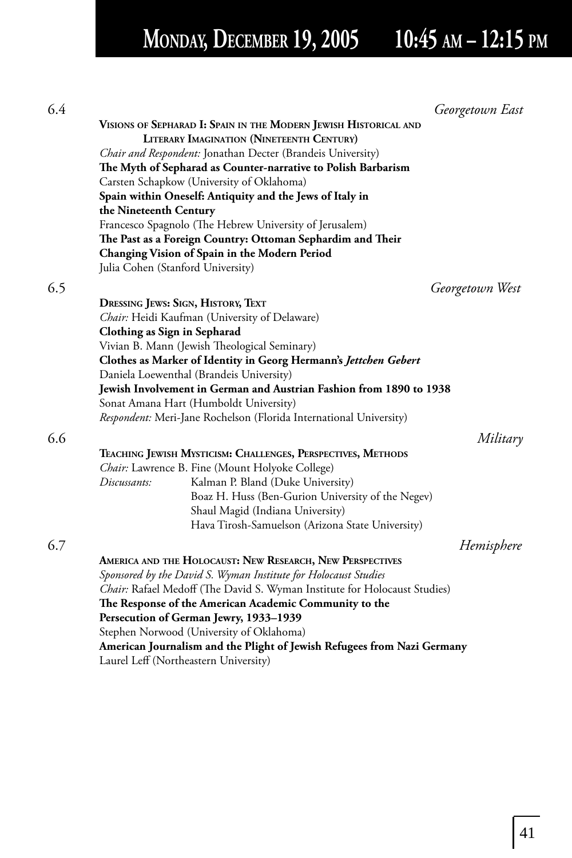# **MONDAY, DECEMBER 19, 2005 10:45 AM – 12:15 PM**

| VISIONS OF SEPHARAD I: SPAIN IN THE MODERN JEWISH HISTORICAL AND<br><b>LITERARY IMAGINATION (NINETEENTH CENTURY)</b><br>Chair and Respondent: Jonathan Decter (Brandeis University)<br>The Myth of Sepharad as Counter-narrative to Polish Barbarism<br>Carsten Schapkow (University of Oklahoma)<br>Spain within Oneself: Antiquity and the Jews of Italy in<br>the Nineteenth Century<br>Francesco Spagnolo (The Hebrew University of Jerusalem)<br>The Past as a Foreign Country: Ottoman Sephardim and Their<br>Changing Vision of Spain in the Modern Period<br>Julia Cohen (Stanford University)<br>Georgetown West<br>DRESSING JEWS: SIGN, HISTORY, TEXT<br>Chair: Heidi Kaufman (University of Delaware)<br>Clothing as Sign in Sepharad<br>Vivian B. Mann (Jewish Theological Seminary)<br>Clothes as Marker of Identity in Georg Hermann's Jettchen Gebert<br>Daniela Loewenthal (Brandeis University)<br>Jewish Involvement in German and Austrian Fashion from 1890 to 1938<br>Sonat Amana Hart (Humboldt University)<br>Respondent: Meri-Jane Rochelson (Florida International University)<br>Military<br>TEACHING JEWISH MYSTICISM: CHALLENGES, PERSPECTIVES, METHODS<br>Chair: Lawrence B. Fine (Mount Holyoke College)<br>Discussants:<br>Kalman P. Bland (Duke University)<br>Boaz H. Huss (Ben-Gurion University of the Negev)<br>Shaul Magid (Indiana University)<br>Hava Tirosh-Samuelson (Arizona State University)<br>Hemisphere<br>AMERICA AND THE HOLOCAUST: NEW RESEARCH, NEW PERSPECTIVES<br>Sponsored by the David S. Wyman Institute for Holocaust Studies<br>Chair: Rafael Medoff (The David S. Wyman Institute for Holocaust Studies)<br>The Response of the American Academic Community to the<br>Persecution of German Jewry, 1933-1939<br>Stephen Norwood (University of Oklahoma)<br>American Journalism and the Plight of Jewish Refugees from Nazi Germany<br>Laurel Leff (Northeastern University) | 6.4 | Georgetown East |
|-----------------------------------------------------------------------------------------------------------------------------------------------------------------------------------------------------------------------------------------------------------------------------------------------------------------------------------------------------------------------------------------------------------------------------------------------------------------------------------------------------------------------------------------------------------------------------------------------------------------------------------------------------------------------------------------------------------------------------------------------------------------------------------------------------------------------------------------------------------------------------------------------------------------------------------------------------------------------------------------------------------------------------------------------------------------------------------------------------------------------------------------------------------------------------------------------------------------------------------------------------------------------------------------------------------------------------------------------------------------------------------------------------------------------------------------------------------------------------------------------------------------------------------------------------------------------------------------------------------------------------------------------------------------------------------------------------------------------------------------------------------------------------------------------------------------------------------------------------------------------------------------------------------------------------------------|-----|-----------------|
|                                                                                                                                                                                                                                                                                                                                                                                                                                                                                                                                                                                                                                                                                                                                                                                                                                                                                                                                                                                                                                                                                                                                                                                                                                                                                                                                                                                                                                                                                                                                                                                                                                                                                                                                                                                                                                                                                                                                         |     |                 |
|                                                                                                                                                                                                                                                                                                                                                                                                                                                                                                                                                                                                                                                                                                                                                                                                                                                                                                                                                                                                                                                                                                                                                                                                                                                                                                                                                                                                                                                                                                                                                                                                                                                                                                                                                                                                                                                                                                                                         |     |                 |
|                                                                                                                                                                                                                                                                                                                                                                                                                                                                                                                                                                                                                                                                                                                                                                                                                                                                                                                                                                                                                                                                                                                                                                                                                                                                                                                                                                                                                                                                                                                                                                                                                                                                                                                                                                                                                                                                                                                                         |     |                 |
|                                                                                                                                                                                                                                                                                                                                                                                                                                                                                                                                                                                                                                                                                                                                                                                                                                                                                                                                                                                                                                                                                                                                                                                                                                                                                                                                                                                                                                                                                                                                                                                                                                                                                                                                                                                                                                                                                                                                         |     |                 |
|                                                                                                                                                                                                                                                                                                                                                                                                                                                                                                                                                                                                                                                                                                                                                                                                                                                                                                                                                                                                                                                                                                                                                                                                                                                                                                                                                                                                                                                                                                                                                                                                                                                                                                                                                                                                                                                                                                                                         |     |                 |
|                                                                                                                                                                                                                                                                                                                                                                                                                                                                                                                                                                                                                                                                                                                                                                                                                                                                                                                                                                                                                                                                                                                                                                                                                                                                                                                                                                                                                                                                                                                                                                                                                                                                                                                                                                                                                                                                                                                                         |     |                 |
|                                                                                                                                                                                                                                                                                                                                                                                                                                                                                                                                                                                                                                                                                                                                                                                                                                                                                                                                                                                                                                                                                                                                                                                                                                                                                                                                                                                                                                                                                                                                                                                                                                                                                                                                                                                                                                                                                                                                         |     |                 |
|                                                                                                                                                                                                                                                                                                                                                                                                                                                                                                                                                                                                                                                                                                                                                                                                                                                                                                                                                                                                                                                                                                                                                                                                                                                                                                                                                                                                                                                                                                                                                                                                                                                                                                                                                                                                                                                                                                                                         |     |                 |
|                                                                                                                                                                                                                                                                                                                                                                                                                                                                                                                                                                                                                                                                                                                                                                                                                                                                                                                                                                                                                                                                                                                                                                                                                                                                                                                                                                                                                                                                                                                                                                                                                                                                                                                                                                                                                                                                                                                                         |     |                 |
|                                                                                                                                                                                                                                                                                                                                                                                                                                                                                                                                                                                                                                                                                                                                                                                                                                                                                                                                                                                                                                                                                                                                                                                                                                                                                                                                                                                                                                                                                                                                                                                                                                                                                                                                                                                                                                                                                                                                         |     |                 |
|                                                                                                                                                                                                                                                                                                                                                                                                                                                                                                                                                                                                                                                                                                                                                                                                                                                                                                                                                                                                                                                                                                                                                                                                                                                                                                                                                                                                                                                                                                                                                                                                                                                                                                                                                                                                                                                                                                                                         | 6.5 |                 |
|                                                                                                                                                                                                                                                                                                                                                                                                                                                                                                                                                                                                                                                                                                                                                                                                                                                                                                                                                                                                                                                                                                                                                                                                                                                                                                                                                                                                                                                                                                                                                                                                                                                                                                                                                                                                                                                                                                                                         |     |                 |
|                                                                                                                                                                                                                                                                                                                                                                                                                                                                                                                                                                                                                                                                                                                                                                                                                                                                                                                                                                                                                                                                                                                                                                                                                                                                                                                                                                                                                                                                                                                                                                                                                                                                                                                                                                                                                                                                                                                                         |     |                 |
|                                                                                                                                                                                                                                                                                                                                                                                                                                                                                                                                                                                                                                                                                                                                                                                                                                                                                                                                                                                                                                                                                                                                                                                                                                                                                                                                                                                                                                                                                                                                                                                                                                                                                                                                                                                                                                                                                                                                         |     |                 |
|                                                                                                                                                                                                                                                                                                                                                                                                                                                                                                                                                                                                                                                                                                                                                                                                                                                                                                                                                                                                                                                                                                                                                                                                                                                                                                                                                                                                                                                                                                                                                                                                                                                                                                                                                                                                                                                                                                                                         |     |                 |
|                                                                                                                                                                                                                                                                                                                                                                                                                                                                                                                                                                                                                                                                                                                                                                                                                                                                                                                                                                                                                                                                                                                                                                                                                                                                                                                                                                                                                                                                                                                                                                                                                                                                                                                                                                                                                                                                                                                                         |     |                 |
|                                                                                                                                                                                                                                                                                                                                                                                                                                                                                                                                                                                                                                                                                                                                                                                                                                                                                                                                                                                                                                                                                                                                                                                                                                                                                                                                                                                                                                                                                                                                                                                                                                                                                                                                                                                                                                                                                                                                         |     |                 |
|                                                                                                                                                                                                                                                                                                                                                                                                                                                                                                                                                                                                                                                                                                                                                                                                                                                                                                                                                                                                                                                                                                                                                                                                                                                                                                                                                                                                                                                                                                                                                                                                                                                                                                                                                                                                                                                                                                                                         |     |                 |
|                                                                                                                                                                                                                                                                                                                                                                                                                                                                                                                                                                                                                                                                                                                                                                                                                                                                                                                                                                                                                                                                                                                                                                                                                                                                                                                                                                                                                                                                                                                                                                                                                                                                                                                                                                                                                                                                                                                                         |     |                 |
|                                                                                                                                                                                                                                                                                                                                                                                                                                                                                                                                                                                                                                                                                                                                                                                                                                                                                                                                                                                                                                                                                                                                                                                                                                                                                                                                                                                                                                                                                                                                                                                                                                                                                                                                                                                                                                                                                                                                         |     |                 |
|                                                                                                                                                                                                                                                                                                                                                                                                                                                                                                                                                                                                                                                                                                                                                                                                                                                                                                                                                                                                                                                                                                                                                                                                                                                                                                                                                                                                                                                                                                                                                                                                                                                                                                                                                                                                                                                                                                                                         | 6.6 |                 |
|                                                                                                                                                                                                                                                                                                                                                                                                                                                                                                                                                                                                                                                                                                                                                                                                                                                                                                                                                                                                                                                                                                                                                                                                                                                                                                                                                                                                                                                                                                                                                                                                                                                                                                                                                                                                                                                                                                                                         |     |                 |
|                                                                                                                                                                                                                                                                                                                                                                                                                                                                                                                                                                                                                                                                                                                                                                                                                                                                                                                                                                                                                                                                                                                                                                                                                                                                                                                                                                                                                                                                                                                                                                                                                                                                                                                                                                                                                                                                                                                                         |     |                 |
|                                                                                                                                                                                                                                                                                                                                                                                                                                                                                                                                                                                                                                                                                                                                                                                                                                                                                                                                                                                                                                                                                                                                                                                                                                                                                                                                                                                                                                                                                                                                                                                                                                                                                                                                                                                                                                                                                                                                         |     |                 |
|                                                                                                                                                                                                                                                                                                                                                                                                                                                                                                                                                                                                                                                                                                                                                                                                                                                                                                                                                                                                                                                                                                                                                                                                                                                                                                                                                                                                                                                                                                                                                                                                                                                                                                                                                                                                                                                                                                                                         |     |                 |
|                                                                                                                                                                                                                                                                                                                                                                                                                                                                                                                                                                                                                                                                                                                                                                                                                                                                                                                                                                                                                                                                                                                                                                                                                                                                                                                                                                                                                                                                                                                                                                                                                                                                                                                                                                                                                                                                                                                                         |     |                 |
|                                                                                                                                                                                                                                                                                                                                                                                                                                                                                                                                                                                                                                                                                                                                                                                                                                                                                                                                                                                                                                                                                                                                                                                                                                                                                                                                                                                                                                                                                                                                                                                                                                                                                                                                                                                                                                                                                                                                         |     |                 |
|                                                                                                                                                                                                                                                                                                                                                                                                                                                                                                                                                                                                                                                                                                                                                                                                                                                                                                                                                                                                                                                                                                                                                                                                                                                                                                                                                                                                                                                                                                                                                                                                                                                                                                                                                                                                                                                                                                                                         | 6.7 |                 |
|                                                                                                                                                                                                                                                                                                                                                                                                                                                                                                                                                                                                                                                                                                                                                                                                                                                                                                                                                                                                                                                                                                                                                                                                                                                                                                                                                                                                                                                                                                                                                                                                                                                                                                                                                                                                                                                                                                                                         |     |                 |
|                                                                                                                                                                                                                                                                                                                                                                                                                                                                                                                                                                                                                                                                                                                                                                                                                                                                                                                                                                                                                                                                                                                                                                                                                                                                                                                                                                                                                                                                                                                                                                                                                                                                                                                                                                                                                                                                                                                                         |     |                 |
|                                                                                                                                                                                                                                                                                                                                                                                                                                                                                                                                                                                                                                                                                                                                                                                                                                                                                                                                                                                                                                                                                                                                                                                                                                                                                                                                                                                                                                                                                                                                                                                                                                                                                                                                                                                                                                                                                                                                         |     |                 |
|                                                                                                                                                                                                                                                                                                                                                                                                                                                                                                                                                                                                                                                                                                                                                                                                                                                                                                                                                                                                                                                                                                                                                                                                                                                                                                                                                                                                                                                                                                                                                                                                                                                                                                                                                                                                                                                                                                                                         |     |                 |
|                                                                                                                                                                                                                                                                                                                                                                                                                                                                                                                                                                                                                                                                                                                                                                                                                                                                                                                                                                                                                                                                                                                                                                                                                                                                                                                                                                                                                                                                                                                                                                                                                                                                                                                                                                                                                                                                                                                                         |     |                 |
|                                                                                                                                                                                                                                                                                                                                                                                                                                                                                                                                                                                                                                                                                                                                                                                                                                                                                                                                                                                                                                                                                                                                                                                                                                                                                                                                                                                                                                                                                                                                                                                                                                                                                                                                                                                                                                                                                                                                         |     |                 |
|                                                                                                                                                                                                                                                                                                                                                                                                                                                                                                                                                                                                                                                                                                                                                                                                                                                                                                                                                                                                                                                                                                                                                                                                                                                                                                                                                                                                                                                                                                                                                                                                                                                                                                                                                                                                                                                                                                                                         |     |                 |
|                                                                                                                                                                                                                                                                                                                                                                                                                                                                                                                                                                                                                                                                                                                                                                                                                                                                                                                                                                                                                                                                                                                                                                                                                                                                                                                                                                                                                                                                                                                                                                                                                                                                                                                                                                                                                                                                                                                                         |     |                 |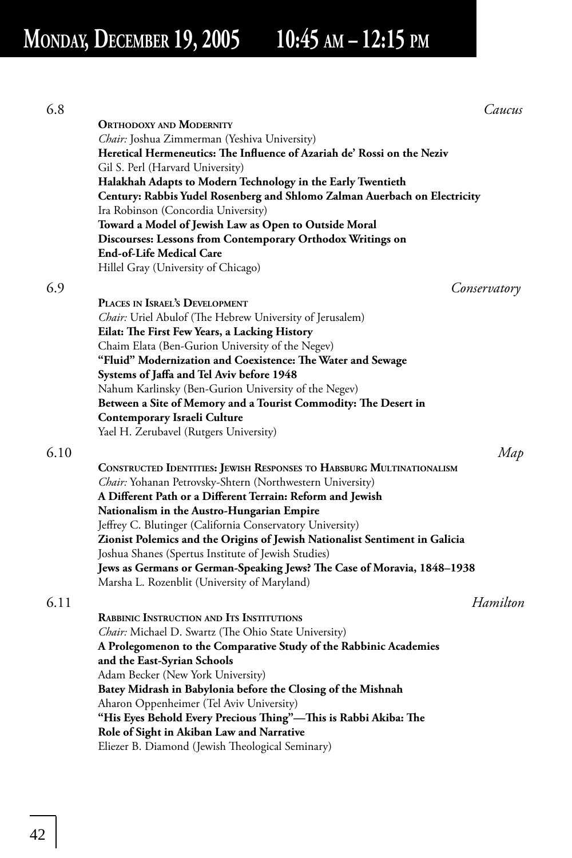# **MONDAY, DECEMBER 19, 2005 10:45 AM – 12:15 PM**

| 6.8  | Caucus                                                                                                                  |
|------|-------------------------------------------------------------------------------------------------------------------------|
|      | <b>ORTHODOXY AND MODERNITY</b>                                                                                          |
|      | <i>Chair</i> : Joshua Zimmerman (Yeshiva University)                                                                    |
|      | Heretical Hermeneutics: The Influence of Azariah de' Rossi on the Neziv                                                 |
|      | Gil S. Perl (Harvard University)                                                                                        |
|      | Halakhah Adapts to Modern Technology in the Early Twentieth                                                             |
|      | Century: Rabbis Yudel Rosenberg and Shlomo Zalman Auerbach on Electricity                                               |
|      | Ira Robinson (Concordia University)                                                                                     |
|      | Toward a Model of Jewish Law as Open to Outside Moral                                                                   |
|      | Discourses: Lessons from Contemporary Orthodox Writings on                                                              |
|      | <b>End-of-Life Medical Care</b>                                                                                         |
|      | Hillel Gray (University of Chicago)                                                                                     |
| 6.9  | Conservatory                                                                                                            |
|      | PLACES IN ISRAEL'S DEVELOPMENT                                                                                          |
|      | <i>Chair:</i> Uriel Abulof (The Hebrew University of Jerusalem)                                                         |
|      | Eilat: The First Few Years, a Lacking History                                                                           |
|      | Chaim Elata (Ben-Gurion University of the Negev)                                                                        |
|      | "Fluid" Modernization and Coexistence: The Water and Sewage                                                             |
|      | Systems of Jaffa and Tel Aviv before 1948                                                                               |
|      | Nahum Karlinsky (Ben-Gurion University of the Negev)<br>Between a Site of Memory and a Tourist Commodity: The Desert in |
|      | Contemporary Israeli Culture                                                                                            |
|      | Yael H. Zerubavel (Rutgers University)                                                                                  |
|      |                                                                                                                         |
| 6.10 | Map                                                                                                                     |
|      | <b>CONSTRUCTED IDENTITIES: JEWISH RESPONSES TO HABSBURG MULTINATIONALISM</b>                                            |
|      | Chair: Yohanan Petrovsky-Shtern (Northwestern University)                                                               |
|      | A Different Path or a Different Terrain: Reform and Jewish                                                              |
|      | Nationalism in the Austro-Hungarian Empire<br>Jeffrey C. Blutinger (California Conservatory University)                 |
|      | Zionist Polemics and the Origins of Jewish Nationalist Sentiment in Galicia                                             |
|      | Joshua Shanes (Spertus Institute of Jewish Studies)                                                                     |
|      | Jews as Germans or German-Speaking Jews? The Case of Moravia, 1848-1938                                                 |
|      | Marsha L. Rozenblit (University of Maryland)                                                                            |
| 6.11 | Hamilton                                                                                                                |
|      | <b>RABBINIC INSTRUCTION AND ITS INSTITUTIONS</b>                                                                        |
|      | <i>Chair:</i> Michael D. Swartz (The Ohio State University)                                                             |
|      | A Prolegomenon to the Comparative Study of the Rabbinic Academies                                                       |
|      | and the East-Syrian Schools                                                                                             |
|      | Adam Becker (New York University)                                                                                       |
|      | Batey Midrash in Babylonia before the Closing of the Mishnah                                                            |
|      | Aharon Oppenheimer (Tel Aviv University)                                                                                |
|      | "His Eyes Behold Every Precious Thing"-This is Rabbi Akiba: The                                                         |
|      | Role of Sight in Akiban Law and Narrative                                                                               |
|      | Eliezer B. Diamond (Jewish Theological Seminary)                                                                        |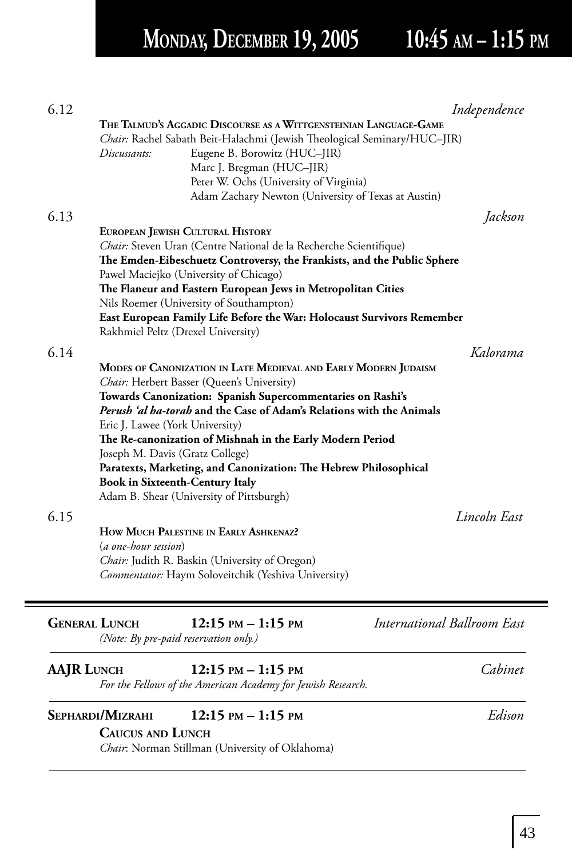## **MONDAY, DECEMBER 19, 2005 10:45 AM – 1:15 PM**

| 6.12                 | THE TALMUD'S AGGADIC DISCOURSE AS A WITTGENSTEINIAN LANGUAGE-GAME<br><i>Chair:</i> Rachel Sabath Beit-Halachmi (Jewish Theological Seminary/HUC–JIR)<br>Discussants:<br>Eugene B. Borowitz (HUC-JIR)<br>Marc J. Bregman (HUC–JIR)<br>Peter W. Ochs (University of Virginia)<br>Adam Zachary Newton (University of Texas at Austin)                                                                                                                                                                                                                                                                                                                                                                                                        | Independence             |
|----------------------|-------------------------------------------------------------------------------------------------------------------------------------------------------------------------------------------------------------------------------------------------------------------------------------------------------------------------------------------------------------------------------------------------------------------------------------------------------------------------------------------------------------------------------------------------------------------------------------------------------------------------------------------------------------------------------------------------------------------------------------------|--------------------------|
| 6.13                 | EUROPEAN JEWISH CULTURAL HISTORY<br><i>Chair:</i> Steven Uran (Centre National de la Recherche Scientifique)<br>The Emden-Eibeschuetz Controversy, the Frankists, and the Public Sphere<br>Pawel Maciejko (University of Chicago)<br>The Flaneur and Eastern European Jews in Metropolitan Cities<br>Nils Roemer (University of Southampton)<br>East European Family Life Before the War: Holocaust Survivors Remember<br>Rakhmiel Peltz (Drexel University)                                                                                                                                                                                                                                                                              | Jackson                  |
| 6.14<br>6.15         | MODES OF CANONIZATION IN LATE MEDIEVAL AND EARLY MODERN JUDAISM<br>Chair: Herbert Basser (Queen's University)<br>Towards Canonization: Spanish Supercommentaries on Rashi's<br><i>Perush 'al ba-torab</i> and the Case of Adam's Relations with the Animals<br>Eric J. Lawee (York University)<br>The Re-canonization of Mishnah in the Early Modern Period<br>Joseph M. Davis (Gratz College)<br>Paratexts, Marketing, and Canonization: The Hebrew Philosophical<br><b>Book in Sixteenth-Century Italy</b><br>Adam B. Shear (University of Pittsburgh)<br>HOW MUCH PALESTINE IN EARLY ASHKENAZ?<br>(a one-hour session)<br><i>Chair:</i> Judith R. Baskin (University of Oregon)<br>Commentator: Haym Soloveitchik (Yeshiva University) | Kalorama<br>Lincoln East |
| <b>GENERAL LUNCH</b> | <b>International Ballroom East</b><br>$12:15$ PM $- 1:15$ PM<br>(Note: By pre-paid reservation only.)                                                                                                                                                                                                                                                                                                                                                                                                                                                                                                                                                                                                                                     |                          |
| <b>AAJR LUNCH</b>    | $12:15$ PM $- 1:15$ PM<br>For the Fellows of the American Academy for Jewish Research.                                                                                                                                                                                                                                                                                                                                                                                                                                                                                                                                                                                                                                                    | Cabinet                  |
|                      | SEPHARDI/MIZRAHI<br>$12:15$ PM $-1:15$ PM<br><b>CAUCUS AND LUNCH</b><br>Chair: Norman Stillman (University of Oklahoma)                                                                                                                                                                                                                                                                                                                                                                                                                                                                                                                                                                                                                   | Edison                   |

 $\equiv$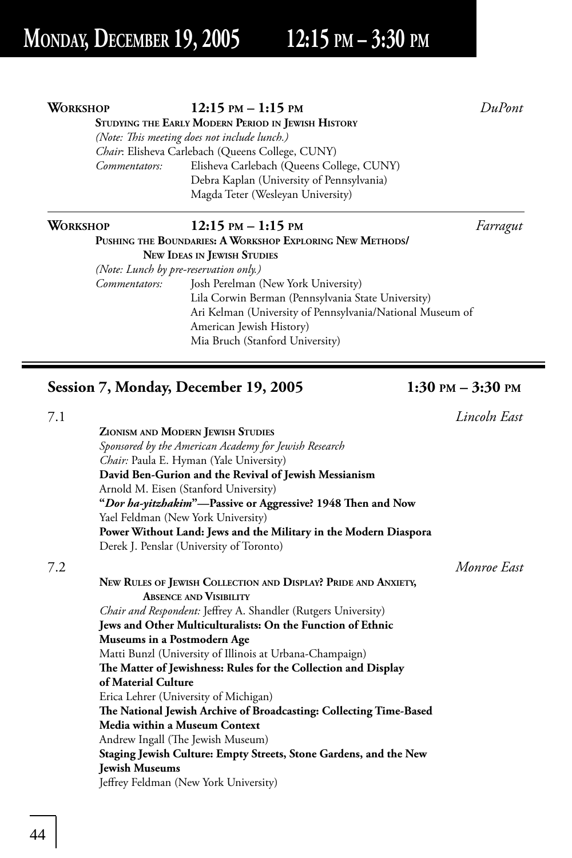### **STUDYING THE EARLY MODERN PERIOD IN JEWISH HISTORY** *(Note: This meeting does not include lunch.) Chair*: Elisheva Carlebach (Queens College, CUNY) *Commentators:* Elisheva Carlebach (Queens College, CUNY) Debra Kaplan (University of Pennsylvania) Magda Teter (Wesleyan University) **WORKSHOP 12:15 PM – 1:15 PM** *Farragut* **PUSHING THE BOUNDARIES: A WORKSHOP EXPLORING NEW METHODS/ NEW IDEAS IN JEWISH STUDIES**

 *(Note: Lunch by pre-reservation only.) Commentators:* Josh Perelman (New York University) Lila Corwin Berman (Pennsylvania State University) Ari Kelman (University of Pennsylvania/National Museum of American Jewish History)

Mia Bruch (Stanford University)

**Session 7, Monday, December 19, 2005 1:30 PM – 3:30 PM**

|     | <b>ZIONISM AND MODERN JEWISH STUDIES</b>                           |             |
|-----|--------------------------------------------------------------------|-------------|
|     | Sponsored by the American Academy for Jewish Research              |             |
|     | <i>Chair:</i> Paula E. Hyman (Yale University)                     |             |
|     | David Ben-Gurion and the Revival of Jewish Messianism              |             |
|     | Arnold M. Eisen (Stanford University)                              |             |
|     | "Dor ha-yitzhakim"—Passive or Aggressive? 1948 Then and Now        |             |
|     | Yael Feldman (New York University)                                 |             |
|     | Power Without Land: Jews and the Military in the Modern Diaspora   |             |
|     | Derek J. Penslar (University of Toronto)                           |             |
| 7.2 |                                                                    | Monroe East |
|     | NEW RULES OF JEWISH COLLECTION AND DISPLAY? PRIDE AND ANXIETY,     |             |
|     | <b>ABSENCE AND VISIBILITY</b>                                      |             |
|     | Chair and Respondent: Jeffrey A. Shandler (Rutgers University)     |             |
|     | Jews and Other Multiculturalists: On the Function of Ethnic        |             |
|     | Museums in a Postmodern Age                                        |             |
|     | Matti Bunzl (University of Illinois at Urbana-Champaign)           |             |
|     | The Matter of Jewishness: Rules for the Collection and Display     |             |
|     | of Material Culture                                                |             |
|     | Erica Lehrer (University of Michigan)                              |             |
|     | The National Jewish Archive of Broadcasting: Collecting Time-Based |             |
|     | Media within a Museum Context                                      |             |
|     | Andrew Ingall (The Jewish Museum)                                  |             |
|     | Staging Jewish Culture: Empty Streets, Stone Gardens, and the New  |             |
|     | <b>Jewish Museums</b>                                              |             |
|     | Jeffrey Feldman (New York University)                              |             |
|     |                                                                    |             |

7.1 *Lincoln East*

**WORKSHOP 12:15 PM – 1:15 PM** *DuPont*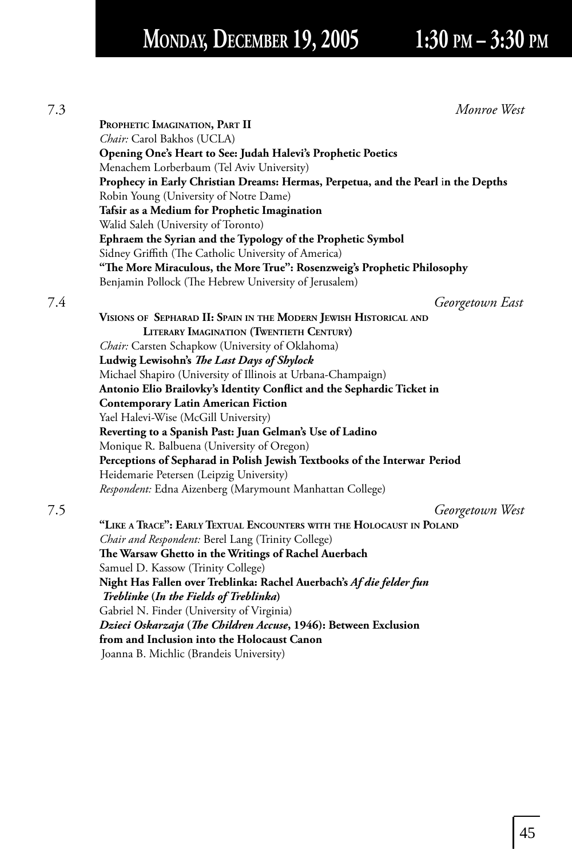# **MONDAY, DECEMBER 19, 2005 1:30 PM – 3:30 PM**

| 7.3 | Monroe West                                                                       |
|-----|-----------------------------------------------------------------------------------|
|     | PROPHETIC IMAGINATION, PART II                                                    |
|     | Chair: Carol Bakhos (UCLA)                                                        |
|     | Opening One's Heart to See: Judah Halevi's Prophetic Poetics                      |
|     | Menachem Lorberbaum (Tel Aviv University)                                         |
|     | Prophecy in Early Christian Dreams: Hermas, Perpetua, and the Pearl in the Depths |
|     | Robin Young (University of Notre Dame)                                            |
|     | Tafsir as a Medium for Prophetic Imagination                                      |
|     | Walid Saleh (University of Toronto)                                               |
|     | Ephraem the Syrian and the Typology of the Prophetic Symbol                       |
|     | Sidney Griffith (The Catholic University of America)                              |
|     | "The More Miraculous, the More True": Rosenzweig's Prophetic Philosophy           |
|     | Benjamin Pollock (The Hebrew University of Jerusalem)                             |
|     | Georgetown East                                                                   |
|     | VISIONS OF SEPHARAD II: SPAIN IN THE MODERN JEWISH HISTORICAL AND                 |
|     | LITERARY IMAGINATION (TWENTIETH CENTURY)                                          |
|     | Chair: Carsten Schapkow (University of Oklahoma)                                  |
|     | Ludwig Lewisohn's The Last Days of Shylock                                        |
|     | Michael Shapiro (University of Illinois at Urbana-Champaign)                      |
|     | Antonio Elio Brailovky's Identity Conflict and the Sephardic Ticket in            |
|     | <b>Contemporary Latin American Fiction</b>                                        |
|     | Yael Halevi-Wise (McGill University)                                              |
|     | Reverting to a Spanish Past: Juan Gelman's Use of Ladino                          |
|     | Monique R. Balbuena (University of Oregon)                                        |
|     | Perceptions of Sepharad in Polish Jewish Textbooks of the Interwar Period         |
|     | Heidemarie Petersen (Leipzig University)                                          |
|     | Respondent: Edna Aizenberg (Marymount Manhattan College)                          |
|     | Georgetown West                                                                   |
|     | "LIKE A TRACE": EARLY TEXTUAL ENCOUNTERS WITH THE HOLOCAUST IN POLAND             |
|     | Chair and Respondent: Berel Lang (Trinity College)                                |
|     | The Warsaw Ghetto in the Writings of Rachel Auerbach                              |
|     | Samuel D. Kassow (Trinity College)                                                |
|     | Night Has Fallen over Treblinka: Rachel Auerbach's Af die felder fun              |
|     | Treblinke (In the Fields of Treblinka)                                            |
|     | Gabriel N. Finder (University of Virginia)                                        |
|     | Dzieci Oskarzaja (The Children Accuse, 1946): Between Exclusion                   |
|     | from and Inclusion into the Holocaust Canon                                       |
|     | Joanna B. Michlic (Brandeis University)                                           |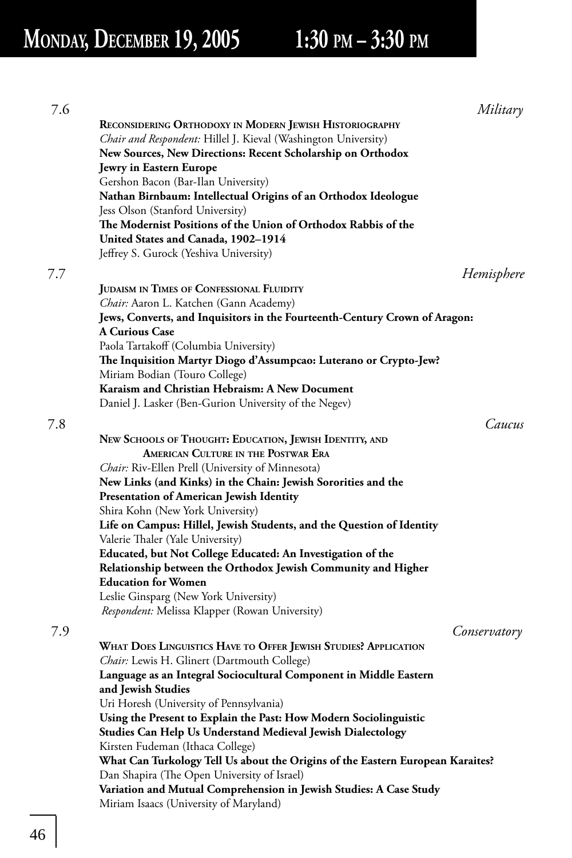| 7.6 |                                                                                | Military     |
|-----|--------------------------------------------------------------------------------|--------------|
|     | RECONSIDERING ORTHODOXY IN MODERN JEWISH HISTORIOGRAPHY                        |              |
|     | Chair and Respondent: Hillel J. Kieval (Washington University)                 |              |
|     | New Sources, New Directions: Recent Scholarship on Orthodox                    |              |
|     | Jewry in Eastern Europe                                                        |              |
|     | Gershon Bacon (Bar-Ilan University)                                            |              |
|     | Nathan Birnbaum: Intellectual Origins of an Orthodox Ideologue                 |              |
|     | Jess Olson (Stanford University)                                               |              |
|     | The Modernist Positions of the Union of Orthodox Rabbis of the                 |              |
|     | United States and Canada, 1902-1914                                            |              |
|     | Jeffrey S. Gurock (Yeshiva University)                                         |              |
| 7.7 |                                                                                | Hemisphere   |
|     | <b>JUDAISM IN TIMES OF CONFESSIONAL FLUIDITY</b>                               |              |
|     | Chair: Aaron L. Katchen (Gann Academy)                                         |              |
|     | Jews, Converts, and Inquisitors in the Fourteenth-Century Crown of Aragon:     |              |
|     | <b>A Curious Case</b>                                                          |              |
|     | Paola Tartakoff (Columbia University)                                          |              |
|     | The Inquisition Martyr Diogo d'Assumpcao: Luterano or Crypto-Jew?              |              |
|     | Miriam Bodian (Touro College)                                                  |              |
|     | Karaism and Christian Hebraism: A New Document                                 |              |
|     | Daniel J. Lasker (Ben-Gurion University of the Negev)                          |              |
| 7.8 |                                                                                | Caucus       |
|     | NEW SCHOOLS OF THOUGHT: EDUCATION, JEWISH IDENTITY, AND                        |              |
|     | AMERICAN CULTURE IN THE POSTWAR ERA                                            |              |
|     | Chair: Riv-Ellen Prell (University of Minnesota)                               |              |
|     | New Links (and Kinks) in the Chain: Jewish Sororities and the                  |              |
|     | Presentation of American Jewish Identity                                       |              |
|     | Shira Kohn (New York University)                                               |              |
|     | Life on Campus: Hillel, Jewish Students, and the Question of Identity          |              |
|     | Valerie Thaler (Yale University)                                               |              |
|     | Educated, but Not College Educated: An Investigation of the                    |              |
|     | Relationship between the Orthodox Jewish Community and Higher                  |              |
|     | <b>Education for Women</b>                                                     |              |
|     | Leslie Ginsparg (New York University)                                          |              |
|     | Respondent: Melissa Klapper (Rowan University)                                 |              |
| 7.9 |                                                                                | Conservatory |
|     | WHAT DOES LINGUISTICS HAVE TO OFFER JEWISH STUDIES? APPLICATION                |              |
|     | Chair: Lewis H. Glinert (Dartmouth College)                                    |              |
|     | Language as an Integral Sociocultural Component in Middle Eastern              |              |
|     | and Jewish Studies                                                             |              |
|     | Uri Horesh (University of Pennsylvania)                                        |              |
|     | Using the Present to Explain the Past: How Modern Sociolinguistic              |              |
|     | Studies Can Help Us Understand Medieval Jewish Dialectology                    |              |
|     | Kirsten Fudeman (Ithaca College)                                               |              |
|     | What Can Turkology Tell Us about the Origins of the Eastern European Karaites? |              |
|     | Dan Shapira (The Open University of Israel)                                    |              |
|     | Variation and Mutual Comprehension in Jewish Studies: A Case Study             |              |
|     | Miriam Isaacs (University of Maryland)                                         |              |
|     |                                                                                |              |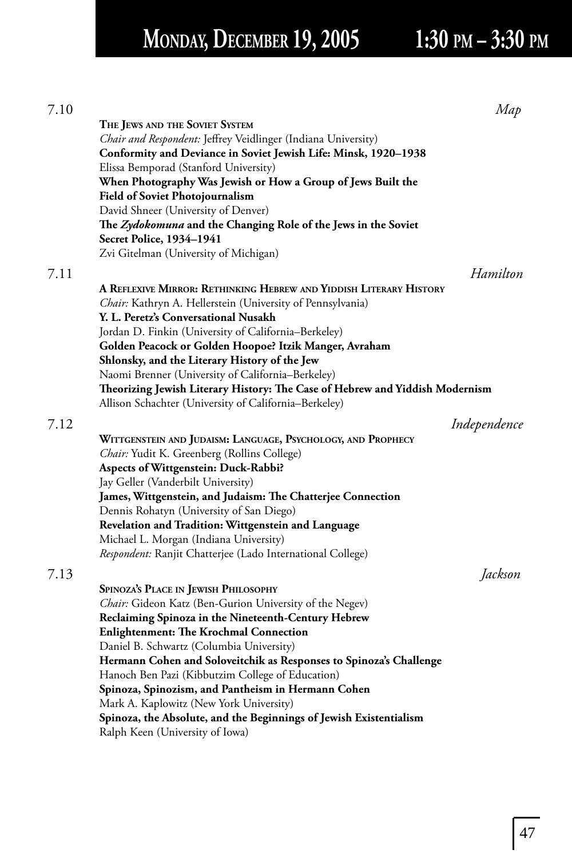## **MONDAY, DECEMBER 19, 2005 1:30 PM – 3:30 PM**

|                                                                                                                        | Map          |
|------------------------------------------------------------------------------------------------------------------------|--------------|
| THE JEWS AND THE SOVIET SYSTEM                                                                                         |              |
| Chair and Respondent: Jeffrey Veidlinger (Indiana University)                                                          |              |
| Conformity and Deviance in Soviet Jewish Life: Minsk, 1920-1938                                                        |              |
| Elissa Bemporad (Stanford University)                                                                                  |              |
| When Photography Was Jewish or How a Group of Jews Built the                                                           |              |
| <b>Field of Soviet Photojournalism</b>                                                                                 |              |
| David Shneer (University of Denver)                                                                                    |              |
| The Zydokomuna and the Changing Role of the Jews in the Soviet<br><b>Secret Police, 1934–1941</b>                      |              |
| Zvi Gitelman (University of Michigan)                                                                                  |              |
|                                                                                                                        | Hamilton     |
|                                                                                                                        |              |
| A REFLEXIVE MIRROR: RETHINKING HEBREW AND YIDDISH LITERARY HISTORY                                                     |              |
| Chair: Kathryn A. Hellerstein (University of Pennsylvania)                                                             |              |
| Y. L. Peretz's Conversational Nusakh                                                                                   |              |
| Jordan D. Finkin (University of California–Berkeley)                                                                   |              |
| Golden Peacock or Golden Hoopoe? Itzik Manger, Avraham                                                                 |              |
| Shlonsky, and the Literary History of the Jew                                                                          |              |
| Naomi Brenner (University of California-Berkeley)                                                                      |              |
| Theorizing Jewish Literary History: The Case of Hebrew and Yiddish Modernism                                           |              |
| Allison Schachter (University of California-Berkeley)                                                                  |              |
|                                                                                                                        | Independence |
| WITTGENSTEIN AND JUDAISM: LANGUAGE, PSYCHOLOGY, AND PROPHECY                                                           |              |
| Chair: Yudit K. Greenberg (Rollins College)                                                                            |              |
| Aspects of Wittgenstein: Duck-Rabbi?                                                                                   |              |
| Jay Geller (Vanderbilt University)                                                                                     |              |
| James, Wittgenstein, and Judaism: The Chatterjee Connection                                                            |              |
| Dennis Rohatyn (University of San Diego)                                                                               |              |
| Revelation and Tradition: Wittgenstein and Language                                                                    |              |
| Michael L. Morgan (Indiana University)                                                                                 |              |
| Respondent: Ranjit Chatterjee (Lado International College)                                                             |              |
|                                                                                                                        | Jackson      |
| SPINOZA'S PLACE IN JEWISH PHILOSOPHY                                                                                   |              |
|                                                                                                                        |              |
| Chair: Gideon Katz (Ben-Gurion University of the Negev)                                                                |              |
| Reclaiming Spinoza in the Nineteenth-Century Hebrew                                                                    |              |
| <b>Enlightenment: The Krochmal Connection</b>                                                                          |              |
| Daniel B. Schwartz (Columbia University)                                                                               |              |
| Hermann Cohen and Soloveitchik as Responses to Spinoza's Challenge<br>Hanoch Ben Pazi (Kibbutzim College of Education) |              |
| Spinoza, Spinozism, and Pantheism in Hermann Cohen                                                                     |              |
| Mark A. Kaplowitz (New York University)                                                                                |              |
| Spinoza, the Absolute, and the Beginnings of Jewish Existentialism                                                     |              |

Ralph Keen (University of Iowa)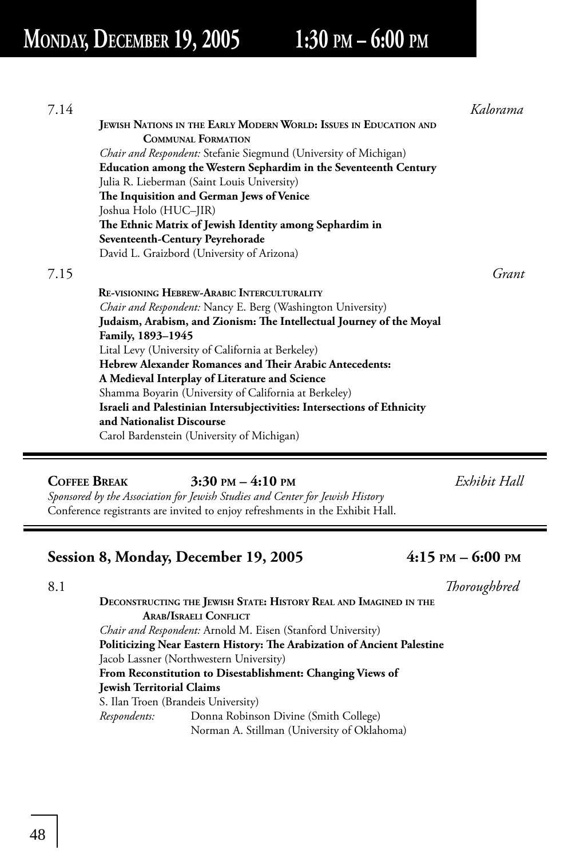## **MONDAY, DECEMBER 19, 2005 1:30 PM – 6:00 PM**

| 7.14 |                                                                         | Kalorama |
|------|-------------------------------------------------------------------------|----------|
|      | JEWISH NATIONS IN THE EARLY MODERN WORLD: ISSUES IN EDUCATION AND       |          |
|      | <b>COMMUNAL FORMATION</b>                                               |          |
|      | <i>Chair and Respondent:</i> Stefanie Siegmund (University of Michigan) |          |
|      | Education among the Western Sephardim in the Seventeenth Century        |          |
|      | Julia R. Lieberman (Saint Louis University)                             |          |
|      | The Inquisition and German Jews of Venice                               |          |
|      | Joshua Holo (HUC-JIR)                                                   |          |
|      | The Ethnic Matrix of Jewish Identity among Sephardim in                 |          |
|      | Seventeenth-Century Peyrehorade                                         |          |
|      | David L. Graizbord (University of Arizona)                              |          |
| 7.15 |                                                                         | Grant    |
|      | <b>RE-VISIONING HEBREW-ARABIC INTERCULTURALITY</b>                      |          |
|      | <i>Chair and Respondent:</i> Nancy E. Berg (Washington University)      |          |
|      | Judaism, Arabism, and Zionism: The Intellectual Journey of the Moyal    |          |
|      | Family, 1893-1945                                                       |          |
|      | Lital Levy (University of California at Berkeley)                       |          |
|      | Hebrew Alexander Romances and Their Arabic Antecedents:                 |          |
|      | A Medieval Interplay of Literature and Science                          |          |
|      | Shamma Boyarin (University of California at Berkeley)                   |          |
|      | Israeli and Palestinian Intersubjectivities: Intersections of Ethnicity |          |
|      | and Nationalist Discourse                                               |          |
|      | Carol Bardenstein (University of Michigan)                              |          |
|      |                                                                         |          |
|      |                                                                         |          |

**COFFEE BREAK****3:30 PM – 4:10 PM** *Exhibit Hall Sponsored by the Association for Jewish Studies and Center for Jewish History* Conference registrants are invited to enjoy refreshments in the Exhibit Hall.

### **Session 8, Monday, December 19, 2005 4:15 PM – 6:00 PM**

| 8.1 |                                                                         | Thoroughbred |
|-----|-------------------------------------------------------------------------|--------------|
|     | DECONSTRUCTING THE JEWISH STATE: HISTORY REAL AND IMAGINED IN THE       |              |
|     | <b>ARAB/ISRAELI CONFLICT</b>                                            |              |
|     | Chair and Respondent: Arnold M. Eisen (Stanford University)             |              |
|     | Politicizing Near Eastern History: The Arabization of Ancient Palestine |              |
|     | Jacob Lassner (Northwestern University)                                 |              |
|     | From Reconstitution to Disestablishment: Changing Views of              |              |
|     | <b>Jewish Territorial Claims</b>                                        |              |
|     | S. Ilan Troen (Brandeis University)                                     |              |
|     |                                                                         |              |

*Respondents:* Donna Robinson Divine (Smith College) Norman A. Stillman (University of Oklahoma)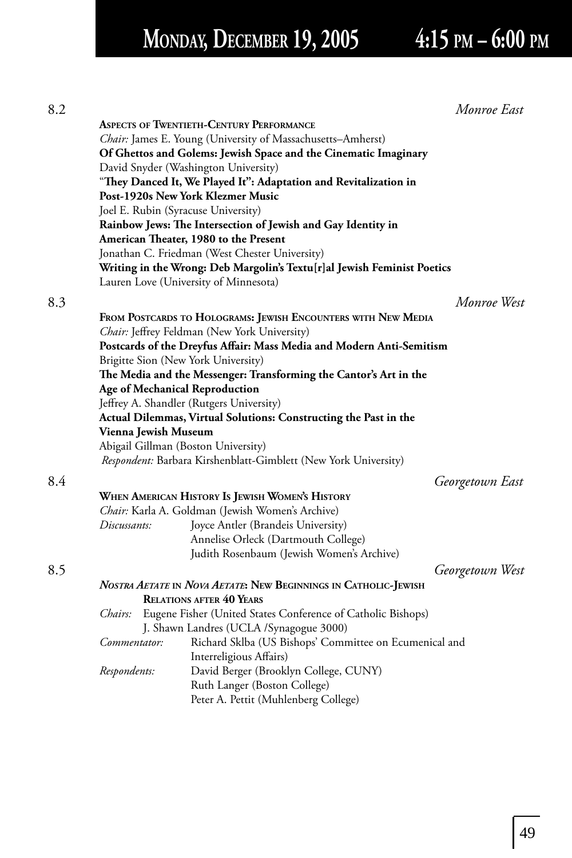# **MONDAY, DECEMBER 19, 2005 4:15 PM – 6:00 PM**

| 8.2 |                      |                                                                         | Monroe East     |
|-----|----------------------|-------------------------------------------------------------------------|-----------------|
|     |                      | <b>ASPECTS OF TWENTIETH-CENTURY PERFORMANCE</b>                         |                 |
|     |                      | Chair: James E. Young (University of Massachusetts-Amherst)             |                 |
|     |                      | Of Ghettos and Golems: Jewish Space and the Cinematic Imaginary         |                 |
|     |                      | David Snyder (Washington University)                                    |                 |
|     |                      | "They Danced It, We Played It": Adaptation and Revitalization in        |                 |
|     |                      | Post-1920s New York Klezmer Music                                       |                 |
|     |                      | Joel E. Rubin (Syracuse University)                                     |                 |
|     |                      | Rainbow Jews: The Intersection of Jewish and Gay Identity in            |                 |
|     |                      | American Theater, 1980 to the Present                                   |                 |
|     |                      | Jonathan C. Friedman (West Chester University)                          |                 |
|     |                      | Writing in the Wrong: Deb Margolin's Textu[r]al Jewish Feminist Poetics |                 |
|     |                      |                                                                         |                 |
|     |                      | Lauren Love (University of Minnesota)                                   |                 |
| 8.3 |                      |                                                                         | Monroe West     |
|     |                      | FROM POSTCARDS TO HOLOGRAMS: JEWISH ENCOUNTERS WITH NEW MEDIA           |                 |
|     |                      | Chair: Jeffrey Feldman (New York University)                            |                 |
|     |                      | Postcards of the Dreyfus Affair: Mass Media and Modern Anti-Semitism    |                 |
|     |                      | Brigitte Sion (New York University)                                     |                 |
|     |                      | The Media and the Messenger: Transforming the Cantor's Art in the       |                 |
|     |                      | <b>Age of Mechanical Reproduction</b>                                   |                 |
|     |                      | Jeffrey A. Shandler (Rutgers University)                                |                 |
|     |                      | Actual Dilemmas, Virtual Solutions: Constructing the Past in the        |                 |
|     | Vienna Jewish Museum |                                                                         |                 |
|     |                      | Abigail Gillman (Boston University)                                     |                 |
|     |                      | Respondent: Barbara Kirshenblatt-Gimblett (New York University)         |                 |
|     |                      |                                                                         |                 |
| 8.4 |                      |                                                                         | Georgetown East |
|     |                      | WHEN AMERICAN HISTORY IS JEWISH WOMEN'S HISTORY                         |                 |
|     |                      | Chair: Karla A. Goldman (Jewish Women's Archive)                        |                 |
|     | Discussants:         | Joyce Antler (Brandeis University)                                      |                 |
|     |                      | Annelise Orleck (Dartmouth College)                                     |                 |
|     |                      | Judith Rosenbaum (Jewish Women's Archive)                               |                 |
| 8.5 |                      |                                                                         | Georgetown West |
|     |                      | NOSTRA AETATE IN NOVA AETATE: NEW BEGINNINGS IN CATHOLIC-JEWISH         |                 |
|     |                      | <b>RELATIONS AFTER 40 YEARS</b>                                         |                 |
|     | Chairs:              | Eugene Fisher (United States Conference of Catholic Bishops)            |                 |
|     |                      | J. Shawn Landres (UCLA / Synagogue 3000)                                |                 |
|     | Commentator:         | Richard Sklba (US Bishops' Committee on Ecumenical and                  |                 |
|     |                      | Interreligious Affairs)                                                 |                 |
|     | Respondents:         | David Berger (Brooklyn College, CUNY)                                   |                 |
|     |                      | Ruth Langer (Boston College)                                            |                 |
|     |                      | Peter A. Pettit (Muhlenberg College)                                    |                 |
|     |                      |                                                                         |                 |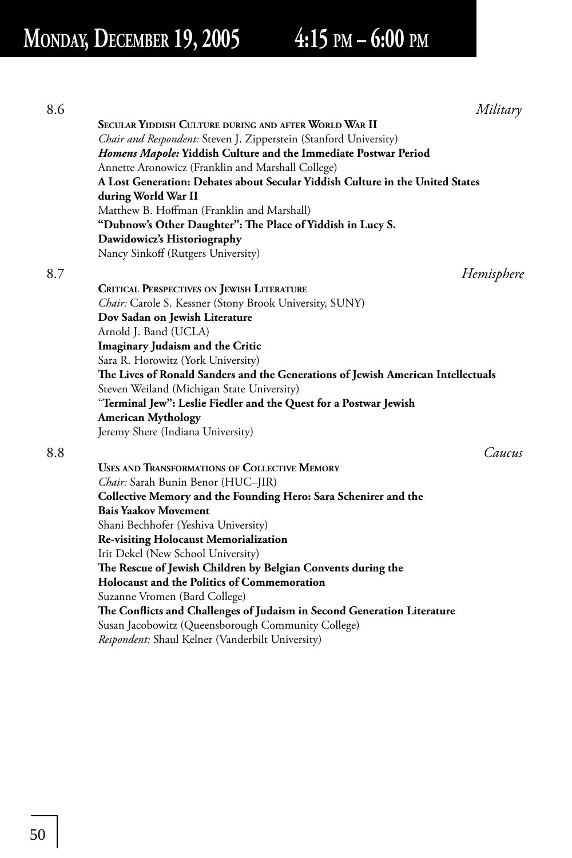| 8.6 |                                                                                  | Military   |
|-----|----------------------------------------------------------------------------------|------------|
|     | SECULAR YIDDISH CULTURE DURING AND AFTER WORLD WAR II                            |            |
|     | Chair and Respondent: Steven J. Zipperstein (Stanford University)                |            |
|     | Homens Mapole: Yiddish Culture and the Immediate Postwar Period                  |            |
|     | Annette Aronowicz (Franklin and Marshall College)                                |            |
|     | A Lost Generation: Debates about Secular Yiddish Culture in the United States    |            |
|     | during World War II                                                              |            |
|     | Matthew B. Hoffman (Franklin and Marshall)                                       |            |
|     | "Dubnow's Other Daughter": The Place of Yiddish in Lucy S.                       |            |
|     | Dawidowicz's Historiography                                                      |            |
|     | Nancy Sinkoff (Rutgers University)                                               |            |
| 8.7 |                                                                                  | Hemisphere |
|     | <b>CRITICAL PERSPECTIVES ON JEWISH LITERATURE</b>                                |            |
|     | Chair: Carole S. Kessner (Stony Brook University, SUNY)                          |            |
|     | Dov Sadan on Jewish Literature                                                   |            |
|     | Arnold J. Band (UCLA)                                                            |            |
|     | Imaginary Judaism and the Critic                                                 |            |
|     | Sara R. Horowitz (York University)                                               |            |
|     | The Lives of Ronald Sanders and the Generations of Jewish American Intellectuals |            |
|     | Steven Weiland (Michigan State University)                                       |            |
|     | "Terminal Jew": Leslie Fiedler and the Quest for a Postwar Jewish                |            |
|     | <b>American Mythology</b>                                                        |            |
|     | Jeremy Shere (Indiana University)                                                |            |
|     |                                                                                  |            |
| 8.8 |                                                                                  | Caucus     |
|     | USES AND TRANSFORMATIONS OF COLLECTIVE MEMORY                                    |            |
|     | Chair: Sarah Bunin Benor (HUC-JIR)                                               |            |
|     | Collective Memory and the Founding Hero: Sara Schenirer and the                  |            |
|     | <b>Bais Yaakov Movement</b>                                                      |            |
|     | Shani Bechhofer (Yeshiva University)                                             |            |
|     | <b>Re-visiting Holocaust Memorialization</b>                                     |            |
|     | Irit Dekel (New School University)                                               |            |
|     | The Rescue of Jewish Children by Belgian Convents during the                     |            |
|     | <b>Holocaust and the Politics of Commemoration</b>                               |            |
|     | Suzanne Vromen (Bard College)                                                    |            |
|     | The Conflicts and Challenges of Judaism in Second Generation Literature          |            |
|     | Susan Jacobowitz (Queensborough Community College)                               |            |

*Respondent:* Shaul Kelner (Vanderbilt University)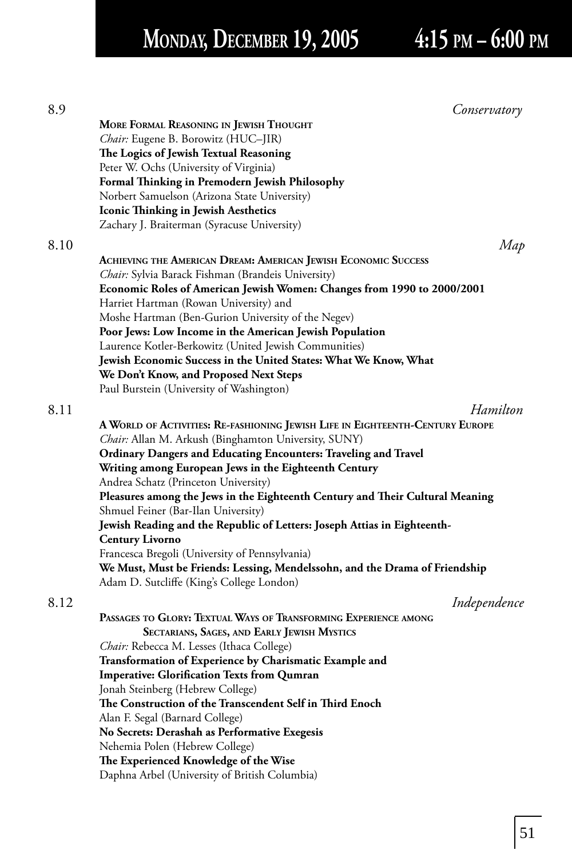# **MONDAY, DECEMBER 19, 2005 4:15 PM – 6:00 PM**

| 8.9  | Conservatory                                                                  |
|------|-------------------------------------------------------------------------------|
|      | MORE FORMAL REASONING IN JEWISH THOUGHT                                       |
|      | Chair: Eugene B. Borowitz (HUC-JIR)                                           |
|      | The Logics of Jewish Textual Reasoning                                        |
|      | Peter W. Ochs (University of Virginia)                                        |
|      | Formal Thinking in Premodern Jewish Philosophy                                |
|      | Norbert Samuelson (Arizona State University)                                  |
|      | Iconic Thinking in Jewish Aesthetics                                          |
|      | Zachary J. Braiterman (Syracuse University)                                   |
| 8.10 | Map                                                                           |
|      | <b>ACHIEVING THE AMERICAN DREAM: AMERICAN JEWISH ECONOMIC SUCCESS</b>         |
|      | <i>Chair:</i> Sylvia Barack Fishman (Brandeis University)                     |
|      | Economic Roles of American Jewish Women: Changes from 1990 to 2000/2001       |
|      | Harriet Hartman (Rowan University) and                                        |
|      | Moshe Hartman (Ben-Gurion University of the Negev)                            |
|      | Poor Jews: Low Income in the American Jewish Population                       |
|      | Laurence Kotler-Berkowitz (United Jewish Communities)                         |
|      | Jewish Economic Success in the United States: What We Know, What              |
|      | We Don't Know, and Proposed Next Steps                                        |
|      | Paul Burstein (University of Washington)                                      |
|      |                                                                               |
| 8.11 | Hamilton                                                                      |
|      | A WORLD OF ACTIVITIES: RE-FASHIONING JEWISH LIFE IN EIGHTEENTH-CENTURY EUROPE |
|      | Chair: Allan M. Arkush (Binghamton University, SUNY)                          |
|      | Ordinary Dangers and Educating Encounters: Traveling and Travel               |
|      | Writing among European Jews in the Eighteenth Century                         |
|      | Andrea Schatz (Princeton University)                                          |
|      | Pleasures among the Jews in the Eighteenth Century and Their Cultural Meaning |
|      | Shmuel Feiner (Bar-Ilan University)                                           |
|      | Jewish Reading and the Republic of Letters: Joseph Attias in Eighteenth-      |
|      | <b>Century Livorno</b>                                                        |
|      | Francesca Bregoli (University of Pennsylvania)                                |
|      | We Must, Must be Friends: Lessing, Mendelssohn, and the Drama of Friendship   |
|      | Adam D. Sutcliffe (King's College London)                                     |
| 8.12 | Independence                                                                  |
|      | PASSAGES TO GLORY: TEXTUAL WAYS OF TRANSFORMING EXPERIENCE AMONG              |
|      | SECTARIANS, SAGES, AND EARLY JEWISH MYSTICS                                   |
|      | Chair: Rebecca M. Lesses (Ithaca College)                                     |
|      | Transformation of Experience by Charismatic Example and                       |
|      | <b>Imperative: Glorification Texts from Qumran</b>                            |
|      | Jonah Steinberg (Hebrew College)                                              |
|      | The Construction of the Transcendent Self in Third Enoch                      |
|      | Alan F. Segal (Barnard College)                                               |
|      | No Secrets: Derashah as Performative Exegesis                                 |
|      | Nehemia Polen (Hebrew College)                                                |
|      | The Experienced Knowledge of the Wise                                         |
|      | Daphna Arbel (University of British Columbia)                                 |
|      |                                                                               |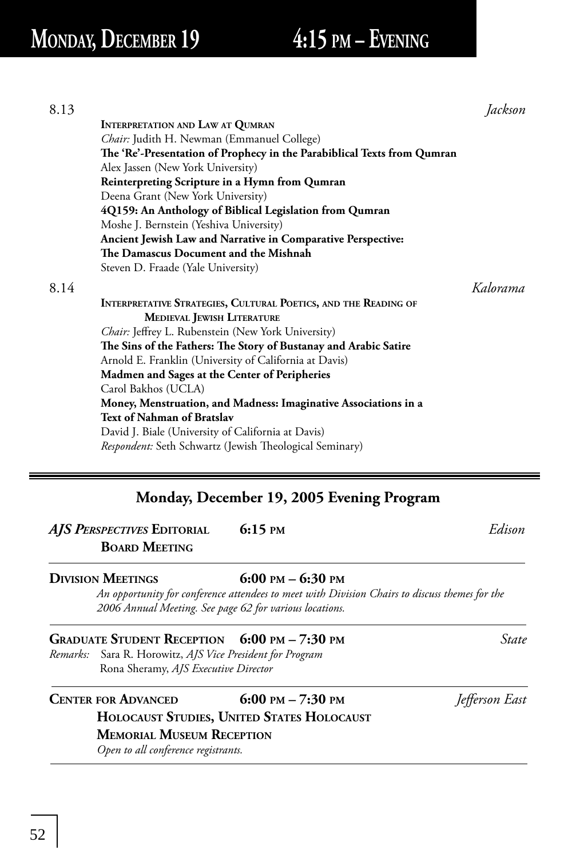| 8.13 |                                                                                                                                                                |                       | Jackson  |  |
|------|----------------------------------------------------------------------------------------------------------------------------------------------------------------|-----------------------|----------|--|
|      | <b>INTERPRETATION AND LAW AT QUMRAN</b>                                                                                                                        |                       |          |  |
|      | Chair: Judith H. Newman (Emmanuel College)                                                                                                                     |                       |          |  |
|      | The 'Re'-Presentation of Prophecy in the Parabiblical Texts from Qumran<br>Alex Jassen (New York University)<br>Reinterpreting Scripture in a Hymn from Qumran |                       |          |  |
|      |                                                                                                                                                                |                       |          |  |
|      | Deena Grant (New York University)<br>4Q159: An Anthology of Biblical Legislation from Qumran<br>Moshe J. Bernstein (Yeshiva University)                        |                       |          |  |
|      |                                                                                                                                                                |                       |          |  |
|      |                                                                                                                                                                |                       |          |  |
|      | Ancient Jewish Law and Narrative in Comparative Perspective:                                                                                                   |                       |          |  |
|      | The Damascus Document and the Mishnah                                                                                                                          |                       |          |  |
|      | Steven D. Fraade (Yale University)                                                                                                                             |                       |          |  |
| 8.14 |                                                                                                                                                                |                       | Kalorama |  |
|      | INTERPRETATIVE STRATEGIES, CULTURAL POETICS, AND THE READING OF                                                                                                |                       |          |  |
|      | <b>MEDIEVAL JEWISH LITERATURE</b>                                                                                                                              |                       |          |  |
|      | Chair: Jeffrey L. Rubenstein (New York University)                                                                                                             |                       |          |  |
|      | The Sins of the Fathers: The Story of Bustanay and Arabic Satire                                                                                               |                       |          |  |
|      | Arnold E. Franklin (University of California at Davis)                                                                                                         |                       |          |  |
|      | Madmen and Sages at the Center of Peripheries                                                                                                                  |                       |          |  |
|      | Carol Bakhos (UCLA)                                                                                                                                            |                       |          |  |
|      | Money, Menstruation, and Madness: Imaginative Associations in a                                                                                                |                       |          |  |
|      | Text of Nahman of Bratslav                                                                                                                                     |                       |          |  |
|      | David J. Biale (University of California at Davis)                                                                                                             |                       |          |  |
|      | Respondent: Seth Schwartz (Jewish Theological Seminary)                                                                                                        |                       |          |  |
|      | Monday, December 19, 2005 Evening Program                                                                                                                      |                       |          |  |
|      | $6:15$ PM<br>AJS PERSPECTIVES EDITORIAL                                                                                                                        |                       | Edison   |  |
|      | <b>BOARD MEETING</b>                                                                                                                                           |                       |          |  |
|      | <b>DIVISION MEETINGS</b>                                                                                                                                       | 6:00 PM $-$ 6:30 PM   |          |  |
|      | An opportunity for conference attendees to meet with Division Chairs to discuss themes for the<br>2006 Annual Meeting. See page 62 for various locations.      |                       |          |  |
|      | <b>GRADUATE STUDENT RECEPTION</b>                                                                                                                              | $6:00$ PM $- 7:30$ PM | State    |  |

*Remarks:* Sara R. Horowitz, *AJS Vice President for Program* Rona Sheramy, *AJS Executive Director*

**CENTER FOR ADVANCED** 6:00 PM – 7:30 PM *Jefferson East*  **HOLOCAUST STUDIES, UNITED STATES HOLOCAUST MEMORIAL MUSEUM RECEPTION**  *Open to all conference registrants.*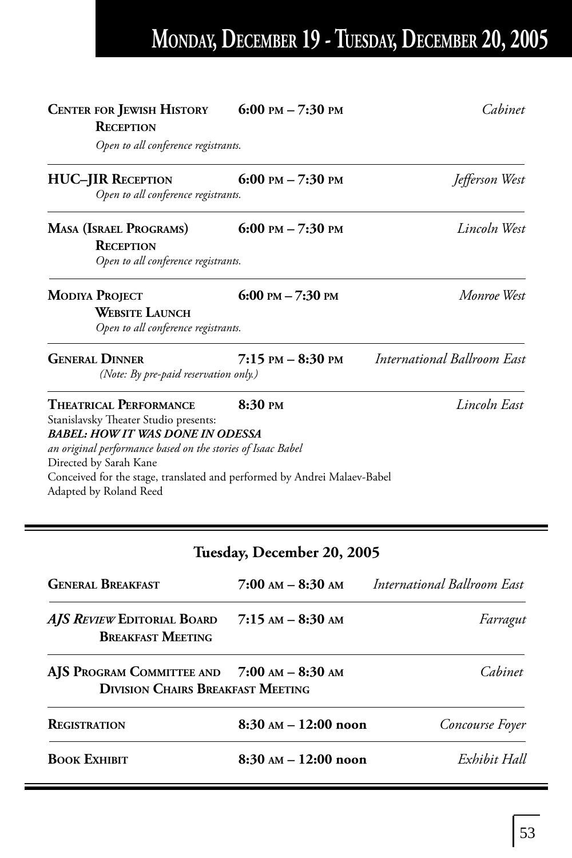# **MONDAY, DECEMBER 19 - TUESDAY, DECEMBER 20, 2005**

| <b>CENTER FOR JEWISH HISTORY</b><br><b>RECEPTION</b>                                                                                                                                                                                                                                                             | 6:00 PM $- 7:30$ PM  | Cahinet                            |
|------------------------------------------------------------------------------------------------------------------------------------------------------------------------------------------------------------------------------------------------------------------------------------------------------------------|----------------------|------------------------------------|
| Open to all conference registrants.                                                                                                                                                                                                                                                                              |                      |                                    |
| <b>HUC-JIR RECEPTION</b><br>Open to all conference registrants.                                                                                                                                                                                                                                                  | 6:00 PM $- 7:30$ PM  | Jefferson West                     |
| <b>MASA (ISRAEL PROGRAMS)</b><br><b>RECEPTION</b><br>Open to all conference registrants.                                                                                                                                                                                                                         | 6:00 PM $- 7:30$ PM  | Lincoln West                       |
| <b>MODIYA PROJECT</b><br><b>WEBSITE LAUNCH</b><br>Open to all conference registrants.                                                                                                                                                                                                                            | 6:00 PM $- 7:30$ PM  | Monroe West                        |
| <b>GENERAL DINNER</b><br>(Note: By pre-paid reservation only.)                                                                                                                                                                                                                                                   | $7:15$ PM $-8:30$ PM | <b>International Ballroom East</b> |
| <b>THEATRICAL PERFORMANCE</b><br>Stanislavsky Theater Studio presents:<br><b>BABEL: HOW IT WAS DONE IN ODESSA</b><br>an original performance based on the stories of Isaac Babel<br>Directed by Sarah Kane<br>Conceived for the stage, translated and performed by Andrei Malaev-Babel<br>Adapted by Roland Reed | $8:30 \text{ }$ PM   | Lincoln East                       |

### **Tuesday, December 20, 2005**

| <b>GENERAL BREAKFAST</b>                                                                | $7:00$ am $-8:30$ am                   | International Ballroom East |
|-----------------------------------------------------------------------------------------|----------------------------------------|-----------------------------|
| AJS REVIEW EDITORIAL BOARD<br><b>BREAKFAST MEETING</b>                                  | $7:15$ AM $-$ 8:30 AM                  | Farragut                    |
| AJS PROGRAM COMMITTEE AND 7:00 AM - 8:30 AM<br><b>DIVISION CHAIRS BREAKFAST MEETING</b> |                                        | Cahinet                     |
| <b>REGISTRATION</b>                                                                     | 8:30 AM - 12:00 noon                   | Concourse Foyer             |
| <b>BOOK EXHIBIT</b>                                                                     | $8:30 \text{ AM} - 12:00 \text{ noon}$ | Exhibit Hall                |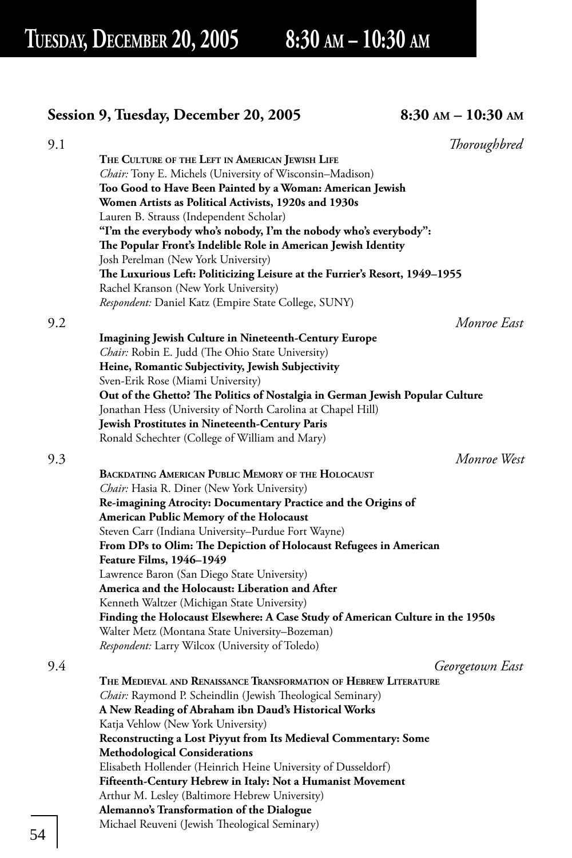### **Session 9, Tuesday, December 20, 2005 8:30 AM – 10:30 AM**

| 9.1 |                                                                                               | Thoroughbred    |
|-----|-----------------------------------------------------------------------------------------------|-----------------|
|     | THE CULTURE OF THE LEFT IN AMERICAN JEWISH LIFE                                               |                 |
|     | Chair: Tony E. Michels (University of Wisconsin-Madison)                                      |                 |
|     | Too Good to Have Been Painted by a Woman: American Jewish                                     |                 |
|     | Women Artists as Political Activists, 1920s and 1930s                                         |                 |
|     | Lauren B. Strauss (Independent Scholar)                                                       |                 |
|     | "I'm the everybody who's nobody, I'm the nobody who's everybody":                             |                 |
|     | The Popular Front's Indelible Role in American Jewish Identity                                |                 |
|     | Josh Perelman (New York University)                                                           |                 |
|     | The Luxurious Left: Politicizing Leisure at the Furrier's Resort, 1949-1955                   |                 |
|     | Rachel Kranson (New York University)                                                          |                 |
|     | Respondent: Daniel Katz (Empire State College, SUNY)                                          |                 |
|     |                                                                                               |                 |
| 9.2 |                                                                                               | Monroe East     |
|     | <b>Imagining Jewish Culture in Nineteenth-Century Europe</b>                                  |                 |
|     | Chair: Robin E. Judd (The Ohio State University)                                              |                 |
|     | Heine, Romantic Subjectivity, Jewish Subjectivity                                             |                 |
|     | Sven-Erik Rose (Miami University)                                                             |                 |
|     | Out of the Ghetto? The Politics of Nostalgia in German Jewish Popular Culture                 |                 |
|     | Jonathan Hess (University of North Carolina at Chapel Hill)                                   |                 |
|     | Jewish Prostitutes in Nineteenth-Century Paris                                                |                 |
|     | Ronald Schechter (College of William and Mary)                                                |                 |
| 9.3 |                                                                                               | Monroe West     |
|     | <b>BACKDATING AMERICAN PUBLIC MEMORY OF THE HOLOCAUST</b>                                     |                 |
|     | Chair: Hasia R. Diner (New York University)                                                   |                 |
|     | Re-imagining Atrocity: Documentary Practice and the Origins of                                |                 |
|     | American Public Memory of the Holocaust                                                       |                 |
|     |                                                                                               |                 |
|     | Steven Carr (Indiana University–Purdue Fort Wayne)                                            |                 |
|     | From DPs to Olim: The Depiction of Holocaust Refugees in American<br>Feature Films, 1946–1949 |                 |
|     | Lawrence Baron (San Diego State University)                                                   |                 |
|     | America and the Holocaust: Liberation and After                                               |                 |
|     |                                                                                               |                 |
|     | Kenneth Waltzer (Michigan State University)                                                   |                 |
|     | Finding the Holocaust Elsewhere: A Case Study of American Culture in the 1950s                |                 |
|     | Walter Metz (Montana State University-Bozeman)                                                |                 |
|     | <i>Respondent:</i> Larry Wilcox (University of Toledo)                                        |                 |
| 9.4 |                                                                                               | Georgetown East |
|     | THE MEDIEVAL AND RENAISSANCE TRANSFORMATION OF HEBREW LITERATURE                              |                 |
|     | Chair: Raymond P. Scheindlin (Jewish Theological Seminary)                                    |                 |
|     | A New Reading of Abraham ibn Daud's Historical Works                                          |                 |
|     | Katja Vehlow (New York University)                                                            |                 |
|     | Reconstructing a Lost Piyyut from Its Medieval Commentary: Some                               |                 |
|     | <b>Methodological Considerations</b>                                                          |                 |
|     | Elisabeth Hollender (Heinrich Heine University of Dusseldorf)                                 |                 |
|     | Fifteenth-Century Hebrew in Italy: Not a Humanist Movement                                    |                 |
|     | Arthur M. Lesley (Baltimore Hebrew University)                                                |                 |
|     | Alemanno's Transformation of the Dialogue                                                     |                 |
|     | Michael Reuveni (Jewish Theological Seminary)                                                 |                 |
|     |                                                                                               |                 |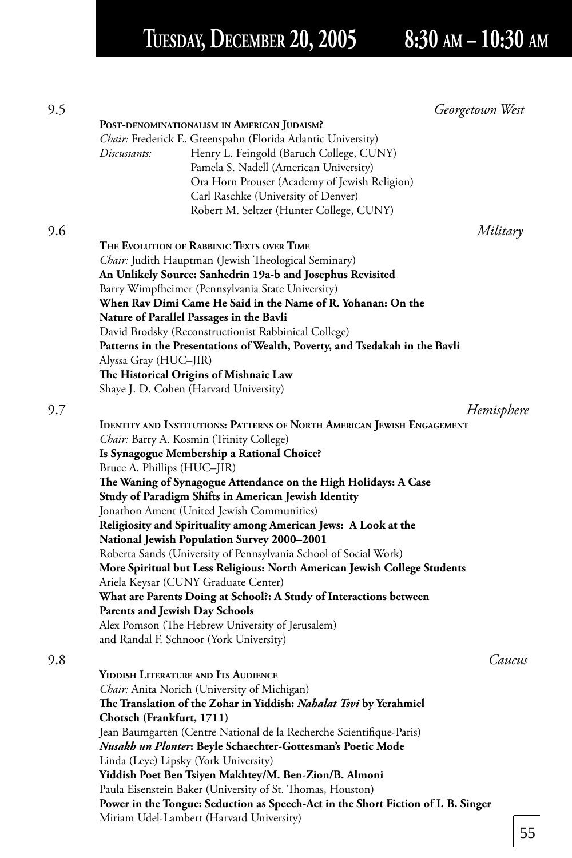# **TUESDAY, DECEMBER 20, 2005 8:30 AM – 10:30 AM**

|                                       |                                                                                   | Georgetown West |
|---------------------------------------|-----------------------------------------------------------------------------------|-----------------|
|                                       | POST-DENOMINATIONALISM IN AMERICAN JUDAISM?                                       |                 |
|                                       | Chair: Frederick E. Greenspahn (Florida Atlantic University)                      |                 |
| Discussants:                          | Henry L. Feingold (Baruch College, CUNY)                                          |                 |
|                                       | Pamela S. Nadell (American University)                                            |                 |
|                                       | Ora Horn Prouser (Academy of Jewish Religion)                                     |                 |
|                                       | Carl Raschke (University of Denver)                                               |                 |
|                                       | Robert M. Seltzer (Hunter College, CUNY)                                          |                 |
|                                       |                                                                                   | Military        |
|                                       | THE EVOLUTION OF RABBINIC TEXTS OVER TIME                                         |                 |
|                                       | Chair: Judith Hauptman (Jewish Theological Seminary)                              |                 |
|                                       | An Unlikely Source: Sanhedrin 19a-b and Josephus Revisited                        |                 |
|                                       | Barry Wimpfheimer (Pennsylvania State University)                                 |                 |
|                                       | When Rav Dimi Came He Said in the Name of R. Yohanan: On the                      |                 |
|                                       | Nature of Parallel Passages in the Bavli                                          |                 |
|                                       | David Brodsky (Reconstructionist Rabbinical College)                              |                 |
|                                       | Patterns in the Presentations of Wealth, Poverty, and Tsedakah in the Bavli       |                 |
| Alyssa Gray (HUC–JIR)                 |                                                                                   |                 |
|                                       | The Historical Origins of Mishnaic Law                                            |                 |
|                                       | Shaye J. D. Cohen (Harvard University)                                            |                 |
|                                       |                                                                                   |                 |
|                                       |                                                                                   | Hemisphere      |
|                                       | <b>IDENTITY AND INSTITUTIONS: PATTERNS OF NORTH AMERICAN JEWISH ENGAGEMENT</b>    |                 |
|                                       | Chair: Barry A. Kosmin (Trinity College)                                          |                 |
|                                       | Is Synagogue Membership a Rational Choice?                                        |                 |
| Bruce A. Phillips (HUC-JIR)           |                                                                                   |                 |
|                                       | The Waning of Synagogue Attendance on the High Holidays: A Case                   |                 |
|                                       | Study of Paradigm Shifts in American Jewish Identity                              |                 |
|                                       | Jonathon Ament (United Jewish Communities)                                        |                 |
|                                       | Religiosity and Spirituality among American Jews: A Look at the                   |                 |
|                                       | <b>National Jewish Population Survey 2000–2001</b>                                |                 |
|                                       | Roberta Sands (University of Pennsylvania School of Social Work)                  |                 |
|                                       | More Spiritual but Less Religious: North American Jewish College Students         |                 |
|                                       | Ariela Keysar (CUNY Graduate Center)                                              |                 |
|                                       | What are Parents Doing at School?: A Study of Interactions between                |                 |
| <b>Parents and Jewish Day Schools</b> |                                                                                   |                 |
|                                       | Alex Pomson (The Hebrew University of Jerusalem)                                  |                 |
|                                       | and Randal F. Schnoor (York University)                                           |                 |
|                                       |                                                                                   | Caucus          |
|                                       | YIDDISH LITERATURE AND ITS AUDIENCE                                               |                 |
|                                       | Chair: Anita Norich (University of Michigan)                                      |                 |
|                                       | The Translation of the Zohar in Yiddish: Nahalat Tsvi by Yerahmiel                |                 |
| Chotsch (Frankfurt, 1711)             |                                                                                   |                 |
|                                       | Jean Baumgarten (Centre National de la Recherche Scientifique-Paris)              |                 |
|                                       | Nusakh un Plonter: Beyle Schaechter-Gottesman's Poetic Mode                       |                 |
|                                       | Linda (Leye) Lipsky (York University)                                             |                 |
|                                       | Yiddish Poet Ben Tsiyen Makhtey/M. Ben-Zion/B. Almoni                             |                 |
|                                       | Paula Eisenstein Baker (University of St. Thomas, Houston)                        |                 |
|                                       | Power in the Tongue: Seduction as Speech-Act in the Short Fiction of I. B. Singer |                 |
|                                       | Miriam Udel-Lambert (Harvard University)                                          |                 |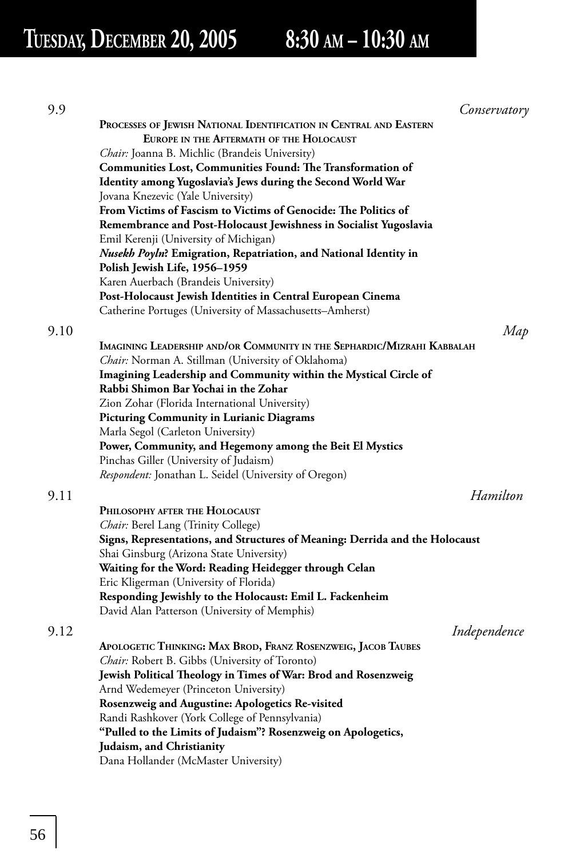# **TUESDAY, DECEMBER 20, 2005 8:30 AM – 10:30 AM**

| 9.9  | Conservatory                                                                 |
|------|------------------------------------------------------------------------------|
|      | PROCESSES OF JEWISH NATIONAL IDENTIFICATION IN CENTRAL AND EASTERN           |
|      | EUROPE IN THE AFTERMATH OF THE HOLOCAUST                                     |
|      | <i>Chair:</i> Joanna B. Michlic (Brandeis University)                        |
|      | <b>Communities Lost, Communities Found: The Transformation of</b>            |
|      | Identity among Yugoslavia's Jews during the Second World War                 |
|      | Jovana Knezevic (Yale University)                                            |
|      | From Victims of Fascism to Victims of Genocide: The Politics of              |
|      | Remembrance and Post-Holocaust Jewishness in Socialist Yugoslavia            |
|      | Emil Kerenji (University of Michigan)                                        |
|      | Nusekh Poyln? Emigration, Repatriation, and National Identity in             |
|      | Polish Jewish Life, 1956-1959                                                |
|      | Karen Auerbach (Brandeis University)                                         |
|      | Post-Holocaust Jewish Identities in Central European Cinema                  |
|      | Catherine Portuges (University of Massachusetts–Amherst)                     |
| 9.10 | Map                                                                          |
|      | IMAGINING LEADERSHIP AND/OR COMMUNITY IN THE SEPHARDIC/MIZRAHI KABBALAH      |
|      | Chair: Norman A. Stillman (University of Oklahoma)                           |
|      | Imagining Leadership and Community within the Mystical Circle of             |
|      | Rabbi Shimon Bar Yochai in the Zohar                                         |
|      | Zion Zohar (Florida International University)                                |
|      | <b>Picturing Community in Lurianic Diagrams</b>                              |
|      | Marla Segol (Carleton University)                                            |
|      | Power, Community, and Hegemony among the Beit El Mystics                     |
|      | Pinchas Giller (University of Judaism)                                       |
|      | <i>Respondent:</i> Jonathan L. Seidel (University of Oregon)                 |
| 9.11 | Hamilton                                                                     |
|      | PHILOSOPHY AFTER THE HOLOCAUST                                               |
|      | <i>Chair:</i> Berel Lang (Trinity College)                                   |
|      | Signs, Representations, and Structures of Meaning: Derrida and the Holocaust |
|      | Shai Ginsburg (Arizona State University)                                     |
|      | Waiting for the Word: Reading Heidegger through Celan                        |
|      | Eric Kligerman (University of Florida)                                       |
|      | Responding Jewishly to the Holocaust: Emil L. Fackenheim                     |
|      | David Alan Patterson (University of Memphis)                                 |
| 9.12 | Independence                                                                 |
|      | APOLOGETIC THINKING: MAX BROD, FRANZ ROSENZWEIG, JACOB TAUBES                |
|      | <i>Chair:</i> Robert B. Gibbs (University of Toronto)                        |
|      | Jewish Political Theology in Times of War: Brod and Rosenzweig               |
|      | Arnd Wedemeyer (Princeton University)                                        |
|      | Rosenzweig and Augustine: Apologetics Re-visited                             |
|      | Randi Rashkover (York College of Pennsylvania)                               |
|      | "Pulled to the Limits of Judaism"? Rosenzweig on Apologetics,                |
|      | Judaism, and Christianity                                                    |
|      | Dana Hollander (McMaster University)                                         |
|      |                                                                              |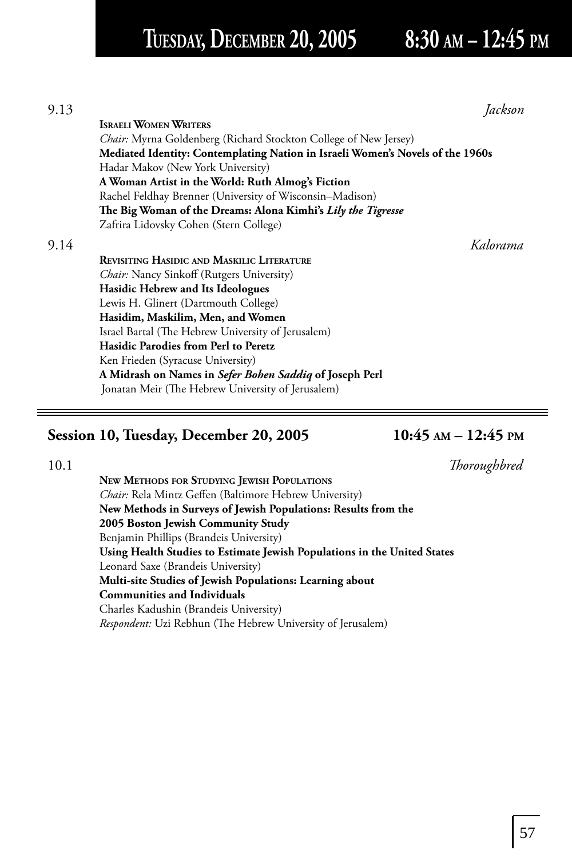## **TUESDAY, DECEMBER 20, 2005 8:30 AM – 12:45 PM**

| 9.13 |                                                                                | Iackson  |
|------|--------------------------------------------------------------------------------|----------|
|      | <b>ISRAELI WOMEN WRITERS</b>                                                   |          |
|      | <i>Chair:</i> Myrna Goldenberg (Richard Stockton College of New Jersey)        |          |
|      | Mediated Identity: Contemplating Nation in Israeli Women's Novels of the 1960s |          |
|      | Hadar Makov (New York University)                                              |          |
|      | A Woman Artist in the World: Ruth Almog's Fiction                              |          |
|      | Rachel Feldhay Brenner (University of Wisconsin-Madison)                       |          |
|      | The Big Woman of the Dreams: Alona Kimhi's Lily the Tigresse                   |          |
|      | Zafrira Lidovsky Cohen (Stern College)                                         |          |
| 9.14 |                                                                                | Kalorama |
|      | <b>REVISITING HASIDIC AND MASKILIC LITERATURE</b>                              |          |
|      | <i>Chair:</i> Nancy Sinkoff (Rutgers University)                               |          |
|      | Hasidic Hebrew and Its Ideologues                                              |          |
|      | Lewis H. Glinert (Dartmouth College)                                           |          |
|      | Hasidim, Maskilim, Men, and Women                                              |          |
|      | Israel Bartal (The Hebrew University of Jerusalem)                             |          |
|      | Hasidic Parodies from Perl to Peretz                                           |          |
|      | Ken Frieden (Syracuse University)                                              |          |
|      | A Midrash on Names in Sefer Bohen Saddiq of Joseph Perl                        |          |
|      | Jonatan Meir (The Hebrew University of Jerusalem)                              |          |
|      |                                                                                |          |

### **Session 10, Tuesday, December 20, 2005 10:45 AM – 12:45 PM**

10.1 *Thoroughbred* 

**NEW METHODS FOR STUDYING JEWISH POPULATIONS** *Chair:* Rela Mintz Geffen (Baltimore Hebrew University) **New Methods in Surveys of Jewish Populations: Results from the 2005 Boston Jewish Community Study** Benjamin Phillips (Brandeis University) **Using Health Studies to Estimate Jewish Populations in the United States** Leonard Saxe (Brandeis University) **Multi-site Studies of Jewish Populations: Learning about Communities and Individuals** Charles Kadushin (Brandeis University) *Respondent:* Uzi Rebhun (The Hebrew University of Jerusalem)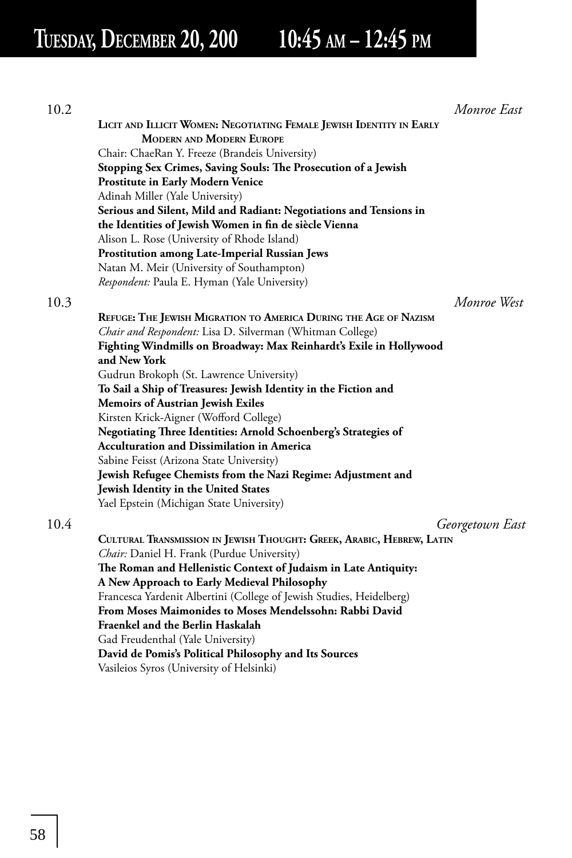**TUESDAY, DECEMBER 20, 200 10:45 AM – 12:45 PM**

| 10.2 |                                                                       | Monroe East     |
|------|-----------------------------------------------------------------------|-----------------|
|      | LICIT AND ILLICIT WOMEN: NEGOTIATING FEMALE JEWISH IDENTITY IN EARLY  |                 |
|      | <b>MODERN AND MODERN EUROPE</b>                                       |                 |
|      | Chair: ChaeRan Y. Freeze (Brandeis University)                        |                 |
|      | Stopping Sex Crimes, Saving Souls: The Prosecution of a Jewish        |                 |
|      | <b>Prostitute in Early Modern Venice</b>                              |                 |
|      | Adinah Miller (Yale University)                                       |                 |
|      | Serious and Silent, Mild and Radiant: Negotiations and Tensions in    |                 |
|      | the Identities of Jewish Women in fin de siècle Vienna                |                 |
|      | Alison L. Rose (University of Rhode Island)                           |                 |
|      | <b>Prostitution among Late-Imperial Russian Jews</b>                  |                 |
|      | Natan M. Meir (University of Southampton)                             |                 |
|      | Respondent: Paula E. Hyman (Yale University)                          |                 |
| 10.3 |                                                                       | Monroe West     |
|      | REFUGE: THE JEWISH MIGRATION TO AMERICA DURING THE AGE OF NAZISM      |                 |
|      | Chair and Respondent: Lisa D. Silverman (Whitman College)             |                 |
|      | Fighting Windmills on Broadway: Max Reinhardt's Exile in Hollywood    |                 |
|      | and New York                                                          |                 |
|      | Gudrun Brokoph (St. Lawrence University)                              |                 |
|      | To Sail a Ship of Treasures: Jewish Identity in the Fiction and       |                 |
|      | Memoirs of Austrian Jewish Exiles                                     |                 |
|      | Kirsten Krick-Aigner (Wofford College)                                |                 |
|      | Negotiating Three Identities: Arnold Schoenberg's Strategies of       |                 |
|      | <b>Acculturation and Dissimilation in America</b>                     |                 |
|      | Sabine Feisst (Arizona State University)                              |                 |
|      | Jewish Refugee Chemists from the Nazi Regime: Adjustment and          |                 |
|      | Jewish Identity in the United States                                  |                 |
|      | Yael Epstein (Michigan State University)                              |                 |
| 10.4 |                                                                       | Georgetown East |
|      | CULTURAL TRANSMISSION IN JEWISH THOUGHT: GREEK, ARABIC, HEBREW, LATIN |                 |
|      | Chair: Daniel H. Frank (Purdue University)                            |                 |
|      | The Roman and Hellenistic Context of Judaism in Late Antiquity:       |                 |
|      | A New Approach to Early Medieval Philosophy                           |                 |
|      | Francesca Yardenit Albertini (College of Jewish Studies, Heidelberg)  |                 |
|      | From Moses Maimonides to Moses Mendelssohn: Rabbi David               |                 |
|      | Fraenkel and the Berlin Haskalah                                      |                 |
|      | Gad Freudenthal (Yale University)                                     |                 |
|      | David de Pomis's Political Philosophy and Its Sources                 |                 |
|      | Vasileios Syros (University of Helsinki)                              |                 |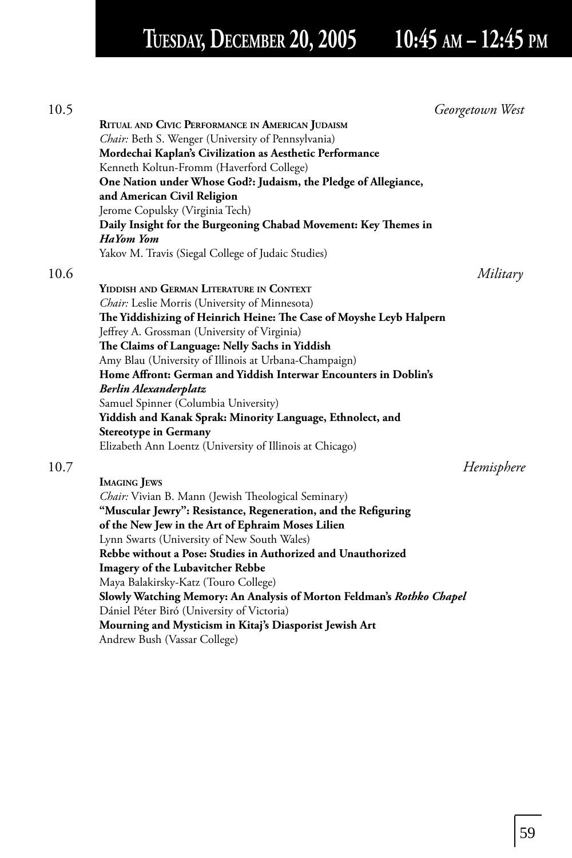## **TUESDAY, DECEMBER 20, 2005 10:45 AM – 12:45 PM**

| 10.5 | Georgetown West                                                       |  |
|------|-----------------------------------------------------------------------|--|
|      | RITUAL AND CIVIC PERFORMANCE IN AMERICAN JUDAISM                      |  |
|      | Chair: Beth S. Wenger (University of Pennsylvania)                    |  |
|      | Mordechai Kaplan's Civilization as Aesthetic Performance              |  |
|      | Kenneth Koltun-Fromm (Haverford College)                              |  |
|      | One Nation under Whose God?: Judaism, the Pledge of Allegiance,       |  |
|      | and American Civil Religion                                           |  |
|      | Jerome Copulsky (Virginia Tech)                                       |  |
|      | Daily Insight for the Burgeoning Chabad Movement: Key Themes in       |  |
|      | <b>HaYom Yom</b>                                                      |  |
|      | Yakov M. Travis (Siegal College of Judaic Studies)                    |  |
| 10.6 | Military                                                              |  |
|      | YIDDISH AND GERMAN LITERATURE IN CONTEXT                              |  |
|      | Chair: Leslie Morris (University of Minnesota)                        |  |
|      | The Yiddishizing of Heinrich Heine: The Case of Moyshe Leyb Halpern   |  |
|      | Jeffrey A. Grossman (University of Virginia)                          |  |
|      | The Claims of Language: Nelly Sachs in Yiddish                        |  |
|      | Amy Blau (University of Illinois at Urbana-Champaign)                 |  |
|      | Home Affront: German and Yiddish Interwar Encounters in Doblin's      |  |
|      | <b>Berlin Alexanderplatz</b>                                          |  |
|      | Samuel Spinner (Columbia University)                                  |  |
|      | Yiddish and Kanak Sprak: Minority Language, Ethnolect, and            |  |
|      | <b>Stereotype in Germany</b>                                          |  |
|      | Elizabeth Ann Loentz (University of Illinois at Chicago)              |  |
|      |                                                                       |  |
| 10.7 | Hemisphere                                                            |  |
|      | <b>IMAGING JEWS</b>                                                   |  |
|      | Chair: Vivian B. Mann (Jewish Theological Seminary)                   |  |
|      | "Muscular Jewry": Resistance, Regeneration, and the Refiguring        |  |
|      | of the New Jew in the Art of Ephraim Moses Lilien                     |  |
|      | Lynn Swarts (University of New South Wales)                           |  |
|      | Rebbe without a Pose: Studies in Authorized and Unauthorized          |  |
|      | <b>Imagery of the Lubavitcher Rebbe</b>                               |  |
|      | Maya Balakirsky-Katz (Touro College)                                  |  |
|      | Slowly Watching Memory: An Analysis of Morton Feldman's Rothko Chapel |  |
|      | Dániel Péter Biró (University of Victoria)                            |  |
|      | Mourning and Mysticism in Kitaj's Diasporist Jewish Art               |  |
|      | Andrew Bush (Vassar College)                                          |  |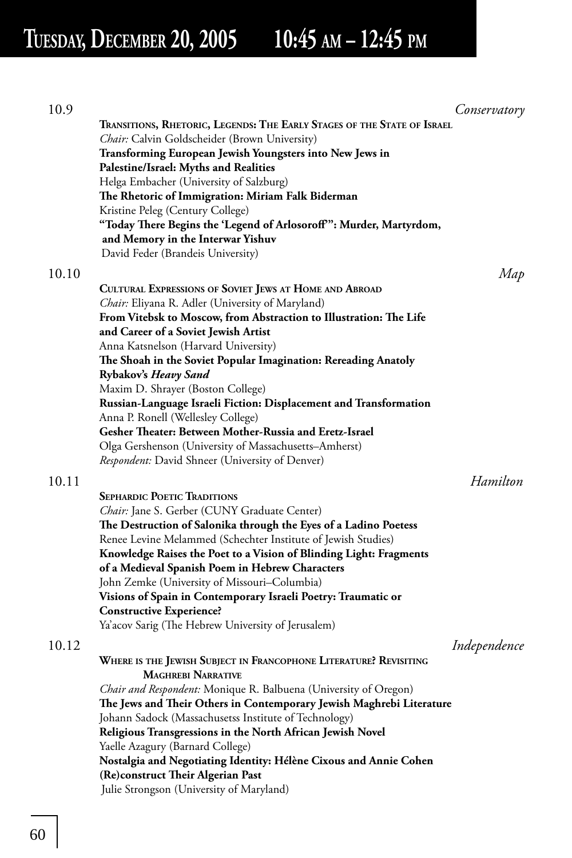## **TUESDAY, DECEMBER 20, 2005 10:45 AM – 12:45 PM**

| 10.9  |                                                                                                                               | Conservatory |
|-------|-------------------------------------------------------------------------------------------------------------------------------|--------------|
|       | TRANSITIONS, RHETORIC, LEGENDS: THE EARLY STAGES OF THE STATE OF ISRAEL                                                       |              |
|       | Chair: Calvin Goldscheider (Brown University)                                                                                 |              |
|       | Transforming European Jewish Youngsters into New Jews in                                                                      |              |
|       | Palestine/Israel: Myths and Realities                                                                                         |              |
|       | Helga Embacher (University of Salzburg)                                                                                       |              |
|       | The Rhetoric of Immigration: Miriam Falk Biderman<br>Kristine Peleg (Century College)                                         |              |
|       | "Today There Begins the 'Legend of Arlosoroff": Murder, Martyrdom,                                                            |              |
|       | and Memory in the Interwar Yishuv                                                                                             |              |
|       | David Feder (Brandeis University)                                                                                             |              |
|       |                                                                                                                               |              |
| 10.10 |                                                                                                                               | Map          |
|       | CULTURAL EXPRESSIONS OF SOVIET JEWS AT HOME AND ABROAD                                                                        |              |
|       | <i>Chair:</i> Eliyana R. Adler (University of Maryland)<br>From Vitebsk to Moscow, from Abstraction to Illustration: The Life |              |
|       | and Career of a Soviet Jewish Artist                                                                                          |              |
|       | Anna Katsnelson (Harvard University)                                                                                          |              |
|       | The Shoah in the Soviet Popular Imagination: Rereading Anatoly                                                                |              |
|       | Rybakov's <i>Heavy Sand</i>                                                                                                   |              |
|       | Maxim D. Shrayer (Boston College)                                                                                             |              |
|       | Russian-Language Israeli Fiction: Displacement and Transformation                                                             |              |
|       | Anna P. Ronell (Wellesley College)                                                                                            |              |
|       | Gesher Theater: Between Mother-Russia and Eretz-Israel                                                                        |              |
|       | Olga Gershenson (University of Massachusetts-Amherst)                                                                         |              |
|       | <i>Respondent:</i> David Shneer (University of Denver)                                                                        |              |
| 10.11 |                                                                                                                               | Hamilton     |
|       | <b>SEPHARDIC POETIC TRADITIONS</b>                                                                                            |              |
|       | <i>Chair:</i> Jane S. Gerber (CUNY Graduate Center)                                                                           |              |
|       | The Destruction of Salonika through the Eyes of a Ladino Poetess                                                              |              |
|       | Renee Levine Melammed (Schechter Institute of Jewish Studies)                                                                 |              |
|       | Knowledge Raises the Poet to a Vision of Blinding Light: Fragments                                                            |              |
|       | of a Medieval Spanish Poem in Hebrew Characters                                                                               |              |
|       | John Zemke (University of Missouri–Columbia)<br>Visions of Spain in Contemporary Israeli Poetry: Traumatic or                 |              |
|       | <b>Constructive Experience?</b>                                                                                               |              |
|       | Ya'acov Sarig (The Hebrew University of Jerusalem)                                                                            |              |
|       |                                                                                                                               |              |
| 10.12 | WHERE IS THE JEWISH SUBJECT IN FRANCOPHONE LITERATURE? REVISITING                                                             | Independence |
|       | <b>MAGHREBI NARRATIVE</b>                                                                                                     |              |
|       | Chair and Respondent: Monique R. Balbuena (University of Oregon)                                                              |              |
|       | The Jews and Their Others in Contemporary Jewish Maghrebi Literature                                                          |              |
|       | Johann Sadock (Massachusetss Institute of Technology)                                                                         |              |
|       | Religious Transgressions in the North African Jewish Novel                                                                    |              |
|       | Yaelle Azagury (Barnard College)                                                                                              |              |
|       | Nostalgia and Negotiating Identity: Hélène Cixous and Annie Cohen                                                             |              |
|       | (Re)construct Their Algerian Past                                                                                             |              |
|       | Julie Strongson (University of Maryland)                                                                                      |              |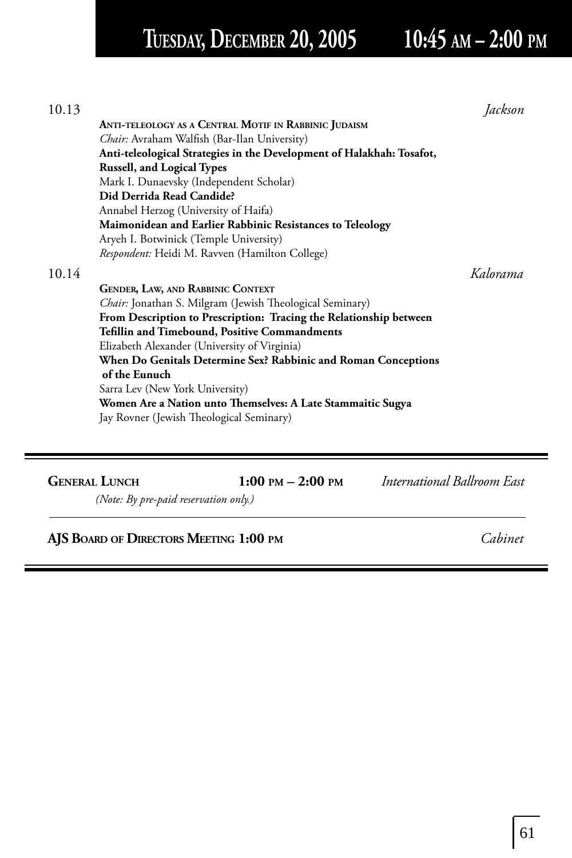## **TUESDAY, DECEMBER 20, 2005 10:45 AM – 2:00 PM**

| 10.13 |                                                                       | Jackson  |
|-------|-----------------------------------------------------------------------|----------|
|       | ANTI-TELEOLOGY AS A CENTRAL MOTIF IN RABBINIC JUDAISM                 |          |
|       | Chair: Avraham Walfish (Bar-Ilan University)                          |          |
|       | Anti-teleological Strategies in the Development of Halakhah: Tosafot, |          |
|       | <b>Russell, and Logical Types</b>                                     |          |
|       | Mark I. Dunaevsky (Independent Scholar)                               |          |
|       | Did Derrida Read Candide?                                             |          |
|       | Annabel Herzog (University of Haifa)                                  |          |
|       | Maimonidean and Earlier Rabbinic Resistances to Teleology             |          |
|       | Aryeh I. Botwinick (Temple University)                                |          |
|       | Respondent: Heidi M. Ravven (Hamilton College)                        |          |
| 10.14 |                                                                       | Kalorama |
|       | <b>GENDER, LAW, AND RABBINIC CONTEXT</b>                              |          |
|       | Chair: Jonathan S. Milgram (Jewish Theological Seminary)              |          |
|       | From Description to Prescription: Tracing the Relationship between    |          |
|       | <b>Tefillin and Timebound, Positive Commandments</b>                  |          |
|       | Elizabeth Alexander (University of Virginia)                          |          |
|       | When Do Genitals Determine Sex? Rabbinic and Roman Conceptions        |          |
|       | of the Eunuch                                                         |          |
|       | Sarra Lev (New York University)                                       |          |
|       | Women Are a Nation unto Themselves: A Late Stammaitic Sugya           |          |
|       | Jay Rovner (Jewish Theological Seminary)                              |          |
|       |                                                                       |          |
|       |                                                                       |          |
|       |                                                                       |          |

**GENERAL LUNCH 1:00 PM – 2:00 PM** *International Ballroom East* 

*(Note: By pre-paid reservation only.)*

### **AJS BOARD OF DIRECTORS MEETING 1:00 PM** *Cabinet*